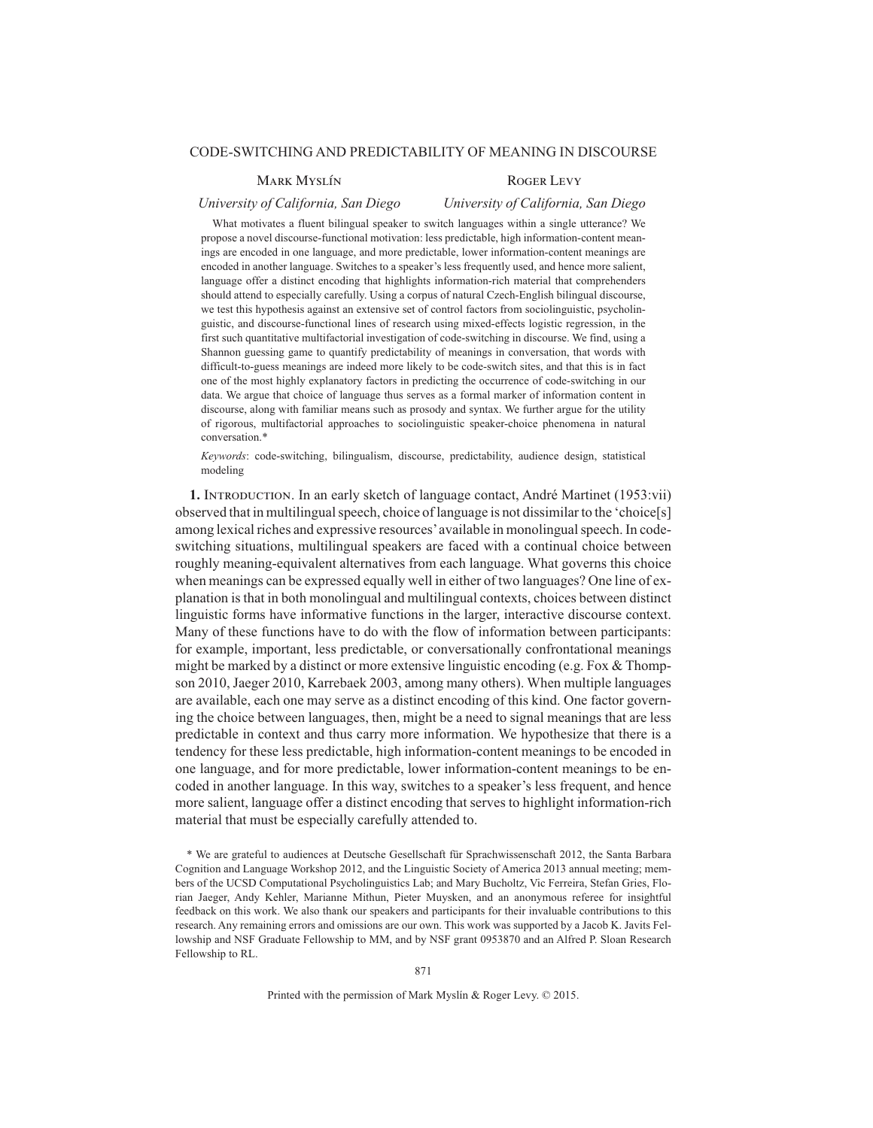# CODE-SWITCHING AND PREDICTABILITY OF MEANING IN DISCOURSE

## Mark Myslín Roger Levy

## *University of California, San Diego University of California, San Diego*

What motivates a fluent bilingual speaker to switch languages within a single utterance? We propose a novel discourse-functional motivation: less predictable, high information-content meanings are encoded in one language, and more predictable, lower information-content meanings are encoded in another language. Switches to a speaker's less frequently used, and hence more salient, language offer a distinct encoding that highlights information-rich material that comprehenders should attend to especially carefully. Using a corpus of natural Czech-English bilingual discourse, we test this hypothesis against an extensive set of control factors from sociolinguistic, psycholinguistic, and discourse-functional lines of research using mixed-effects logistic regression, in the first such quantitative multifactorial investigation of code-switching in discourse. We find, using a Shannon guessing game to quantify predictability of meanings in conversation, that words with difficult-to-guess meanings are indeed more likely to be code-switch sites, and that this is in fact one of the most highly explanatory factors in predicting the occurrence of code-switching in our data. We argue that choice of language thus serves as a formal marker of information content in discourse, along with familiar means such as prosody and syntax. We further argue for the utility of rigorous, multifactorial approaches to sociolinguistic speaker-choice phenomena in natural conversation.\*

*Keywords*: code-switching, bilingualism, discourse, predictability, audience design, statistical modeling

**1.** INTRODUCTION. In an early sketch of language contact, André Martinet (1953:vii) observed that in multilingual speech, choice of language is not dissimilar to the 'choice[s] among lexical riches and expressive resources'available in monolingual speech. In codeswitching situations, multilingual speakers are faced with a continual choice between roughly meaning-equivalent alternatives from each language. What governs this choice when meanings can be expressed equally well in either of two languages? One line of explanation is that in both monolingual and multilingual contexts, choices between distinct linguistic forms have informative functions in the larger, interactive discourse context. Many of these functions have to do with the flow of information between participants: for example, important, less predictable, or conversationally confrontational meanings might be marked by a distinct or more extensive linguistic encoding (e.g. Fox & Thompson 2010, Jaeger 2010, Karrebaek 2003, among many others). When multiple languages are available, each one may serve as a distinct encoding of this kind. One factor governing the choice between languages, then, might be a need to signal meanings that are less predictable in context and thus carry more information. We hypothesize that there is a tendency for these less predictable, high information-content meanings to be encoded in one language, and for more predictable, lower information-content meanings to be encoded in another language. In this way, switches to a speaker's less frequent, and hence more salient, language offer a distinct encoding that serves to highlight information-rich material that must be especially carefully attended to.

\* We are grateful to audiences at Deutsche Gesellschaft für Sprachwissenschaft 2012, the Santa Barbara Cognition and Language Workshop 2012, and the Linguistic Society of America 2013 annual meeting; members of the UCSD Computational Psycholinguistics Lab; and Mary Bucholtz, Vic Ferreira, Stefan Gries, Florian Jaeger, Andy Kehler, Marianne Mithun, Pieter Muysken, and an anonymous referee for insightful feedback on this work. We also thank our speakers and participants for their invaluable contributions to this research. Any remaining errors and omissions are our own. This work was supported by a Jacob K. Javits Fellowship and NSF Graduate Fellowship to MM, and by NSF grant 0953870 and an Alfred P. Sloan Research Fellowship to RL.

Printed with the permission of Mark Myslín & Roger Levy. © 2015.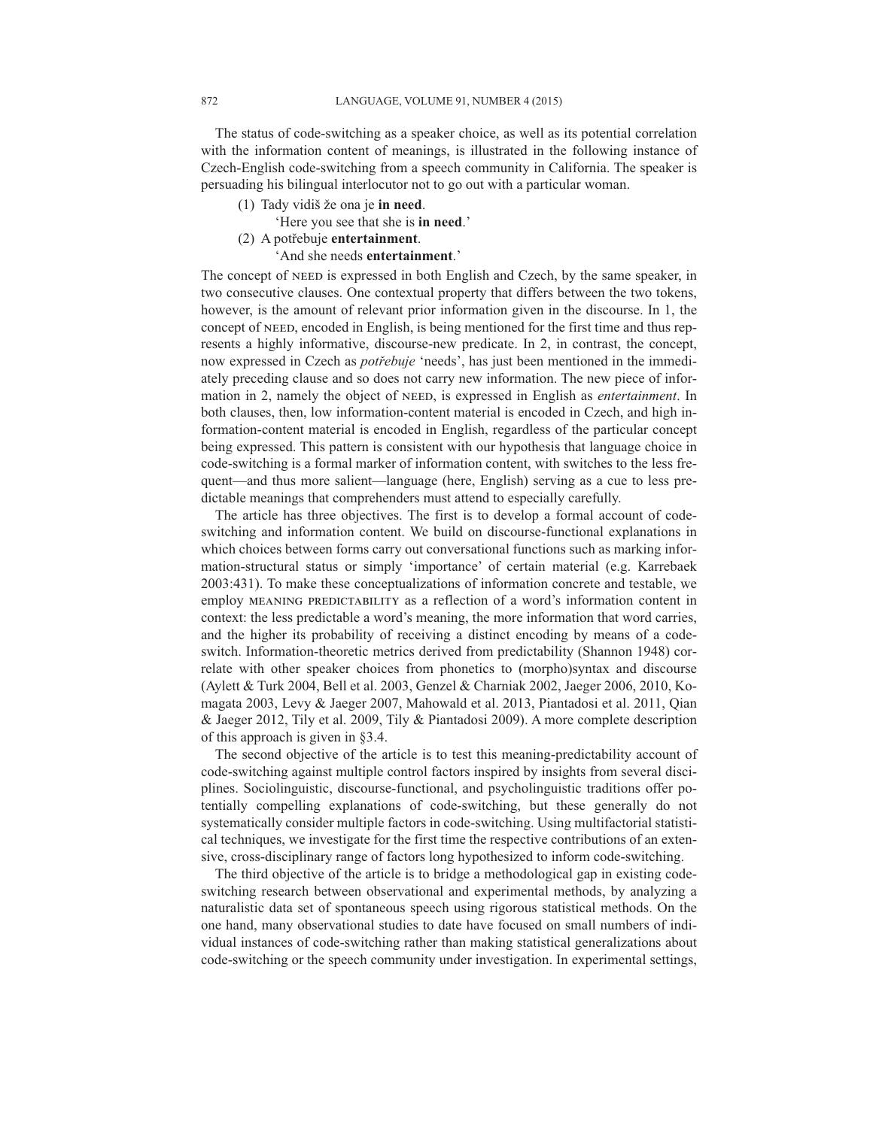The status of code-switching as a speaker choice, as well as its potential correlation with the information content of meanings, is illustrated in the following instance of Czech-English code-switching from a speech community in California. The speaker is persuading his bilingual interlocutor not to go out with a particular woman.

(1) Tady vidiš že ona je **in need**.

'Here you see that she is **in need**.'

# (2) A potřebuje **entertainment**.

# 'And she needs **entertainment**.'

The concept of NEED is expressed in both English and Czech, by the same speaker, in two consecutive clauses. One contextual property that differs between the two tokens, however, is the amount of relevant prior information given in the discourse. In 1, the concept of NEED, encoded in English, is being mentioned for the first time and thus represents a highly informative, discourse-new predicate. In 2, in contrast, the concept, now expressed in Czech as *potřebuje* 'needs', has just been mentioned in the immediately preceding clause and so does not carry new information. The new piece of information in 2, namely the object of NEED, is expressed in English as *entertainment*. In both clauses, then, low information-content material is encoded in Czech, and high information-content material is encoded in English, regardless of the particular concept being expressed. This pattern is consistent with our hypothesis that language choice in code-switching is a formal marker of information content, with switches to the less frequent—and thus more salient—language (here, English) serving as a cue to less predictable meanings that comprehenders must attend to especially carefully.

The article has three objectives. The first is to develop a formal account of codeswitching and information content. We build on discourse-functional explanations in which choices between forms carry out conversational functions such as marking information-structural status or simply 'importance' of certain material (e.g. Karrebaek 2003:431). To make these conceptualizations of information concrete and testable, we employ MEANING PREDICTABILITY as a reflection of a word's information content in context: the less predictable a word's meaning, the more information that word carries, and the higher its probability of receiving a distinct encoding by means of a codeswitch. Information-theoretic metrics derived from predictability (Shannon 1948) correlate with other speaker choices from phonetics to (morpho)syntax and discourse (Aylett & Turk 2004, Bell et al. 2003, Genzel & Charniak 2002, Jaeger 2006, 2010, Komagata 2003, Levy & Jaeger 2007, Mahowald et al. 2013, Piantadosi et al. 2011, Qian & Jaeger 2012, Tily et al. 2009, Tily & Piantadosi 2009). A more complete description of this approach is given in §3.4.

The second objective of the article is to test this meaning-predictability account of code-switching against multiple control factors inspired by insights from several disciplines. Sociolinguistic, discourse-functional, and psycholinguistic traditions offer potentially compelling explanations of code-switching, but these generally do not systematically consider multiple factors in code-switching. Using multifactorial statistical techniques, we investigate for the first time the respective contributions of an extensive, cross-disciplinary range of factors long hypothesized to inform code-switching.

The third objective of the article is to bridge a methodological gap in existing codeswitching research between observational and experimental methods, by analyzing a naturalistic data set of spontaneous speech using rigorous statistical methods. On the one hand, many observational studies to date have focused on small numbers of individual instances of code-switching rather than making statistical generalizations about code-switching or the speech community under investigation. In experimental settings,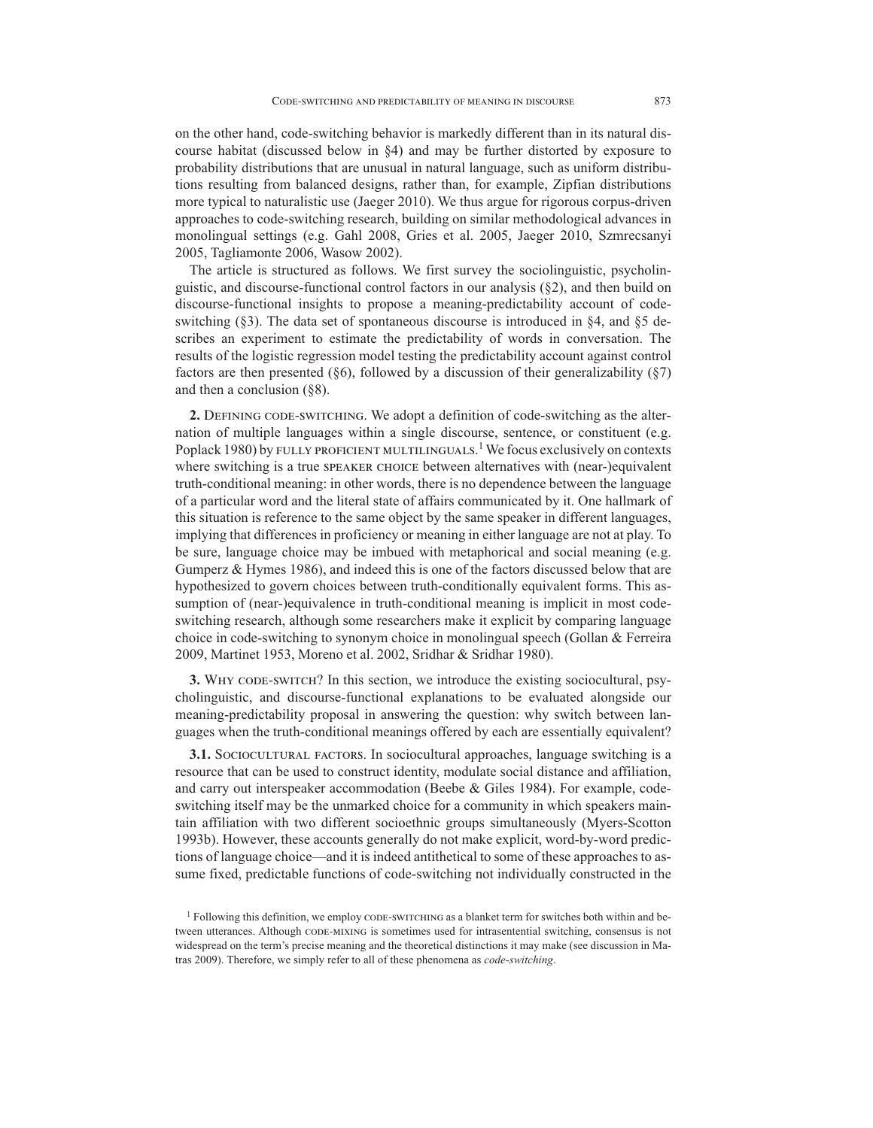on the other hand, code-switching behavior is markedly different than in its natural discourse habitat (discussed below in §4) and may be further distorted by exposure to probability distributions that are unusual in natural language, such as uniform distributions resulting from balanced designs, rather than, for example, Zipfian distributions more typical to naturalistic use (Jaeger 2010). We thus argue for rigorous corpus-driven approaches to code-switching research, building on similar methodological advances in monolingual settings (e.g. Gahl 2008, Gries et al. 2005, Jaeger 2010, Szmrecsanyi 2005, Tagliamonte 2006, Wasow 2002).

The article is structured as follows. We first survey the sociolinguistic, psycholinguistic, and discourse-functional control factors in our analysis (§2), and then build on discourse-functional insights to propose a meaning-predictability account of codeswitching (§3). The data set of spontaneous discourse is introduced in §4, and §5 describes an experiment to estimate the predictability of words in conversation. The results of the logistic regression model testing the predictability account against control factors are then presented ( $\S6$ ), followed by a discussion of their generalizability ( $\S7$ ) and then a conclusion (§8).

**2.** Defining code-switching. We adopt a definition of code-switching as the alternation of multiple languages within a single discourse, sentence, or constituent (e.g. Poplack 1980) by FULLY PROFICIENT MULTILINGUALS.<sup>1</sup> We focus exclusively on contexts where switching is a true speaker choice between alternatives with (near-)equivalent truth-conditional meaning: in other words, there is no dependence between the language of a particular word and the literal state of affairs communicated by it. One hallmark of this situation is reference to the same object by the same speaker in different languages, implying that differences in proficiency or meaning in either language are not at play. To be sure, language choice may be imbued with metaphorical and social meaning (e.g. Gumperz & Hymes 1986), and indeed this is one of the factors discussed below that are hypothesized to govern choices between truth-conditionally equivalent forms. This assumption of (near-)equivalence in truth-conditional meaning is implicit in most codeswitching research, although some researchers make it explicit by comparing language choice in code-switching to synonym choice in monolingual speech (Gollan & Ferreira 2009, Martinet 1953, Moreno et al. 2002, Sridhar & Sridhar 1980).

**3.** Why code-switch? In this section, we introduce the existing sociocultural, psycholinguistic, and discourse-functional explanations to be evaluated alongside our meaning-predictability proposal in answering the question: why switch between languages when the truth-conditional meanings offered by each are essentially equivalent?

**3.1.** Sociocultural FACTORS. In sociocultural approaches, language switching is a resource that can be used to construct identity, modulate social distance and affiliation, and carry out interspeaker accommodation (Beebe & Giles 1984). For example, codeswitching itself may be the unmarked choice for a community in which speakers maintain affiliation with two different socioethnic groups simultaneously (Myers-Scotton 1993b). However, these accounts generally do not make explicit, word-by-word predictions of language choice—and it is indeed antithetical to some of these approaches to assume fixed, predictable functions of code-switching not individually constructed in the

 $1$  Following this definition, we employ CODE-SWITCHING as a blanket term for switches both within and between utterances. Although code-mixing is sometimes used for intrasentential switching, consensus is not widespread on the term's precise meaning and the theoretical distinctions it may make (see discussion in Matras 2009). Therefore, we simply refer to all of these phenomena as *code-switching*.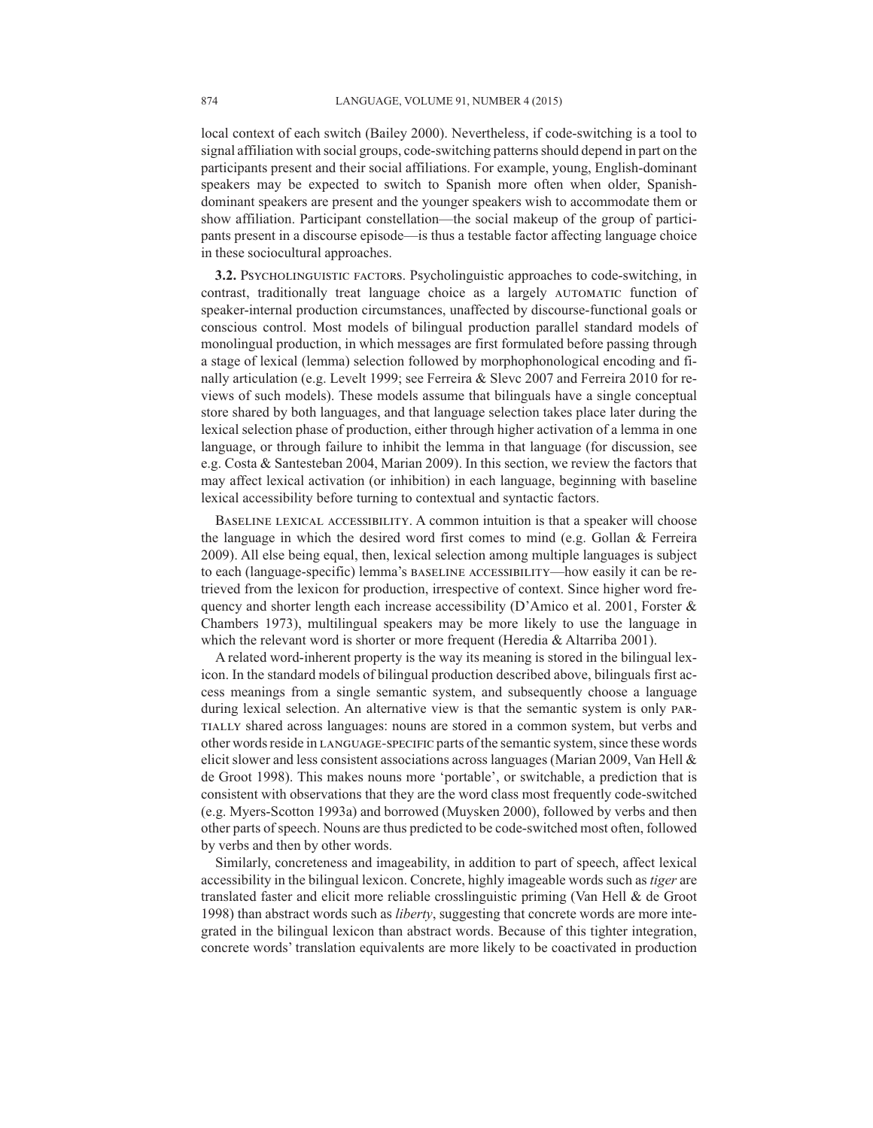local context of each switch (Bailey 2000). Nevertheless, if code-switching is a tool to signal affiliation with social groups, code-switching patterns should depend in part on the participants present and their social affiliations. For example, young, English-dominant speakers may be expected to switch to Spanish more often when older, Spanishdominant speakers are present and the younger speakers wish to accommodate them or show affiliation. Participant constellation—the social makeup of the group of participants present in a discourse episode—is thus a testable factor affecting language choice in these sociocultural approaches.

**3.2.** Psycholinguistic factors. Psycholinguistic approaches to code-switching, in contrast, traditionally treat language choice as a largely automatic function of speaker-internal production circumstances, unaffected by discourse-functional goals or conscious control. Most models of bilingual production parallel standard models of monolingual production, in which messages are first formulated before passing through a stage of lexical (lemma) selection followed by morphophonological encoding and finally articulation (e.g. Levelt 1999; see Ferreira & Slevc 2007 and Ferreira 2010 for reviews of such models). These models assume that bilinguals have a single conceptual store shared by both languages, and that language selection takes place later during the lexical selection phase of production, either through higher activation of a lemma in one language, or through failure to inhibit the lemma in that language (for discussion, see e.g. Costa & Santesteban 2004, Marian 2009). In this section, we review the factors that may affect lexical activation (or inhibition) in each language, beginning with baseline lexical accessibility before turning to contextual and syntactic factors.

Baseline lexical accessibility. A common intuition is that a speaker will choose the language in which the desired word first comes to mind (e.g. Gollan & Ferreira 2009). All else being equal, then, lexical selection among multiple languages is subject to each (language-specific) lemma's BASELINE ACCESSIBILITY—how easily it can be retrieved from the lexicon for production, irrespective of context. Since higher word frequency and shorter length each increase accessibility (D'Amico et al. 2001, Forster  $\&$ Chambers 1973), multilingual speakers may be more likely to use the language in which the relevant word is shorter or more frequent (Heredia & Altarriba 2001).

A related word-inherent property is the way its meaning is stored in the bilingual lexicon. In the standard models of bilingual production described above, bilinguals first access meanings from a single semantic system, and subsequently choose a language during lexical selection. An alternative view is that the semantic system is only partially shared across languages: nouns are stored in a common system, but verbs and other words reside in LANGUAGE-SPECIFIC parts of the semantic system, since these words elicit slower and less consistent associations across languages (Marian 2009, Van Hell & de Groot 1998). This makes nouns more 'portable', or switchable, a prediction that is consistent with observations that they are the word class most frequently code-switched (e.g. Myers-Scotton 1993a) and borrowed (Muysken 2000), followed by verbs and then other parts of speech. Nouns are thus predicted to be code-switched most often, followed by verbs and then by other words.

Similarly, concreteness and imageability, in addition to part of speech, affect lexical accessibility in the bilingual lexicon. Concrete, highly imageable words such as *tiger* are translated faster and elicit more reliable crosslinguistic priming (Van Hell & de Groot 1998) than abstract words such as *liberty*, suggesting that concrete words are more integrated in the bilingual lexicon than abstract words. Because of this tighter integration, concrete words' translation equivalents are more likely to be coactivated in production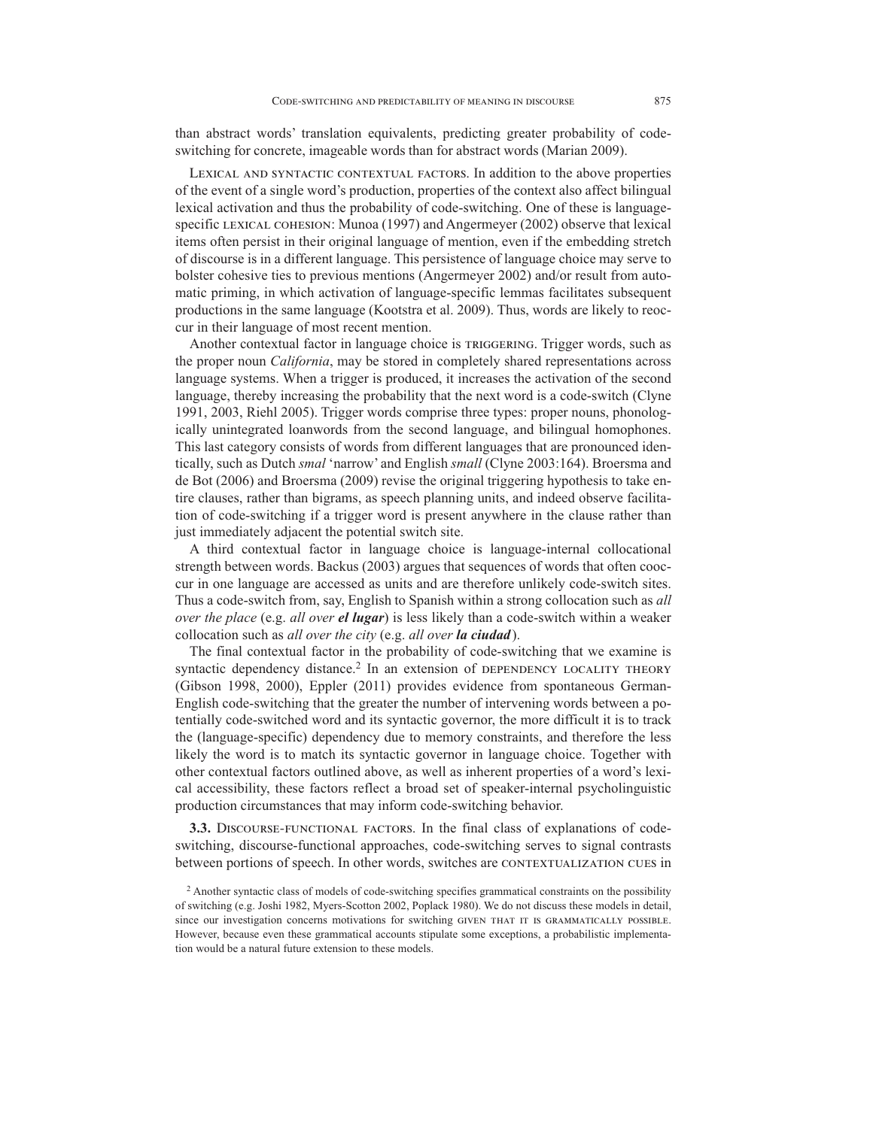than abstract words' translation equivalents, predicting greater probability of codeswitching for concrete, imageable words than for abstract words (Marian 2009).

Lexical and syntactic contextual factors. In addition to the above properties of the event of a single word's production, properties of the context also affect bilingual lexical activation and thus the probability of code-switching. One of these is languagespecific lexical cohesion: Munoa (1997) and Angermeyer (2002) observe that lexical items often persist in their original language of mention, even if the embedding stretch of discourse is in a different language. This persistence of language choice may serve to bolster cohesive ties to previous mentions (Angermeyer 2002) and/or result from automatic priming, in which activation of language-specific lemmas facilitates subsequent productions in the same language (Kootstra et al. 2009). Thus, words are likely to reoccur in their language of most recent mention.

Another contextual factor in language choice is TRIGGERING. Trigger words, such as the proper noun *California*, may be stored in completely shared representations across language systems. When a trigger is produced, it increases the activation of the second language, thereby increasing the probability that the next word is a code-switch (Clyne 1991, 2003, Riehl 2005). Trigger words comprise three types: proper nouns, phonologically unintegrated loanwords from the second language, and bilingual homophones. This last category consists of words from different languages that are pronounced identically, such as Dutch *smal* 'narrow' and English *small* (Clyne 2003:164). Broersma and de Bot (2006) and Broersma (2009) revise the original triggering hypothesis to take entire clauses, rather than bigrams, as speech planning units, and indeed observe facilitation of code-switching if a trigger word is present anywhere in the clause rather than just immediately adjacent the potential switch site.

A third contextual factor in language choice is language-internal collocational strength between words. Backus (2003) argues that sequences of words that often cooccur in one language are accessed as units and are therefore unlikely code-switch sites. Thus a code-switch from, say, English to Spanish within a strong collocation such as *all over the place* (e.g. *all over el lugar*) is less likely than a code-switch within a weaker collocation such as *all over the city* (e.g. *all over la ciudad*).

The final contextual factor in the probability of code-switching that we examine is syntactic dependency distance.<sup>2</sup> In an extension of DEPENDENCY LOCALITY THEORY (Gibson 1998, 2000), Eppler (2011) provides evidence from spontaneous German-English code-switching that the greater the number of intervening words between a potentially code-switched word and its syntactic governor, the more difficult it is to track the (language-specific) dependency due to memory constraints, and therefore the less likely the word is to match its syntactic governor in language choice. Together with other contextual factors outlined above, as well as inherent properties of a word's lexical accessibility, these factors reflect a broad set of speaker-internal psycholinguistic production circumstances that may inform code-switching behavior.

**3.3.** Discourse-functional factors. In the final class of explanations of codeswitching, discourse-functional approaches, code-switching serves to signal contrasts between portions of speech. In other words, switches are CONTEXTUALIZATION CUES in

<sup>&</sup>lt;sup>2</sup> Another syntactic class of models of code-switching specifies grammatical constraints on the possibility of switching (e.g. Joshi 1982, Myers-Scotton 2002, Poplack 1980). We do not discuss these models in detail, since our investigation concerns motivations for switching given that it is grammatically possible. However, because even these grammatical accounts stipulate some exceptions, a probabilistic implementation would be a natural future extension to these models.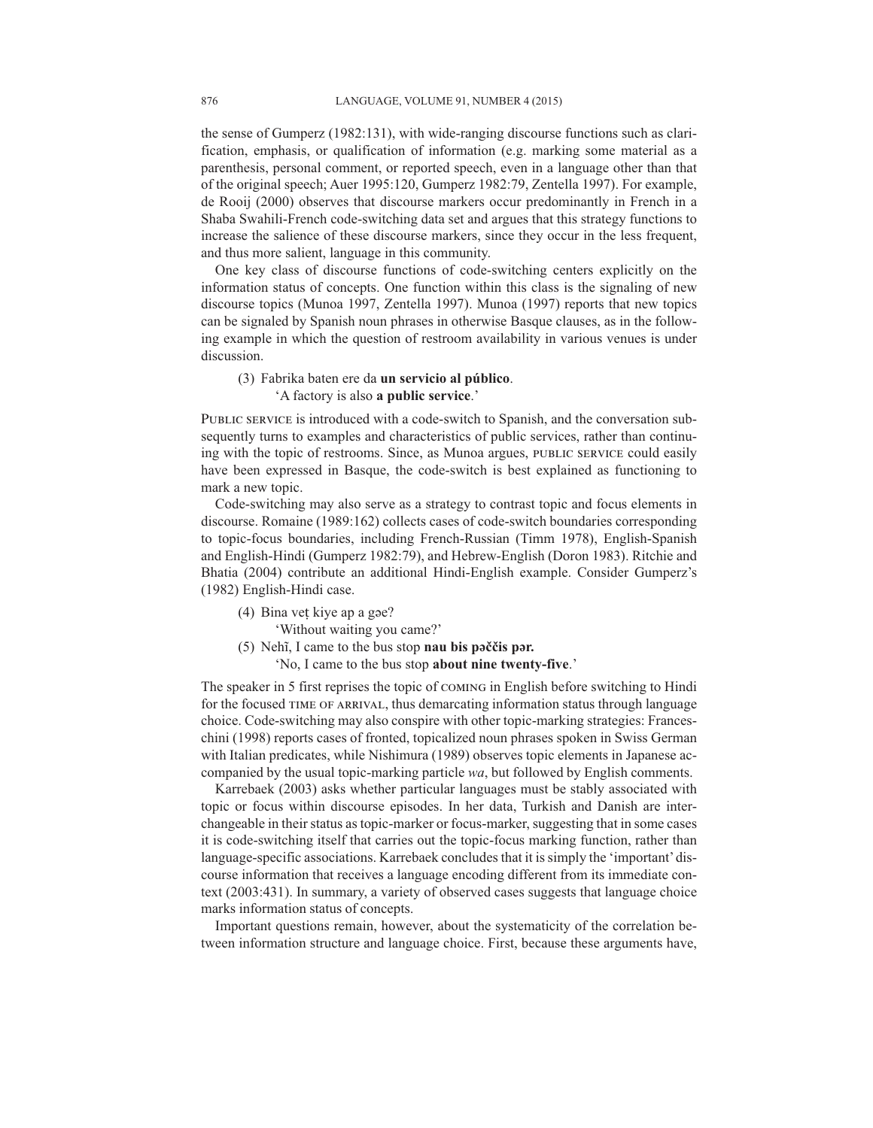the sense of Gumperz (1982:131), with wide-ranging discourse functions such as clarification, emphasis, or qualification of information (e.g. marking some material as a parenthesis, personal comment, or reported speech, even in a language other than that of the original speech; Auer 1995:120, Gumperz 1982:79, Zentella 1997). For example, de Rooij (2000) observes that discourse markers occur predominantly in French in a Shaba Swahili-French code-switching data set and argues that this strategy functions to increase the salience of these discourse markers, since they occur in the less frequent, and thus more salient, language in this community.

One key class of discourse functions of code-switching centers explicitly on the information status of concepts. One function within this class is the signaling of new discourse topics (Munoa 1997, Zentella 1997). Munoa (1997) reports that new topics can be signaled by Spanish noun phrases in otherwise Basque clauses, as in the following example in which the question of restroom availability in various venues is under discussion.

# (3) Fabrika baten ere da **un servicio al público**. 'A factory is also **a public service**.'

PUBLIC SERVICE is introduced with a code-switch to Spanish, and the conversation subsequently turns to examples and characteristics of public services, rather than continuing with the topic of restrooms. Since, as Munoa argues, PUBLIC SERVICE could easily have been expressed in Basque, the code-switch is best explained as functioning to mark a new topic.

Code-switching may also serve as a strategy to contrast topic and focus elements in discourse. Romaine (1989:162) collects cases of code-switch boundaries corresponding to topic-focus boundaries, including French-Russian (Timm 1978), English-Spanish and English-Hindi (Gumperz 1982:79), and Hebrew-English (Doron 1983). Ritchie and Bhatia (2004) contribute an additional Hindi-English example. Consider Gumperz's (1982) English-Hindi case.

- (4) Bina veṭ kiye ap a gəe?
	- 'Without waiting you came?'
- (5) Nehĩ, I came to the bus stop **nau bis pəččis pər.**
	- 'No, I came to the bus stop **about nine twenty-five**.'

The speaker in 5 first reprises the topic of coming in English before switching to Hindi for the focused TIME OF ARRIVAL, thus demarcating information status through language choice. Code-switching may also conspire with other topic-marking strategies: Franceschini (1998) reports cases of fronted, topicalized noun phrases spoken in Swiss German with Italian predicates, while Nishimura (1989) observes topic elements in Japanese accompanied by the usual topic-marking particle *wa*, but followed by English comments.

Karrebaek (2003) asks whether particular languages must be stably associated with topic or focus within discourse episodes. In her data, Turkish and Danish are interchangeable in their status as topic-marker or focus-marker, suggesting that in some cases it is code-switching itself that carries out the topic-focus marking function, rather than language-specific associations. Karrebaek concludes that it is simply the 'important' discourse information that receives a language encoding different from its immediate context (2003:431). In summary, a variety of observed cases suggests that language choice marks information status of concepts.

Important questions remain, however, about the systematicity of the correlation between information structure and language choice. First, because these arguments have,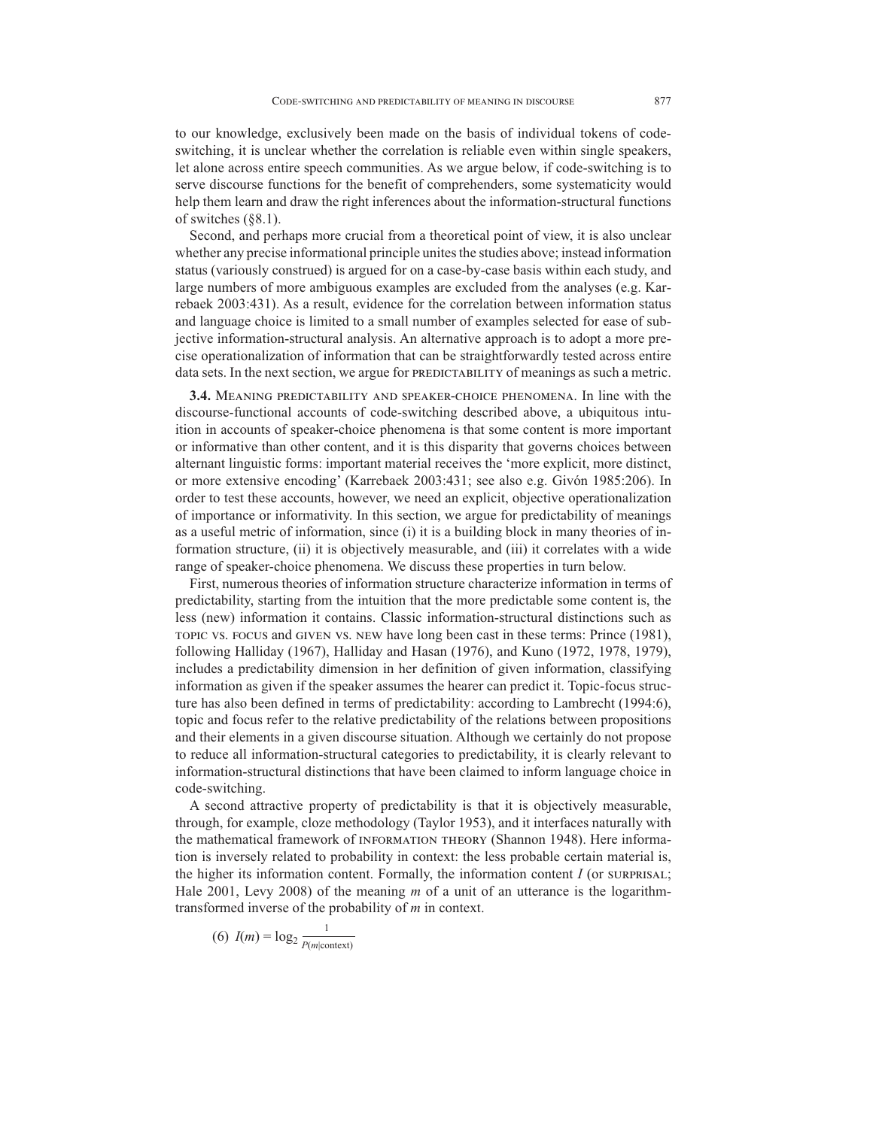to our knowledge, exclusively been made on the basis of individual tokens of codeswitching, it is unclear whether the correlation is reliable even within single speakers, let alone across entire speech communities. As we argue below, if code-switching is to serve discourse functions for the benefit of comprehenders, some systematicity would help them learn and draw the right inferences about the information-structural functions of switches (§8.1).

Second, and perhaps more crucial from a theoretical point of view, it is also unclear whether any precise informational principle unites the studies above; instead information status (variously construed) is argued for on a case-by-case basis within each study, and large numbers of more ambiguous examples are excluded from the analyses (e.g. Karrebaek 2003:431). As a result, evidence for the correlation between information status and language choice is limited to a small number of examples selected for ease of subjective information-structural analysis. An alternative approach is to adopt a more precise operationalization of information that can be straightforwardly tested across entire data sets. In the next section, we argue for PREDICTABILITY of meanings as such a metric.

**3.4.** Meaning predictability and speaker-choice phenomena. In line with the discourse-functional accounts of code-switching described above, a ubiquitous intuition in accounts of speaker-choice phenomena is that some content is more important or informative than other content, and it is this disparity that governs choices between alternant linguistic forms: important material receives the 'more explicit, more distinct, or more extensive encoding' (Karrebaek 2003:431; see also e.g. Givón 1985:206). In order to test these accounts, however, we need an explicit, objective operationalization of importance or informativity. In this section, we argue for predictability of meanings as a useful metric of information, since (i) it is a building block in many theories of information structure, (ii) it is objectively measurable, and (iii) it correlates with a wide range of speaker-choice phenomena. We discuss these properties in turn below.

First, numerous theories of information structure characterize information in terms of predictability, starting from the intuition that the more predictable some content is, the less (new) information it contains. Classic information-structural distinctions such as topic vs. focus and given vs. new have long been cast in these terms: Prince (1981), following Halliday (1967), Halliday and Hasan (1976), and Kuno (1972, 1978, 1979), includes a predictability dimension in her definition of given information, classifying information as given if the speaker assumes the hearer can predict it. Topic-focus structure has also been defined in terms of predictability: according to Lambrecht (1994:6), topic and focus refer to the relative predictability of the relations between propositions and their elements in a given discourse situation. Although we certainly do not propose to reduce all information-structural categories to predictability, it is clearly relevant to information-structural distinctions that have been claimed to inform language choice in code-switching.

A second attractive property of predictability is that it is objectively measurable, through, for example, cloze methodology (Taylor 1953), and it interfaces naturally with the mathematical framework of INFORMATION THEORY (Shannon 1948). Here information is inversely related to probability in context: the less probable certain material is, the higher its information content. Formally, the information content *I* (or surprisal; Hale 2001, Levy 2008) of the meaning *m* of a unit of an utterance is the logarithmtransformed inverse of the probability of *m* in context.

$$
(6) I(m) = \log_2 \frac{1}{P(m|\text{context})}
$$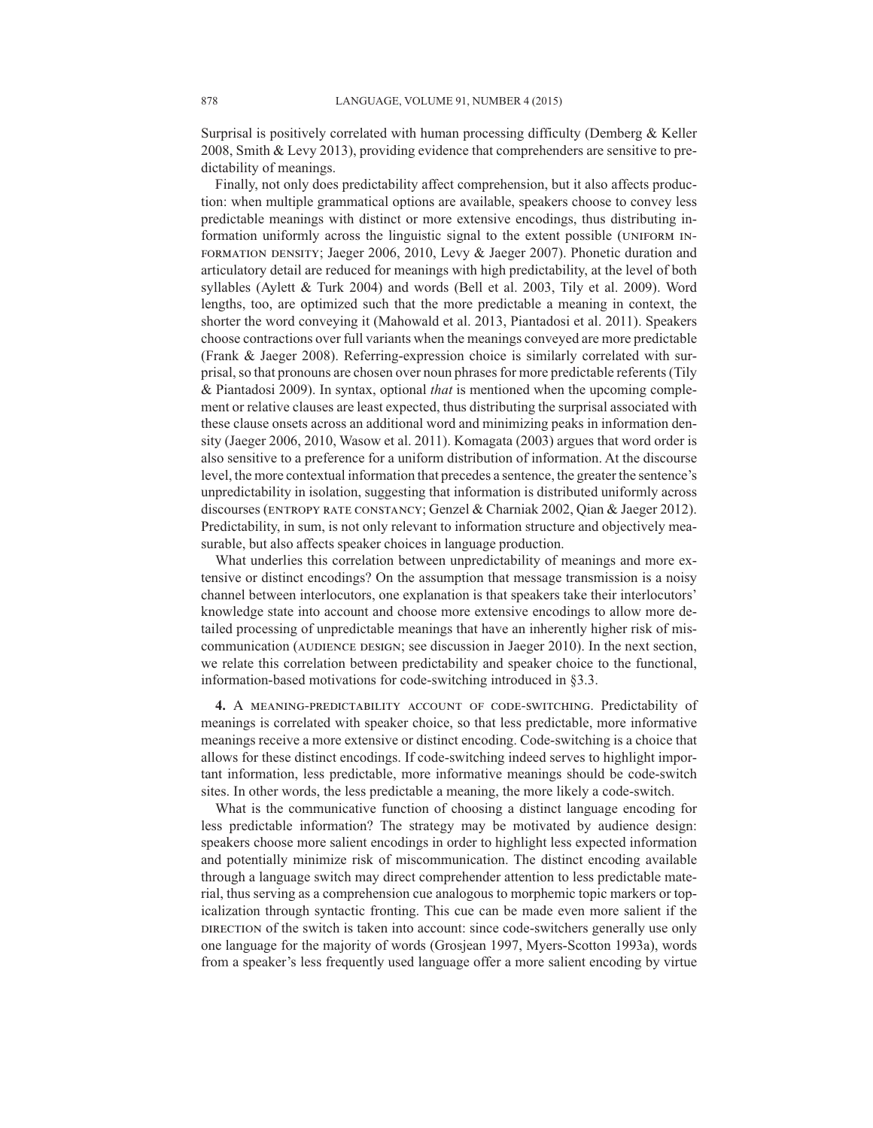Surprisal is positively correlated with human processing difficulty (Demberg & Keller 2008, Smith & Levy 2013), providing evidence that comprehenders are sensitive to predictability of meanings.

Finally, not only does predictability affect comprehension, but it also affects production: when multiple grammatical options are available, speakers choose to convey less predictable meanings with distinct or more extensive encodings, thus distributing information uniformly across the linguistic signal to the extent possible (UNIFORM INformation density; Jaeger 2006, 2010, Levy & Jaeger 2007). Phonetic duration and articulatory detail are reduced for meanings with high predictability, at the level of both syllables (Aylett & Turk 2004) and words (Bell et al. 2003, Tily et al. 2009). Word lengths, too, are optimized such that the more predictable a meaning in context, the shorter the word conveying it (Mahowald et al. 2013, Piantadosi et al. 2011). Speakers choose contractions over full variants when the meanings conveyed are more predictable (Frank & Jaeger 2008). Referring-expression choice is similarly correlated with surprisal, so that pronouns are chosen over noun phrases for more predictable referents (Tily & Piantadosi 2009). In syntax, optional *that* is mentioned when the upcoming complement or relative clauses are least expected, thus distributing the surprisal associated with these clause onsets across an additional word and minimizing peaks in information density (Jaeger 2006, 2010, Wasow et al. 2011). Komagata (2003) argues that word order is also sensitive to a preference for a uniform distribution of information. At the discourse level, the more contextual information that precedes a sentence, the greater the sentence's unpredictability in isolation, suggesting that information is distributed uniformly across discourses (entropy rate constancy; Genzel & Charniak 2002, Qian & Jaeger 2012). Predictability, in sum, is not only relevant to information structure and objectively measurable, but also affects speaker choices in language production.

What underlies this correlation between unpredictability of meanings and more extensive or distinct encodings? On the assumption that message transmission is a noisy channel between interlocutors, one explanation is that speakers take their interlocutors' knowledge state into account and choose more extensive encodings to allow more detailed processing of unpredictable meanings that have an inherently higher risk of miscommunication (AUDIENCE DESIGN; see discussion in Jaeger 2010). In the next section, we relate this correlation between predictability and speaker choice to the functional, information-based motivations for code-switching introduced in §3.3.

**4.** A meaning-predictability account of code-switching. Predictability of meanings is correlated with speaker choice, so that less predictable, more informative meanings receive a more extensive or distinct encoding. Code-switching is a choice that allows for these distinct encodings. If code-switching indeed serves to highlight important information, less predictable, more informative meanings should be code-switch sites. In other words, the less predictable a meaning, the more likely a code-switch.

What is the communicative function of choosing a distinct language encoding for less predictable information? The strategy may be motivated by audience design: speakers choose more salient encodings in order to highlight less expected information and potentially minimize risk of miscommunication. The distinct encoding available through a language switch may direct comprehender attention to less predictable material, thus serving as a comprehension cue analogous to morphemic topic markers or topicalization through syntactic fronting. This cue can be made even more salient if the direction of the switch is taken into account: since code-switchers generally use only one language for the majority of words (Grosjean 1997, Myers-Scotton 1993a), words from a speaker's less frequently used language offer a more salient encoding by virtue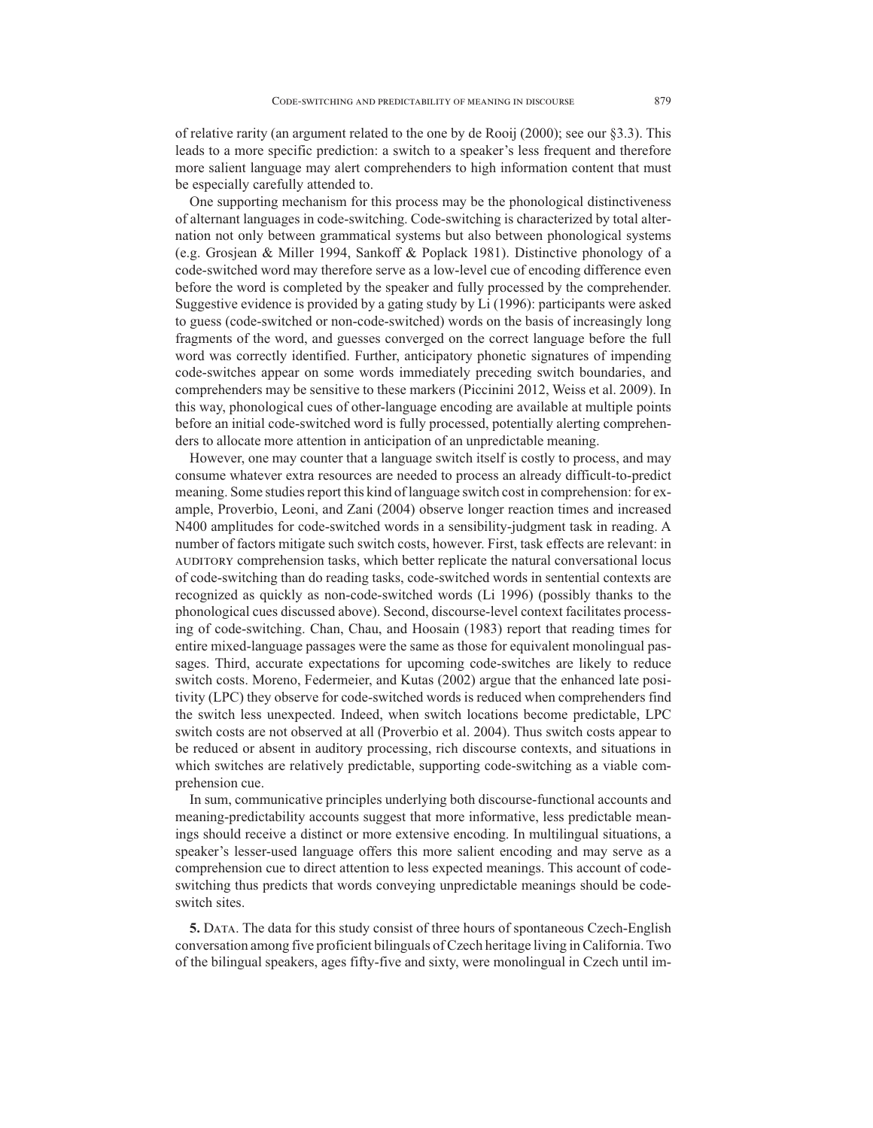of relative rarity (an argument related to the one by de Rooij (2000); see our §3.3). This leads to a more specific prediction: a switch to a speaker's less frequent and therefore more salient language may alert comprehenders to high information content that must be especially carefully attended to.

One supporting mechanism for this process may be the phonological distinctiveness of alternant languages in code-switching. Code-switching is characterized by total alternation not only between grammatical systems but also between phonological systems (e.g. Grosjean & Miller 1994, Sankoff & Poplack 1981). Distinctive phonology of a code-switched word may therefore serve as a low-level cue of encoding difference even before the word is completed by the speaker and fully processed by the comprehender. Suggestive evidence is provided by a gating study by Li (1996): participants were asked to guess (code-switched or non-code-switched) words on the basis of increasingly long fragments of the word, and guesses converged on the correct language before the full word was correctly identified. Further, anticipatory phonetic signatures of impending code-switches appear on some words immediately preceding switch boundaries, and comprehenders may be sensitive to these markers (Piccinini 2012, Weiss et al. 2009). In this way, phonological cues of other-language encoding are available at multiple points before an initial code-switched word is fully processed, potentially alerting comprehenders to allocate more attention in anticipation of an unpredictable meaning.

However, one may counter that a language switch itself is costly to process, and may consume whatever extra resources are needed to process an already difficult-to-predict meaning. Some studies report this kind of language switch cost in comprehension: for example, Proverbio, Leoni, and Zani (2004) observe longer reaction times and increased N400 amplitudes for code-switched words in a sensibility-judgment task in reading. A number of factors mitigate such switch costs, however. First, task effects are relevant: in auditory comprehension tasks, which better replicate the natural conversational locus of code-switching than do reading tasks, code-switched words in sentential contexts are recognized as quickly as non-code-switched words (Li 1996) (possibly thanks to the phonological cues discussed above). Second, discourse-level context facilitates processing of code-switching. Chan, Chau, and Hoosain (1983) report that reading times for entire mixed-language passages were the same as those for equivalent monolingual passages. Third, accurate expectations for upcoming code-switches are likely to reduce switch costs. Moreno, Federmeier, and Kutas (2002) argue that the enhanced late positivity (LPC) they observe for code-switched words is reduced when comprehenders find the switch less unexpected. Indeed, when switch locations become predictable, LPC switch costs are not observed at all (Proverbio et al. 2004). Thus switch costs appear to be reduced or absent in auditory processing, rich discourse contexts, and situations in which switches are relatively predictable, supporting code-switching as a viable comprehension cue.

In sum, communicative principles underlying both discourse-functional accounts and meaning-predictability accounts suggest that more informative, less predictable meanings should receive a distinct or more extensive encoding. In multilingual situations, a speaker's lesser-used language offers this more salient encoding and may serve as a comprehension cue to direct attention to less expected meanings. This account of codeswitching thus predicts that words conveying unpredictable meanings should be codeswitch sites.

**5.** Data. The data for this study consist of three hours of spontaneous Czech-English conversation among five proficient bilinguals of Czech heritage living in California. Two of the bilingual speakers, ages fifty-five and sixty, were monolingual in Czech until im-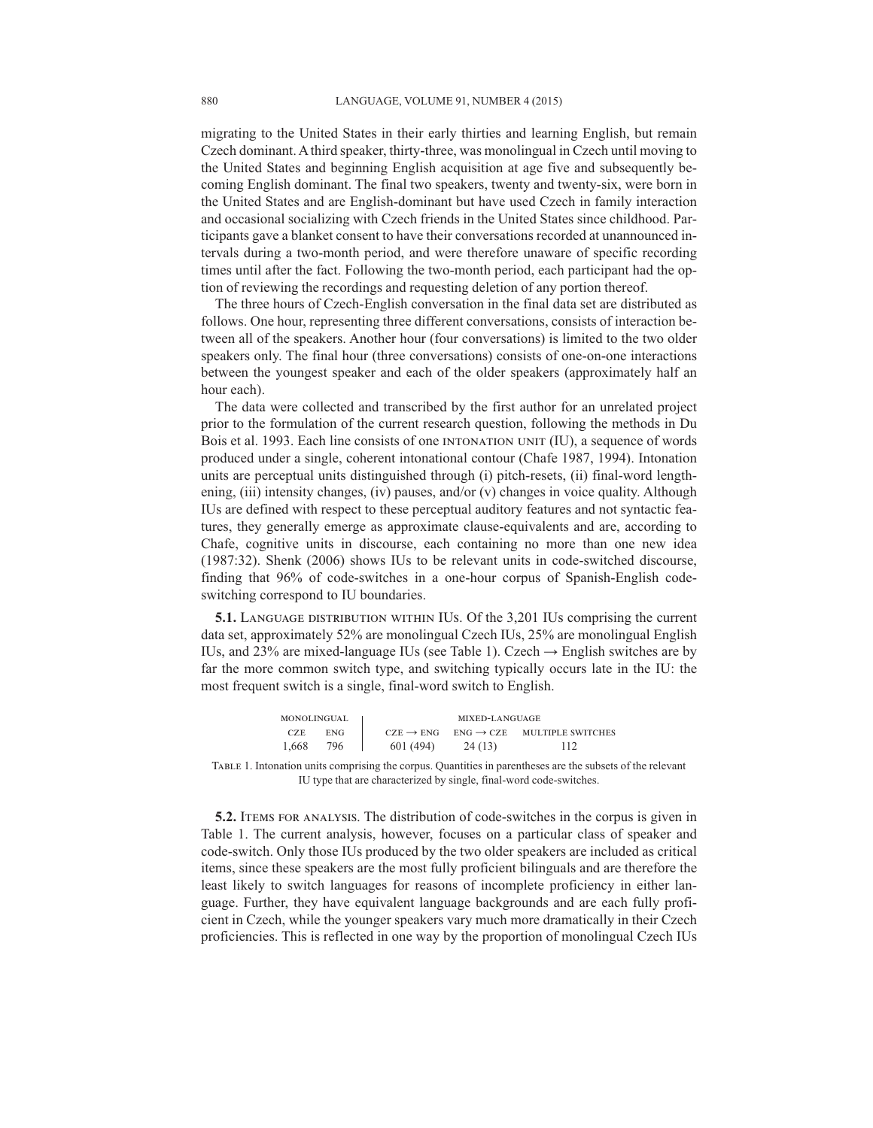migrating to the United States in their early thirties and learning English, but remain Czech dominant. Athird speaker, thirty-three, was monolingual in Czech until moving to the United States and beginning English acquisition at age five and subsequently becoming English dominant. The final two speakers, twenty and twenty-six, were born in the United States and are English-dominant but have used Czech in family interaction and occasional socializing with Czech friends in the United States since childhood. Participants gave a blanket consent to have their conversations recorded at unannounced intervals during a two-month period, and were therefore unaware of specific recording times until after the fact. Following the two-month period, each participant had the option of reviewing the recordings and requesting deletion of any portion thereof.

The three hours of Czech-English conversation in the final data set are distributed as follows. One hour, representing three different conversations, consists of interaction between all of the speakers. Another hour (four conversations) is limited to the two older speakers only. The final hour (three conversations) consists of one-on-one interactions between the youngest speaker and each of the older speakers (approximately half an hour each).

The data were collected and transcribed by the first author for an unrelated project prior to the formulation of the current research question, following the methods in Du Bois et al. 1993. Each line consists of one intonation unit (IU), a sequence of words produced under a single, coherent intonational contour (Chafe 1987, 1994). Intonation units are perceptual units distinguished through (i) pitch-resets, (ii) final-word lengthening, (iii) intensity changes, (iv) pauses, and/or (v) changes in voice quality. Although IUs are defined with respect to these perceptual auditory features and not syntactic features, they generally emerge as approximate clause-equivalents and are, according to Chafe, cognitive units in discourse, each containing no more than one new idea (1987:32). Shenk (2006) shows IUs to be relevant units in code-switched discourse, finding that 96% of code-switches in a one-hour corpus of Spanish-English codeswitching correspond to IU boundaries.

**5.1.** LANGUAGE DISTRIBUTION WITHIN IUS. Of the 3,201 IUs comprising the current data set, approximately 52% are monolingual Czech IUs, 25% are monolingual English IUs, and 23% are mixed-language IUs (see Table 1). Czech  $\rightarrow$  English switches are by far the more common switch type, and switching typically occurs late in the IU: the most frequent switch is a single, final-word switch to English.

| MONOLINGUAL |            |  | <b>MIXED-LANGUAGE</b> |                       |                   |  |  |
|-------------|------------|--|-----------------------|-----------------------|-------------------|--|--|
| CZE         | <b>ENG</b> |  | $CZE \rightarrow ENG$ | $ENG \rightarrow CZE$ | MULTIPLE SWITCHES |  |  |
| 1.668       | 796        |  | 601 (494)             | 24(13)                | 112               |  |  |

Table 1. Intonation units comprising the corpus. Quantities in parentheses are the subsets of the relevant IU type that are characterized by single, final-word code-switches.

**5.2.** Items for analysis. The distribution of code-switches in the corpus is given in Table 1. The current analysis, however, focuses on a particular class of speaker and code-switch. Only those IUs produced by the two older speakers are included as critical items, since these speakers are the most fully proficient bilinguals and are therefore the least likely to switch languages for reasons of incomplete proficiency in either language. Further, they have equivalent language backgrounds and are each fully proficient in Czech, while the younger speakers vary much more dramatically in their Czech proficiencies. This is reflected in one way by the proportion of monolingual Czech IUs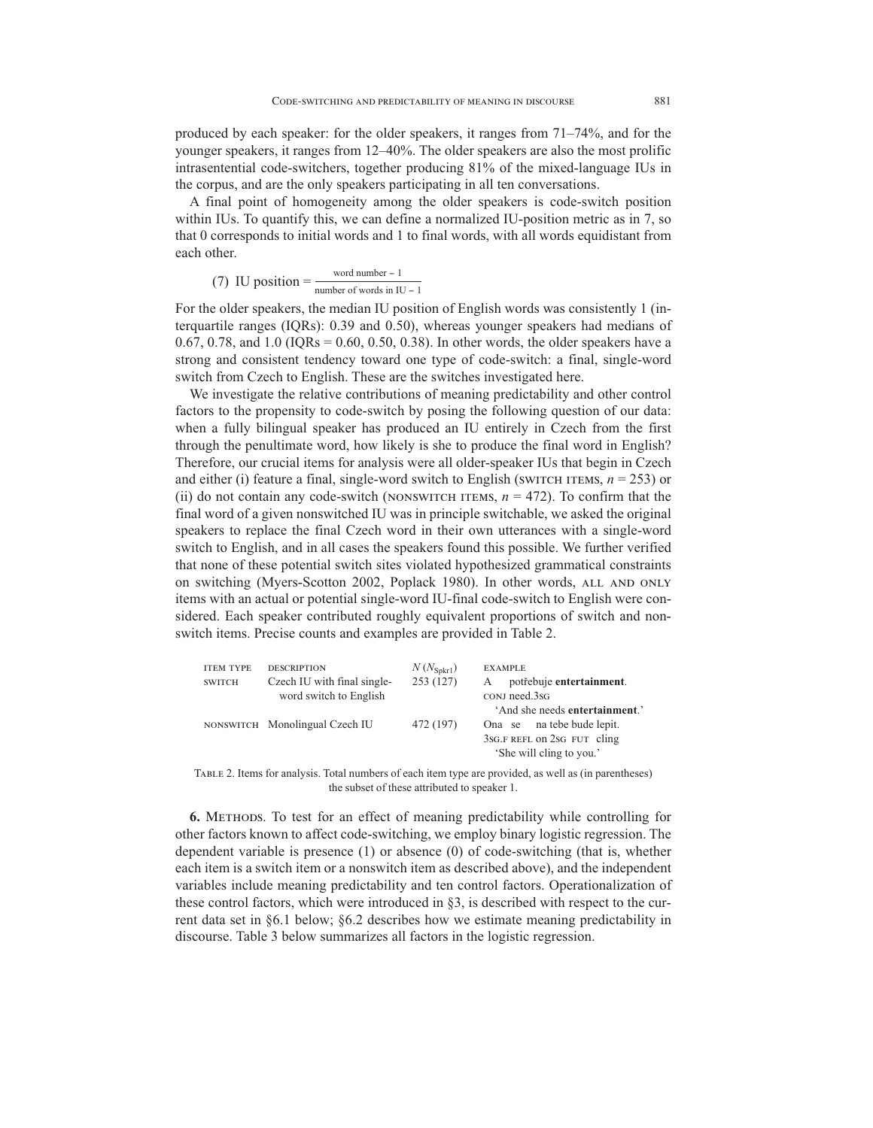produced by each speaker: for the older speakers, it ranges from 71–74%, and for the younger speakers, it ranges from 12–40%. The older speakers are also the most prolific intrasentential code-switchers, together producing 81% of the mixed-language IUs in the corpus, and are the only speakers participating in all ten conversations.

A final point of homogeneity among the older speakers is code-switch position within IUs. To quantify this, we can define a normalized IU-position metric as in 7, so that 0 corresponds to initial words and 1 to final words, with all words equidistant from each other.

(7) IU position =  $\frac{\text{word number - 1}}{\text{number of words in IU - 1}}$ 

For the older speakers, the median IU position of English words was consistently 1 (interquartile ranges (IQRs): 0.39 and 0.50), whereas younger speakers had medians of 0.67, 0.78, and 1.0 ( $IQRs = 0.60, 0.50, 0.38$ ). In other words, the older speakers have a strong and consistent tendency toward one type of code-switch: a final, single-word switch from Czech to English. These are the switches investigated here.

We investigate the relative contributions of meaning predictability and other control factors to the propensity to code-switch by posing the following question of our data: when a fully bilingual speaker has produced an IU entirely in Czech from the first through the penultimate word, how likely is she to produce the final word in English? Therefore, our crucial items for analysis were all older-speaker IUs that begin in Czech and either (i) feature a final, single-word switch to English (switch items,  $n = 253$ ) or (ii) do not contain any code-switch (NONSWITCH ITEMS,  $n = 472$ ). To confirm that the final word of a given nonswitched IU was in principle switchable, we asked the original speakers to replace the final Czech word in their own utterances with a single-word switch to English, and in all cases the speakers found this possible. We further verified that none of these potential switch sites violated hypothesized grammatical constraints on switching (Myers-Scotton 2002, Poplack 1980). In other words, all and only items with an actual or potential single-word IU-final code-switch to English were considered. Each speaker contributed roughly equivalent proportions of switch and nonswitch items. Precise counts and examples are provided in Table 2.

| <b>DESCRIPTION</b>                                    | $N(N_{\rm Sokr1})$ | <b>EXAMPLE</b>                                                                        |
|-------------------------------------------------------|--------------------|---------------------------------------------------------------------------------------|
| Czech IU with final single-<br>word switch to English | 253(127)           | potřebuje entertainment.<br>$\mathsf{A}$<br>CONJ need.3sG                             |
|                                                       |                    | 'And she needs entertainment.'                                                        |
| NONSWITCH Monolingual Czech IU                        | 472 (197)          | Ona se na tebe bude lepit.<br>3sG.F REFL on 2sG FUT cling<br>'She will cling to you.' |
|                                                       |                    |                                                                                       |

Table 2. Items for analysis. Total numbers of each item type are provided, as well as (in parentheses) the subset of these attributed to speaker 1.

**6.** Methods. To test for an effect of meaning predictability while controlling for other factors known to affect code-switching, we employ binary logistic regression. The dependent variable is presence (1) or absence (0) of code-switching (that is, whether each item is a switch item or a nonswitch item as described above), and the independent variables include meaning predictability and ten control factors. Operationalization of these control factors, which were introduced in §3, is described with respect to the current data set in §6.1 below; §6.2 describes how we estimate meaning predictability in discourse. Table 3 below summarizes all factors in the logistic regression.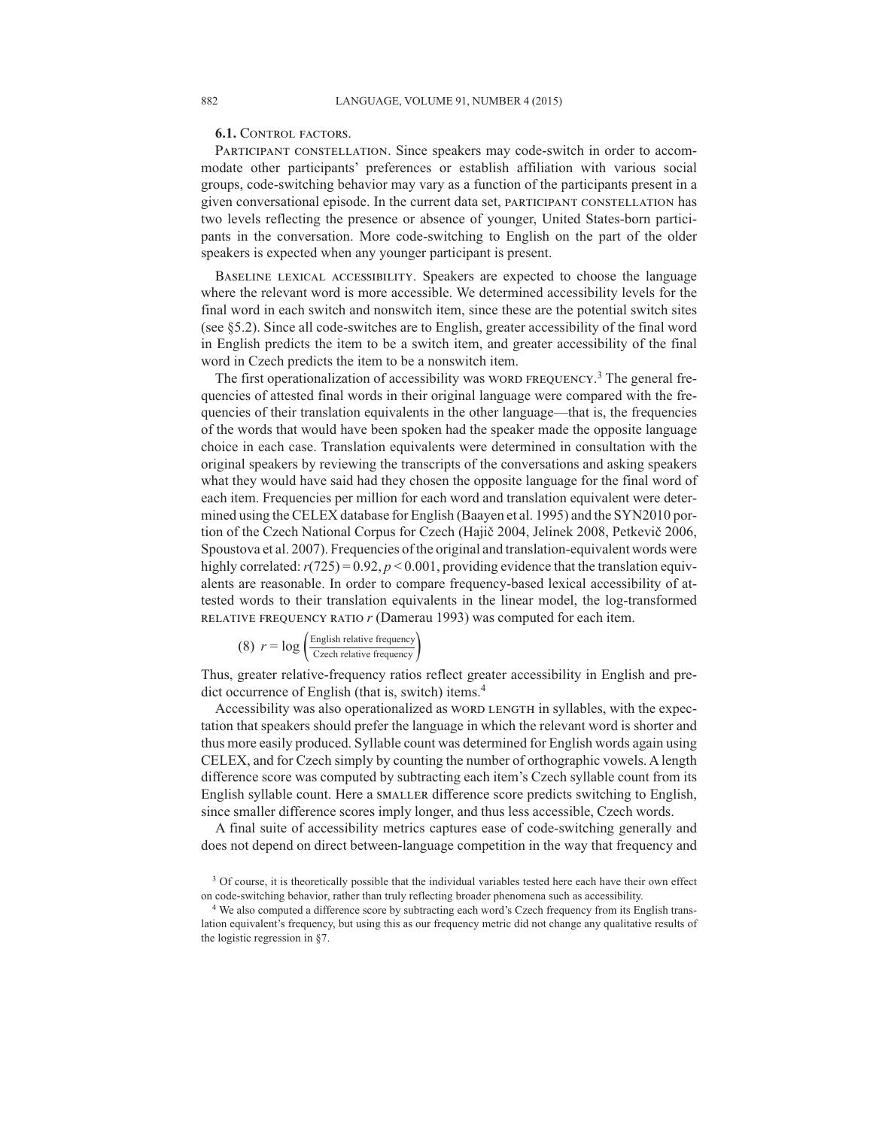**6.1.** Control factors.

Participant constellation. Since speakers may code-switch in order to accommodate other participants' preferences or establish affiliation with various social groups, code-switching behavior may vary as a function of the participants present in a given conversational episode. In the current data set, participant constellation has two levels reflecting the presence or absence of younger, United States-born participants in the conversation. More code-switching to English on the part of the older speakers is expected when any younger participant is present.

Baseline lexical accessibility. Speakers are expected to choose the language where the relevant word is more accessible. We determined accessibility levels for the final word in each switch and nonswitch item, since these are the potential switch sites (see §5.2). Since all code-switches are to English, greater accessibility of the final word in English predicts the item to be a switch item, and greater accessibility of the final word in Czech predicts the item to be a nonswitch item.

The first operationalization of accessibility was word  $F$  FREQUENCY.<sup>3</sup> The general frequencies of attested final words in their original language were compared with the frequencies of their translation equivalents in the other language—that is, the frequencies of the words that would have been spoken had the speaker made the opposite language choice in each case. Translation equivalents were determined in consultation with the original speakers by reviewing the transcripts of the conversations and asking speakers what they would have said had they chosen the opposite language for the final word of each item. Frequencies per million for each word and translation equivalent were determined using the CELEX database for English (Baayen et al. 1995) and the SYN2010 portion of the Czech National Corpus for Czech (Hajič 2004, Jelinek 2008, Petkevič 2006, Spoustova et al. 2007). Frequencies of the original and translation-equivalent words were highly correlated:  $r(725) = 0.92$ ,  $p < 0.001$ , providing evidence that the translation equivalents are reasonable. In order to compare frequency-based lexical accessibility of attested words to their translation equivalents in the linear model, the log-transformed relative frequency ratio *r* (Damerau 1993) was computed for each item.

(8) 
$$
r = \log \left( \frac{\text{English relative frequency}}{\text{Czech relative frequency}} \right)
$$

Thus, greater relative-frequency ratios reflect greater accessibility in English and predict occurrence of English (that is, switch) items.<sup>4</sup>

Accessibility was also operationalized as word LENGTH in syllables, with the expectation that speakers should prefer the language in which the relevant word is shorter and thus more easily produced. Syllable count was determined for English words again using CELEX, and for Czech simply by counting the number of orthographic vowels. A length difference score was computed by subtracting each item's Czech syllable count from its English syllable count. Here a smaller difference score predicts switching to English, since smaller difference scores imply longer, and thus less accessible, Czech words.

A final suite of accessibility metrics captures ease of code-switching generally and does not depend on direct between-language competition in the way that frequency and

<sup>3</sup> Of course, it is theoretically possible that the individual variables tested here each have their own effect on code-switching behavior, rather than truly reflecting broader phenomena such as accessibility.

<sup>&</sup>lt;sup>4</sup> We also computed a difference score by subtracting each word's Czech frequency from its English translation equivalent's frequency, but using this as our frequency metric did not change any qualitative results of the logistic regression in §7.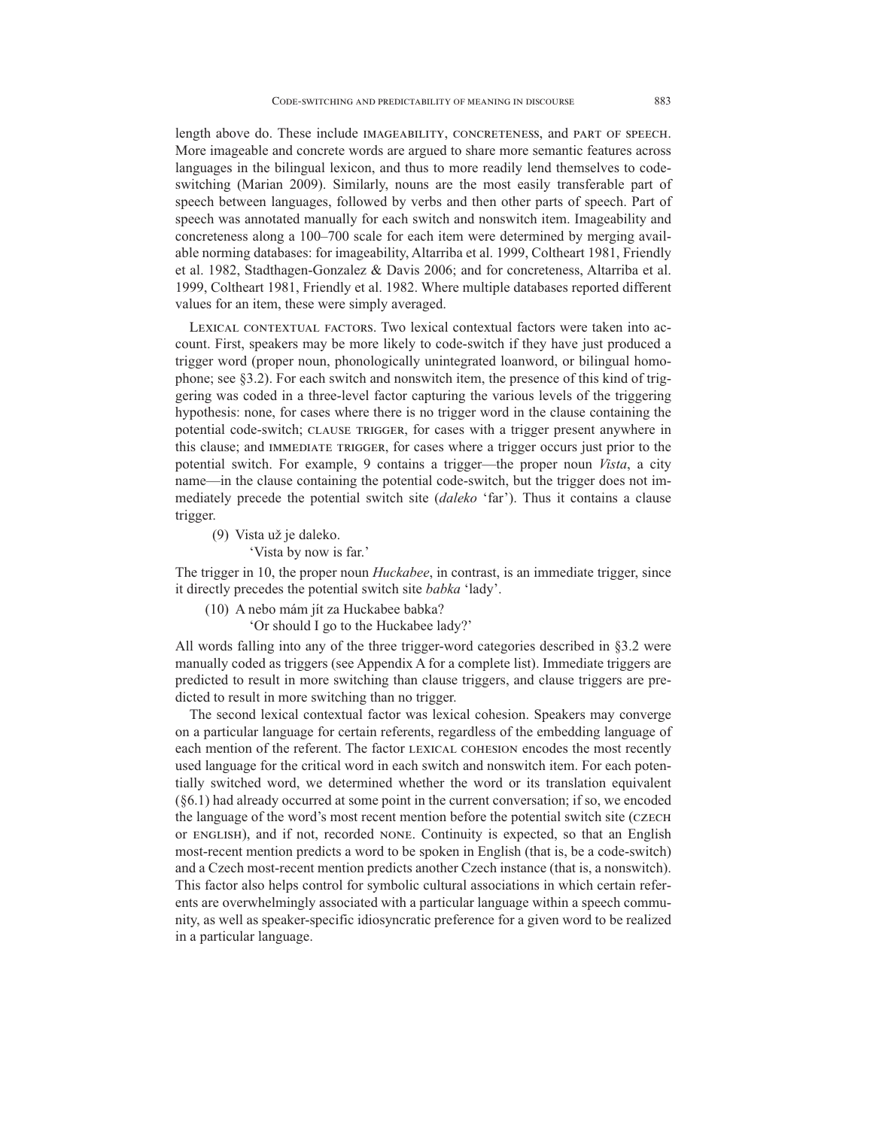length above do. These include IMAGEABILITY, CONCRETENESS, and PART OF SPEECH. More imageable and concrete words are argued to share more semantic features across languages in the bilingual lexicon, and thus to more readily lend themselves to codeswitching (Marian 2009). Similarly, nouns are the most easily transferable part of speech between languages, followed by verbs and then other parts of speech. Part of speech was annotated manually for each switch and nonswitch item. Imageability and concreteness along a 100–700 scale for each item were determined by merging available norming databases: for imageability, Altarriba et al. 1999, Coltheart 1981, Friendly et al. 1982, Stadthagen-Gonzalez & Davis 2006; and for concreteness, Altarriba et al. 1999, Coltheart 1981, Friendly et al. 1982. Where multiple databases reported different values for an item, these were simply averaged.

LEXICAL CONTEXTUAL FACTORS. Two lexical contextual factors were taken into account. First, speakers may be more likely to code-switch if they have just produced a trigger word (proper noun, phonologically unintegrated loanword, or bilingual homophone; see §3.2). For each switch and nonswitch item, the presence of this kind of triggering was coded in a three-level factor capturing the various levels of the triggering hypothesis: none, for cases where there is no trigger word in the clause containing the potential code-switch; CLAUSE TRIGGER, for cases with a trigger present anywhere in this clause; and immediate trigger, for cases where a trigger occurs just prior to the potential switch. For example, 9 contains a trigger—the proper noun *Vista*, a city name—in the clause containing the potential code-switch, but the trigger does not immediately precede the potential switch site (*daleko* 'far'). Thus it contains a clause trigger.

(9) Vista už je daleko.

'Vista by now is far.'

The trigger in 10, the proper noun *Huckabee*, in contrast, is an immediate trigger, since it directly precedes the potential switch site *babka* 'lady'.

(10) A nebo mám jít za Huckabee babka?

'Or should I go to the Huckabee lady?'

All words falling into any of the three trigger-word categories described in §3.2 were manually coded as triggers (see Appendix A for a complete list). Immediate triggers are predicted to result in more switching than clause triggers, and clause triggers are predicted to result in more switching than no trigger.

The second lexical contextual factor was lexical cohesion. Speakers may converge on a particular language for certain referents, regardless of the embedding language of each mention of the referent. The factor lexical cohesion encodes the most recently used language for the critical word in each switch and nonswitch item. For each potentially switched word, we determined whether the word or its translation equivalent (§6.1) had already occurred at some point in the current conversation; if so, we encoded the language of the word's most recent mention before the potential switch site (czech or english), and if not, recorded none. Continuity is expected, so that an English most-recent mention predicts a word to be spoken in English (that is, be a code-switch) and a Czech most-recent mention predicts another Czech instance (that is, a nonswitch). This factor also helps control for symbolic cultural associations in which certain referents are overwhelmingly associated with a particular language within a speech community, as well as speaker-specific idiosyncratic preference for a given word to be realized in a particular language.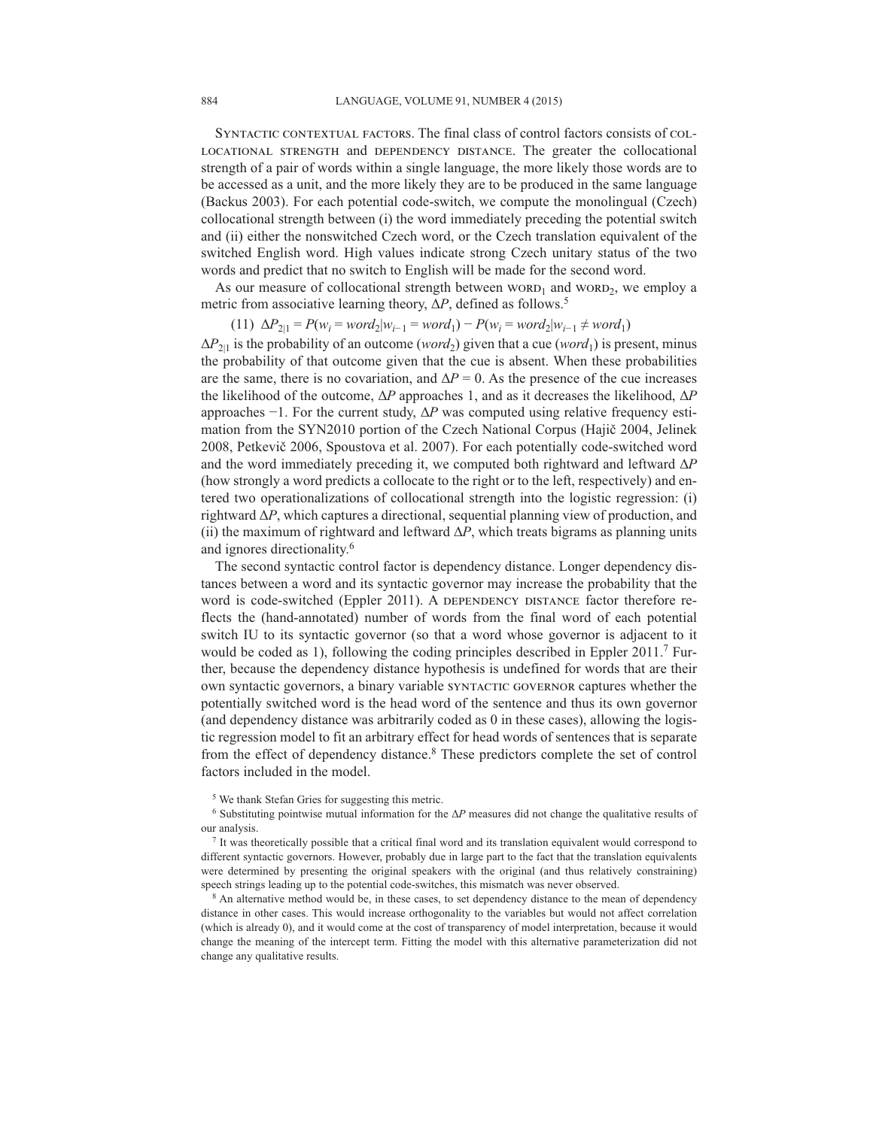Syntactic contextual factors. The final class of control factors consists of collocational strength and dependency distance. The greater the collocational strength of a pair of words within a single language, the more likely those words are to be accessed as a unit, and the more likely they are to be produced in the same language (Backus 2003). For each potential code-switch, we compute the monolingual (Czech) collocational strength between (i) the word immediately preceding the potential switch and (ii) either the nonswitched Czech word, or the Czech translation equivalent of the switched English word. High values indicate strong Czech unitary status of the two words and predict that no switch to English will be made for the second word.

As our measure of collocational strength between  $WORD_1$  and  $WORD_2$ , we employ a metric from associative learning theory, ∆*P*, defined as follows.5

(11)  $\Delta P_{2|1} = P(w_i = word_2|w_{i-1} = word_1) - P(w_i = word_2|w_{i-1} \neq word_1)$ 

 $\Delta P_{2|1}$  is the probability of an outcome (*word*<sub>2</sub>) given that a cue (*word*<sub>1</sub>) is present, minus the probability of that outcome given that the cue is absent. When these probabilities are the same, there is no covariation, and  $\Delta P = 0$ . As the presence of the cue increases the likelihood of the outcome, ∆*P* approaches 1, and as it decreases the likelihood, ∆*P* approaches −1. For the current study, ∆*P* was computed using relative frequency estimation from the SYN2010 portion of the Czech National Corpus (Hajič 2004, Jelinek 2008, Petkevič 2006, Spoustova et al. 2007). For each potentially code-switched word and the word immediately preceding it, we computed both rightward and leftward ∆*P* (how strongly a word predicts a collocate to the right or to the left, respectively) and entered two operationalizations of collocational strength into the logistic regression: (i) rightward ∆*P*, which captures a directional, sequential planning view of production, and (ii) the maximum of rightward and leftward  $\Delta P$ , which treats bigrams as planning units and ignores directionality.6

The second syntactic control factor is dependency distance. Longer dependency distances between a word and its syntactic governor may increase the probability that the word is code-switched (Eppler 2011). A DEPENDENCY DISTANCE factor therefore reflects the (hand-annotated) number of words from the final word of each potential switch IU to its syntactic governor (so that a word whose governor is adjacent to it would be coded as 1), following the coding principles described in Eppler 2011.<sup>7</sup> Further, because the dependency distance hypothesis is undefined for words that are their own syntactic governors, a binary variable syntactic governor captures whether the potentially switched word is the head word of the sentence and thus its own governor (and dependency distance was arbitrarily coded as 0 in these cases), allowing the logistic regression model to fit an arbitrary effect for head words of sentences that is separate from the effect of dependency distance.8 These predictors complete the set of control factors included in the model.

<sup>5</sup> We thank Stefan Gries for suggesting this metric.

<sup>6</sup> Substituting pointwise mutual information for the ∆*P* measures did not change the qualitative results of our analysis.

<sup>7</sup> It was theoretically possible that a critical final word and its translation equivalent would correspond to different syntactic governors. However, probably due in large part to the fact that the translation equivalents were determined by presenting the original speakers with the original (and thus relatively constraining) speech strings leading up to the potential code-switches, this mismatch was never observed.

<sup>&</sup>lt;sup>8</sup> An alternative method would be, in these cases, to set dependency distance to the mean of dependency distance in other cases. This would increase orthogonality to the variables but would not affect correlation (which is already 0), and it would come at the cost of transparency of model interpretation, because it would change the meaning of the intercept term. Fitting the model with this alternative parameterization did not change any qualitative results.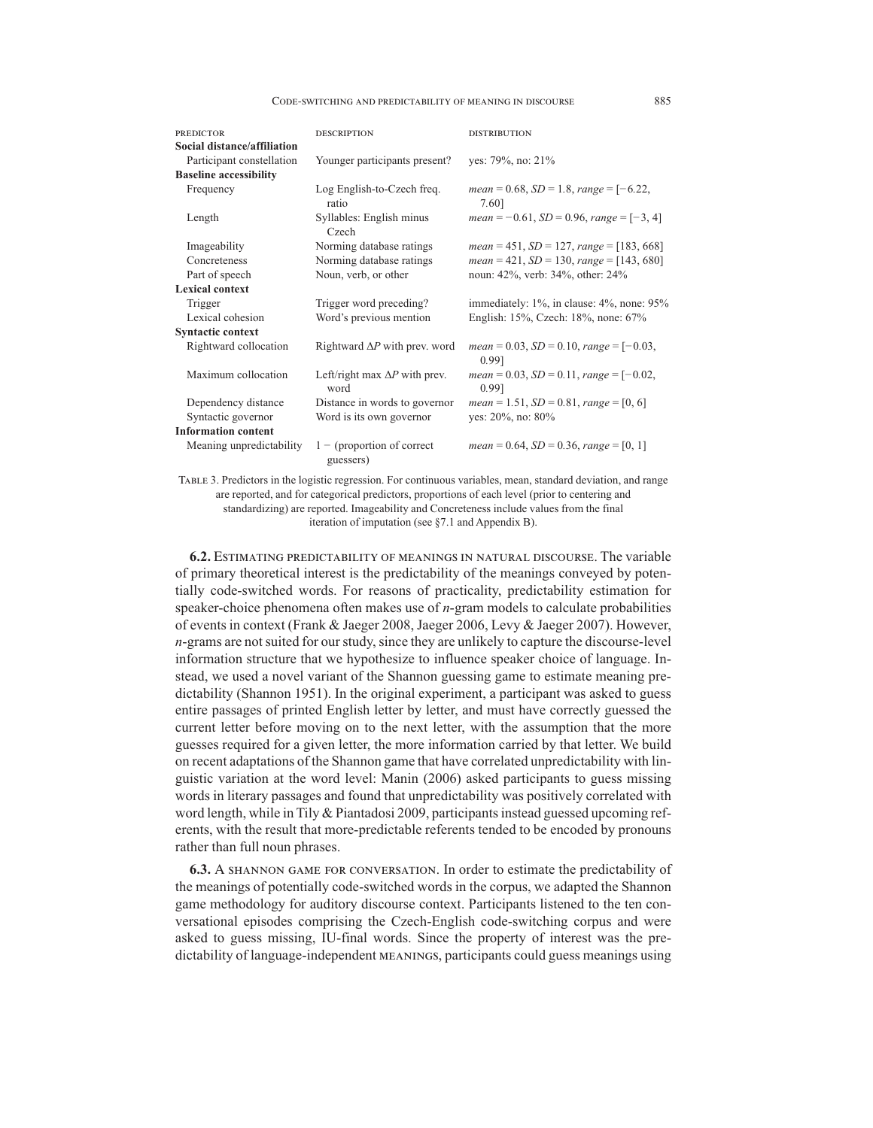#### Code-switching and predictability of meaning in discourse 885

| <b>PREDICTOR</b>              | <b>DESCRIPTION</b>                           | <b>DISTRIBUTION</b>                                        |
|-------------------------------|----------------------------------------------|------------------------------------------------------------|
| Social distance/affiliation   |                                              |                                                            |
| Participant constellation     | Younger participants present?                | yes: 79%, no: 21%                                          |
| <b>Baseline accessibility</b> |                                              |                                                            |
| Frequency                     | Log English-to-Czech freq.<br>ratio          | $mean = 0.68$ , $SD = 1.8$ , $range = [-6.22]$ ,<br>7.60]  |
| Length                        | Syllables: English minus<br>Czech            | $mean = -0.61$ , $SD = 0.96$ , $range = [-3, 4]$           |
| Imageability                  | Norming database ratings                     | $mean = 451, SD = 127, range = [183, 668]$                 |
| Concreteness                  | Norming database ratings                     | $mean = 421$ , $SD = 130$ , $range = [143, 680]$           |
| Part of speech                | Noun, verb, or other                         | noun: 42%, verb: 34%, other: 24%                           |
| <b>Lexical context</b>        |                                              |                                                            |
| Trigger                       | Trigger word preceding?                      | immediately: 1%, in clause: 4%, none: 95%                  |
| Lexical cohesion              | Word's previous mention                      | English: 15%, Czech: 18%, none: 67%                        |
| <b>Syntactic context</b>      |                                              |                                                            |
| Rightward collocation         | Rightward $\Delta P$ with prev. word         | $mean = 0.03$ , $SD = 0.10$ , $range = [-0.03]$ ,<br>0.99] |
| Maximum collocation           | Left/right max $\Delta P$ with prev.<br>word | $mean = 0.03$ , $SD = 0.11$ , $range = [-0.02]$ ,<br>0.991 |
| Dependency distance           | Distance in words to governor                | $mean = 1.51$ , $SD = 0.81$ , $range = [0, 6]$             |
| Syntactic governor            | Word is its own governor                     | yes: 20%, no: 80%                                          |
| <b>Information content</b>    |                                              |                                                            |
| Meaning unpredictability      | $1 -$ (proportion of correct<br>guessers)    | $mean = 0.64$ , $SD = 0.36$ , $range = [0, 1]$             |
|                               |                                              |                                                            |

Table 3. Predictors in the logistic regression. For continuous variables, mean, standard deviation, and range are reported, and for categorical predictors, proportions of each level (prior to centering and standardizing) are reported. Imageability and Concreteness include values from the final iteration of imputation (see §7.1 and Appendix B).

**6.2.** Estimating predictability of meanings in natural discourse. The variable of primary theoretical interest is the predictability of the meanings conveyed by potentially code-switched words. For reasons of practicality, predictability estimation for speaker-choice phenomena often makes use of *n*-gram models to calculate probabilities of events in context (Frank & Jaeger 2008, Jaeger 2006, Levy & Jaeger 2007). However, *n*-grams are not suited for our study, since they are unlikely to capture the discourse-level information structure that we hypothesize to influence speaker choice of language. Instead, we used a novel variant of the Shannon guessing game to estimate meaning predictability (Shannon 1951). In the original experiment, a participant was asked to guess entire passages of printed English letter by letter, and must have correctly guessed the current letter before moving on to the next letter, with the assumption that the more guesses required for a given letter, the more information carried by that letter. We build on recent adaptations of the Shannon game that have correlated unpredictability with linguistic variation at the word level: Manin (2006) asked participants to guess missing words in literary passages and found that unpredictability was positively correlated with word length, while in Tily & Piantadosi 2009, participants instead guessed upcoming referents, with the result that more-predictable referents tended to be encoded by pronouns rather than full noun phrases.

**6.3.** A shannon game for conversation. In order to estimate the predictability of the meanings of potentially code-switched words in the corpus, we adapted the Shannon game methodology for auditory discourse context. Participants listened to the ten conversational episodes comprising the Czech-English code-switching corpus and were asked to guess missing, IU-final words. Since the property of interest was the predictability of language-independent meanings, participants could guess meanings using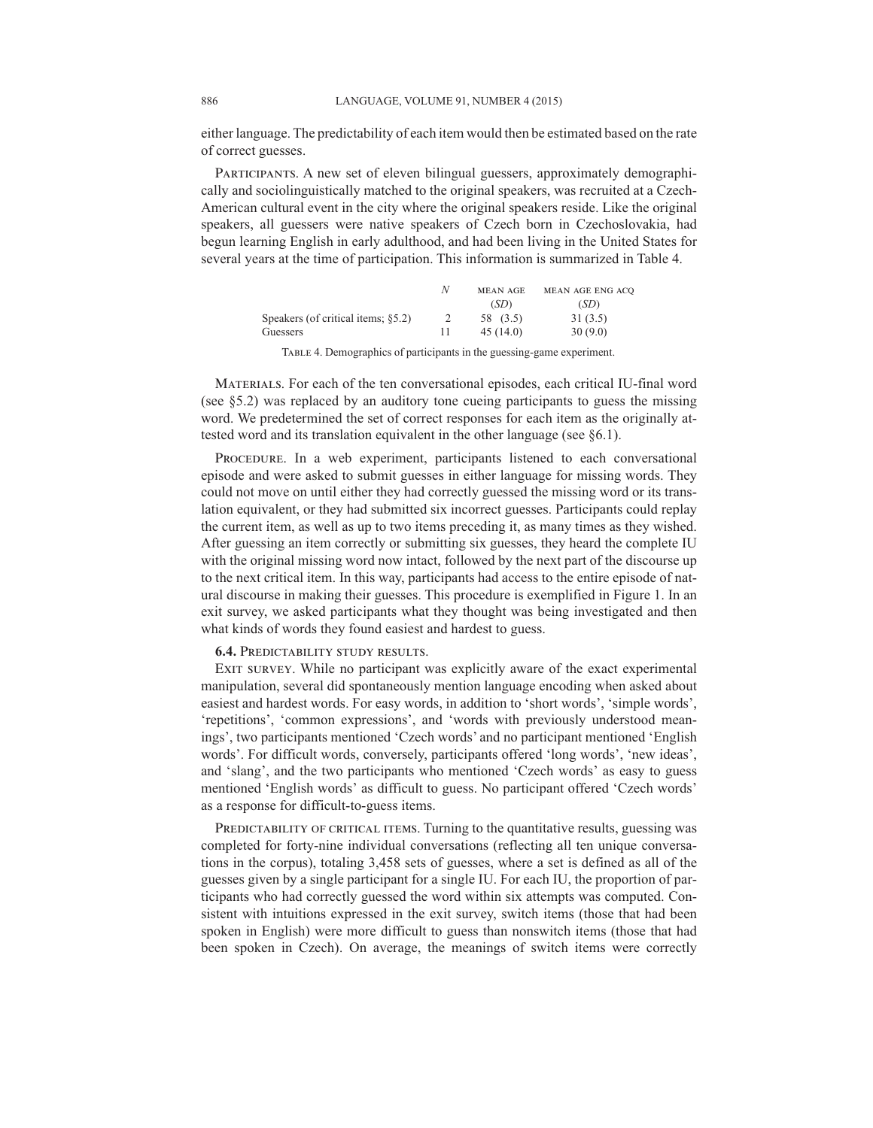either language. The predictability of each item would then be estimated based on the rate of correct guesses.

Participants. A new set of eleven bilingual guessers, approximately demographically and sociolinguistically matched to the original speakers, was recruited at a Czech-American cultural event in the city where the original speakers reside. Like the original speakers, all guessers were native speakers of Czech born in Czechoslovakia, had begun learning English in early adulthood, and had been living in the United States for several years at the time of participation. This information is summarized in Table 4.

|                                       | N  | <b>MEAN AGE</b> | MEAN AGE ENG ACO |
|---------------------------------------|----|-----------------|------------------|
|                                       |    | (SD)            | (SD)             |
| Speakers (of critical items; $§5.2$ ) |    | 58 (3.5)        | 31(3.5)          |
| Guessers                              | 11 | 45(14.0)        | 30(9.0)          |

Table 4. Demographics of participants in the guessing-game experiment.

Materials. For each of the ten conversational episodes, each critical IU-final word (see §5.2) was replaced by an auditory tone cueing participants to guess the missing word. We predetermined the set of correct responses for each item as the originally attested word and its translation equivalent in the other language (see §6.1).

PROCEDURE. In a web experiment, participants listened to each conversational episode and were asked to submit guesses in either language for missing words. They could not move on until either they had correctly guessed the missing word or its translation equivalent, or they had submitted six incorrect guesses. Participants could replay the current item, as well as up to two items preceding it, as many times as they wished. After guessing an item correctly or submitting six guesses, they heard the complete IU with the original missing word now intact, followed by the next part of the discourse up to the next critical item. In this way, participants had access to the entire episode of natural discourse in making their guesses. This procedure is exemplified in Figure 1. In an exit survey, we asked participants what they thought was being investigated and then what kinds of words they found easiest and hardest to guess.

## **6.4.** Predictability study results.

EXIT SURVEY. While no participant was explicitly aware of the exact experimental manipulation, several did spontaneously mention language encoding when asked about easiest and hardest words. For easy words, in addition to 'short words', 'simple words', 'repetitions', 'common expressions', and 'words with previously understood meanings', two participants mentioned 'Czech words' and no participant mentioned 'English words'. For difficult words, conversely, participants offered 'long words', 'new ideas', and 'slang', and the two participants who mentioned 'Czech words' as easy to guess mentioned 'English words' as difficult to guess. No participant offered 'Czech words' as a response for difficult-to-guess items.

PREDICTABILITY OF CRITICAL ITEMS. Turning to the quantitative results, guessing was completed for forty-nine individual conversations (reflecting all ten unique conversations in the corpus), totaling 3,458 sets of guesses, where a set is defined as all of the guesses given by a single participant for a single IU. For each IU, the proportion of participants who had correctly guessed the word within six attempts was computed. Consistent with intuitions expressed in the exit survey, switch items (those that had been spoken in English) were more difficult to guess than nonswitch items (those that had been spoken in Czech). On average, the meanings of switch items were correctly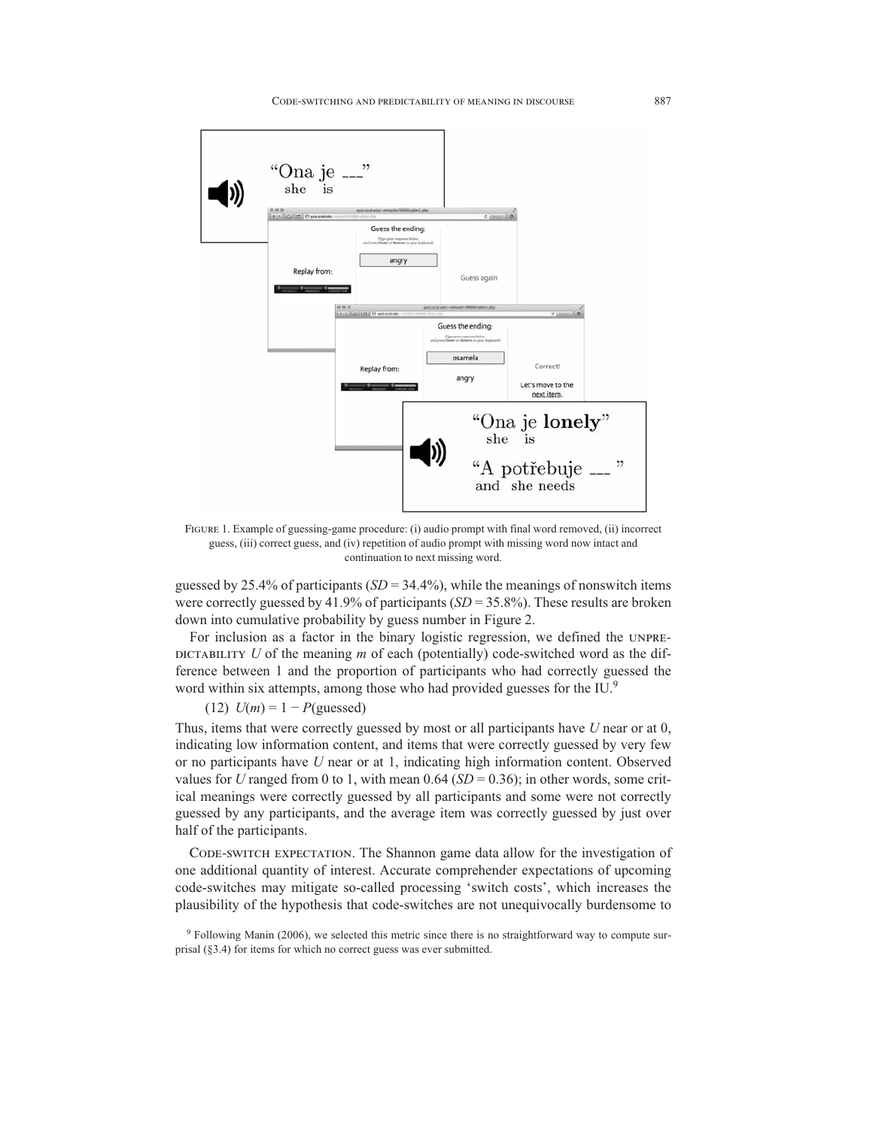

Figure 1. Example of guessing-game procedure: (i) audio prompt with final word removed, (ii) incorrect guess, (iii) correct guess, and (iv) repetition of audio prompt with missing word now intact and continuation to next missing word.

guessed by 25.4% of participants  $(SD = 34.4\%)$ , while the meanings of nonswitch items were correctly guessed by 41.9% of participants (*SD* = 35.8%). These results are broken down into cumulative probability by guess number in Figure 2.

For inclusion as a factor in the binary logistic regression, we defined the unpre-DICTABILITY *U* of the meaning *m* of each (potentially) code-switched word as the difference between 1 and the proportion of participants who had correctly guessed the word within six attempts, among those who had provided guesses for the IU.<sup>9</sup>

(12)  $U(m) = 1 - P$ (guessed)

Thus, items that were correctly guessed by most or all participants have *U* near or at 0, indicating low information content, and items that were correctly guessed by very few or no participants have *U* near or at 1, indicating high information content. Observed values for *U* ranged from 0 to 1, with mean 0.64 ( $SD = 0.36$ ); in other words, some critical meanings were correctly guessed by all participants and some were not correctly guessed by any participants, and the average item was correctly guessed by just over half of the participants.

CODE-SWITCH EXPECTATION. The Shannon game data allow for the investigation of one additional quantity of interest. Accurate comprehender expectations of upcoming code-switches may mitigate so-called processing 'switch costs', which increases the plausibility of the hypothesis that code-switches are not unequivocally burdensome to

<sup>9</sup> Following Manin (2006), we selected this metric since there is no straightforward way to compute surprisal (§3.4) for items for which no correct guess was ever submitted.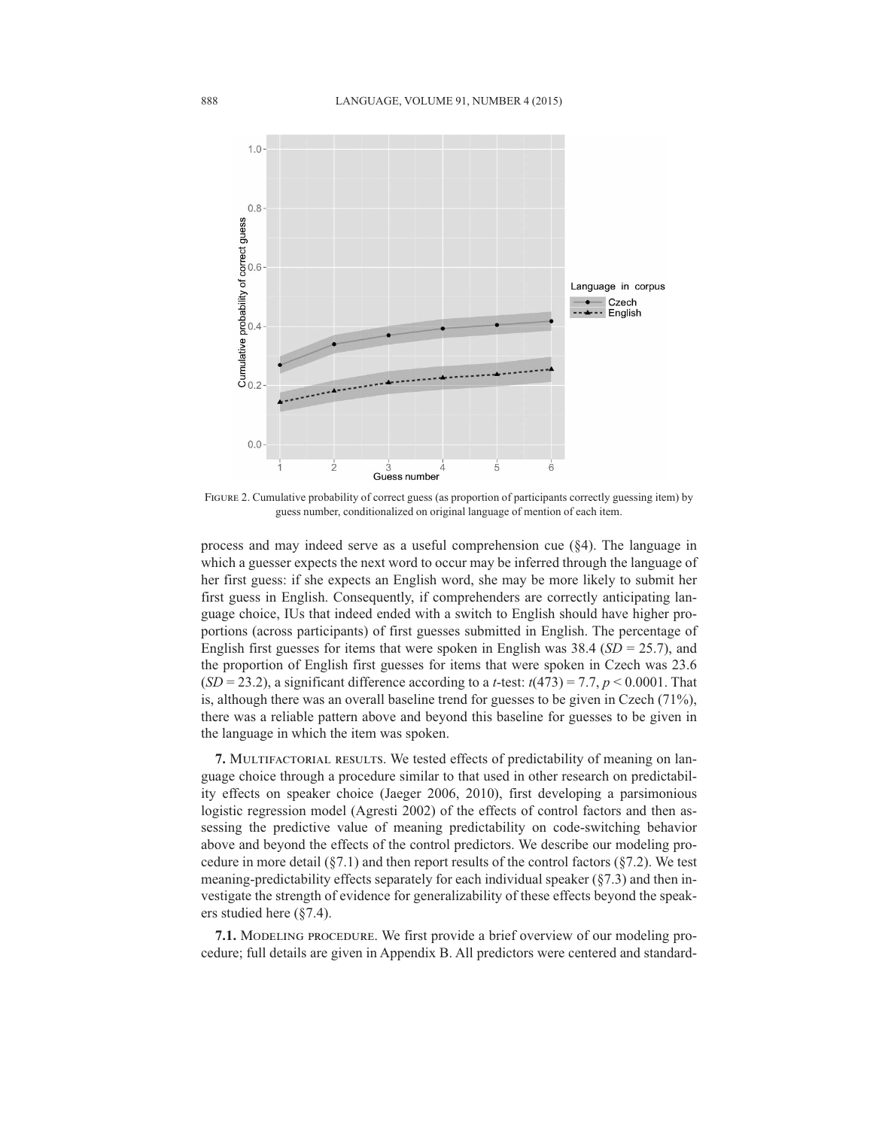

FIGURE 2. Cumulative probability of correct guess (as proportion of participants correctly guessing item) by guess number, conditionalized on original language of mention of each item.

process and may indeed serve as a useful comprehension cue (§4). The language in which a guesser expects the next word to occur may be inferred through the language of her first guess: if she expects an English word, she may be more likely to submit her first guess in English. Consequently, if comprehenders are correctly anticipating language choice, IUs that indeed ended with a switch to English should have higher proportions (across participants) of first guesses submitted in English. The percentage of English first guesses for items that were spoken in English was 38.4 (*SD* = 25.7), and the proportion of English first guesses for items that were spoken in Czech was 23.6  $(SD = 23.2)$ , a significant difference according to a *t*-test:  $t(473) = 7.7$ ,  $p < 0.0001$ . That is, although there was an overall baseline trend for guesses to be given in Czech (71%), there was a reliable pattern above and beyond this baseline for guesses to be given in the language in which the item was spoken.

**7.** MULTIFACTORIAL RESULTS. We tested effects of predictability of meaning on language choice through a procedure similar to that used in other research on predictability effects on speaker choice (Jaeger 2006, 2010), first developing a parsimonious logistic regression model (Agresti 2002) of the effects of control factors and then assessing the predictive value of meaning predictability on code-switching behavior above and beyond the effects of the control predictors. We describe our modeling procedure in more detail  $(\S7.1)$  and then report results of the control factors  $(\S7.2)$ . We test meaning-predictability effects separately for each individual speaker  $(87.3)$  and then investigate the strength of evidence for generalizability of these effects beyond the speakers studied here (§7.4).

**7.1.** MODELING PROCEDURE. We first provide a brief overview of our modeling procedure; full details are given in Appendix B. All predictors were centered and standard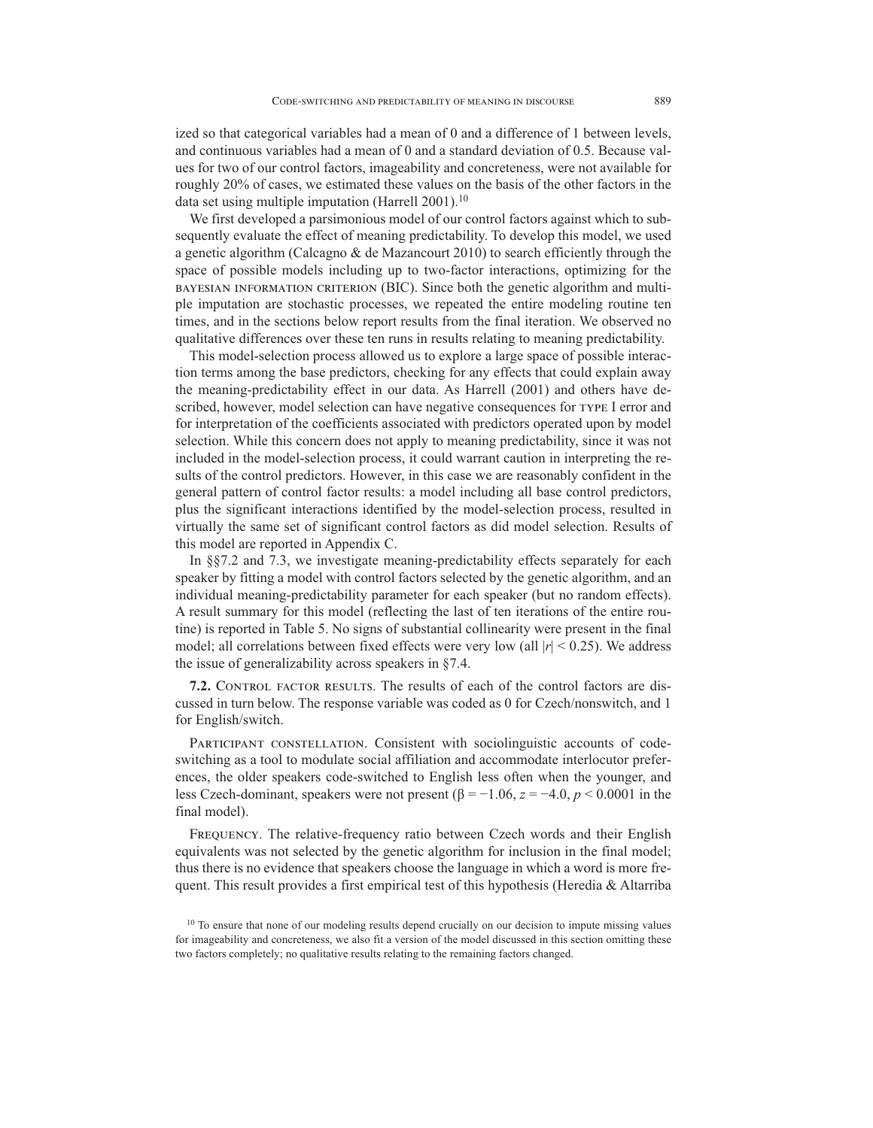ized so that categorical variables had a mean of 0 and a difference of 1 between levels, and continuous variables had a mean of 0 and a standard deviation of 0.5. Because values for two of our control factors, imageability and concreteness, were not available for roughly 20% of cases, we estimated these values on the basis of the other factors in the data set using multiple imputation (Harrell 2001).<sup>10</sup>

We first developed a parsimonious model of our control factors against which to subsequently evaluate the effect of meaning predictability. To develop this model, we used a genetic algorithm (Calcagno & de Mazancourt 2010) to search efficiently through the space of possible models including up to two-factor interactions, optimizing for the bayesian information criterion (BIC). Since both the genetic algorithm and multiple imputation are stochastic processes, we repeated the entire modeling routine ten times, and in the sections below report results from the final iteration. We observed no qualitative differences over these ten runs in results relating to meaning predictability.

This model-selection process allowed us to explore a large space of possible interaction terms among the base predictors, checking for any effects that could explain away the meaning-predictability effect in our data. As Harrell (2001) and others have described, however, model selection can have negative consequences for type I error and for interpretation of the coefficients associated with predictors operated upon by model selection. While this concern does not apply to meaning predictability, since it was not included in the model-selection process, it could warrant caution in interpreting the results of the control predictors. However, in this case we are reasonably confident in the general pattern of control factor results: a model including all base control predictors, plus the significant interactions identified by the model-selection process, resulted in virtually the same set of significant control factors as did model selection. Results of this model are reported in Appendix C.

In §§7.2 and 7.3, we investigate meaning-predictability effects separately for each speaker by fitting a model with control factors selected by the genetic algorithm, and an individual meaning-predictability parameter for each speaker (but no random effects). A result summary for this model (reflecting the last of ten iterations of the entire routine) is reported in Table 5. No signs of substantial collinearity were present in the final model; all correlations between fixed effects were very low (all  $|r| < 0.25$ ). We address the issue of generalizability across speakers in §7.4.

**7.2.** CONTROL FACTOR RESULTS. The results of each of the control factors are discussed in turn below. The response variable was coded as 0 for Czech/nonswitch, and 1 for English/switch.

PARTICIPANT CONSTELLATION. Consistent with sociolinguistic accounts of codeswitching as a tool to modulate social affiliation and accommodate interlocutor preferences, the older speakers code-switched to English less often when the younger, and less Czech-dominant, speakers were not present  $(\beta = -1.06, z = -4.0, p < 0.0001$  in the final model).

Frequency. The relative-frequency ratio between Czech words and their English equivalents was not selected by the genetic algorithm for inclusion in the final model; thus there is no evidence that speakers choose the language in which a word is more frequent. This result provides a first empirical test of this hypothesis (Heredia & Altarriba

<sup>&</sup>lt;sup>10</sup> To ensure that none of our modeling results depend crucially on our decision to impute missing values for imageability and concreteness, we also fit a version of the model discussed in this section omitting these two factors completely; no qualitative results relating to the remaining factors changed.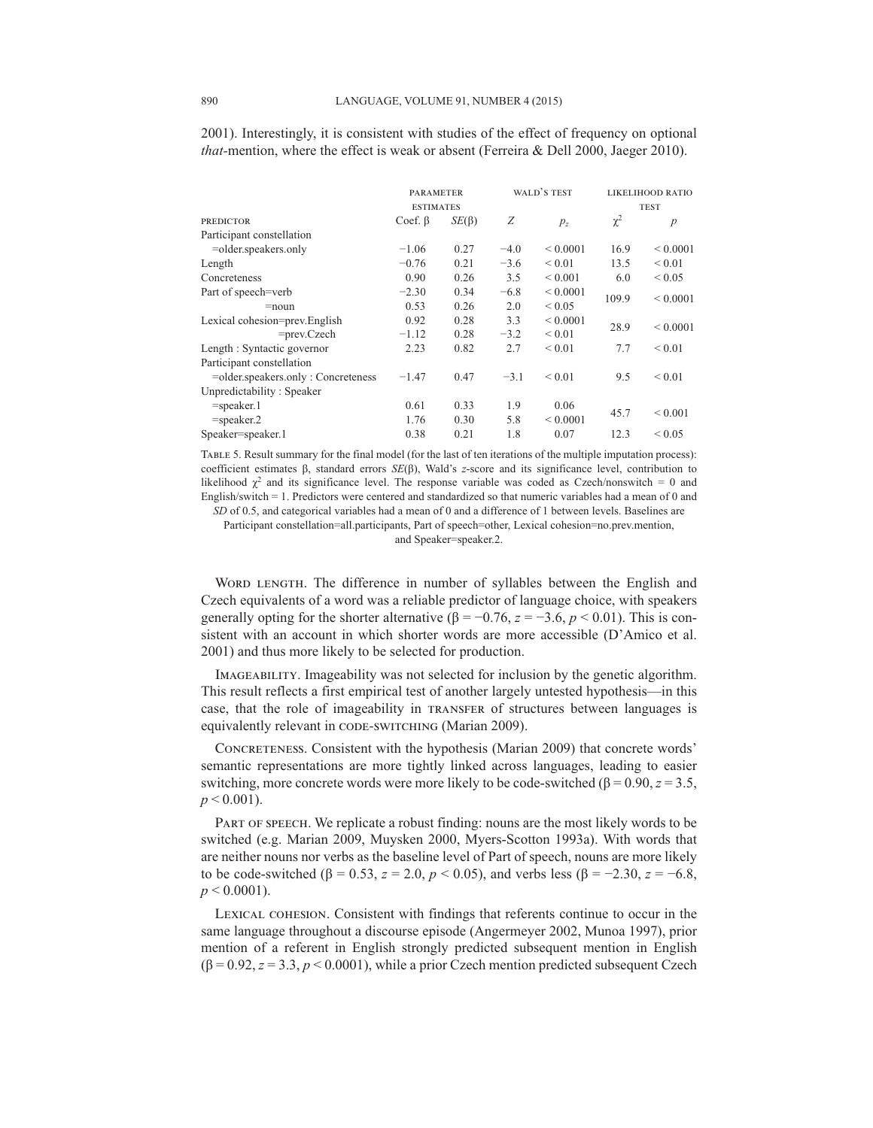|                                    | <b>PARAMETER</b> |             | WALD'S TEST |               | LIKELIHOOD RATIO |               |
|------------------------------------|------------------|-------------|-------------|---------------|------------------|---------------|
|                                    | <b>ESTIMATES</b> |             |             |               | <b>TEST</b>      |               |
| <b>PREDICTOR</b>                   | Coef. $\beta$    | $SE(\beta)$ | Ζ           | $p_z$         | $\chi^2$         | p             |
| Participant constellation          |                  |             |             |               |                  |               |
| =older.speakers.only               | $-1.06$          | 0.27        | $-4.0$      | ${}_{0.0001}$ | 16.9             | ${}_{0.0001}$ |
| Length                             | $-0.76$          | 0.21        | $-3.6$      | ${}_{0.01}$   | 13.5             | ${}_{0.01}$   |
| Concreteness                       | 0.90             | 0.26        | 3.5         | ${}_{0.001}$  | 6.0              | ${}< 0.05$    |
| Part of speech=verb                | $-2.30$          | 0.34        | $-6.8$      | ${}_{0.0001}$ | 109.9            | ${}_{0.0001}$ |
| $=$ noun                           | 0.53             | 0.26        | 2.0         | ${}_{0.05}$   |                  |               |
| Lexical cohesion=prev. English     | 0.92             | 0.28        | 3.3         | ${}_{0.0001}$ | 28.9             | ${}_{0.0001}$ |
| $=$ prev.Czech                     | $-1.12$          | 0.28        | $-3.2$      | ${}_{0.01}$   |                  |               |
| Length : Syntactic governor        | 2.23             | 0.82        | 2.7         | ${}_{0.01}$   | 7.7              | ${}_{0.01}$   |
| Participant constellation          |                  |             |             |               |                  |               |
| =older.speakers.only: Concreteness | $-1.47$          | 0.47        | $-3.1$      | ${}_{0.01}$   | 9.5              | ${}_{0.01}$   |
| Unpredictability: Speaker          |                  |             |             |               |                  |               |
| $=$ speaker.1                      | 0.61             | 0.33        | 1.9         | 0.06          | 45.7             | ${}_{0.001}$  |
| $=$ speaker. $2$                   | 1.76             | 0.30        | 5.8         | ${}_{0.0001}$ |                  |               |
| Speaker=speaker.1                  | 0.38             | 0.21        | 1.8         | 0.07          | 12.3             | ${}_{0.05}$   |

2001). Interestingly, it is consistent with studies of the effect of frequency on optional *that-*mention, where the effect is weak or absent (Ferreira & Dell 2000, Jaeger 2010).

Table 5. Result summary for the final model (for the last of ten iterations of the multiple imputation process): coefficient estimates β, standard errors *SE*(β), Wald's *z*-score and its significance level, contribution to likelihood  $\chi^2$  and its significance level. The response variable was coded as Czech/nonswitch = 0 and English/switch = 1. Predictors were centered and standardized so that numeric variables had a mean of 0 and

*SD* of 0.5, and categorical variables had a mean of 0 and a difference of 1 between levels. Baselines are Participant constellation=all.participants, Part of speech=other, Lexical cohesion=no.prev.mention, and Speaker=speaker.2.

WORD LENGTH. The difference in number of syllables between the English and Czech equivalents of a word was a reliable predictor of language choice, with speakers generally opting for the shorter alternative ( $\beta = -0.76$ ,  $z = -3.6$ ,  $p < 0.01$ ). This is consistent with an account in which shorter words are more accessible (D'Amico et al. 2001) and thus more likely to be selected for production.

Imageability. Imageability was not selected for inclusion by the genetic algorithm. This result reflects a first empirical test of another largely untested hypothesis—in this case, that the role of imageability in transfer of structures between languages is equivalently relevant in CODE-SWITCHING (Marian 2009).

Concreteness. Consistent with the hypothesis (Marian 2009) that concrete words' semantic representations are more tightly linked across languages, leading to easier switching, more concrete words were more likely to be code-switched (β = 0.90,  $z = 3.5$ ,  $p < 0.001$ ).

PART OF SPEECH. We replicate a robust finding: nouns are the most likely words to be switched (e.g. Marian 2009, Muysken 2000, Myers-Scotton 1993a). With words that are neither nouns nor verbs as the baseline level of Part of speech, nouns are more likely to be code-switched (β = 0.53, *z* = 2.0, *p* < 0.05), and verbs less (β = -2.30, *z* = -6.8,  $p \leq 0.0001$ ).

Lexical cohesion. Consistent with findings that referents continue to occur in the same language throughout a discourse episode (Angermeyer 2002, Munoa 1997), prior mention of a referent in English strongly predicted subsequent mention in English  $(\beta = 0.92, z = 3.3, p < 0.0001)$ , while a prior Czech mention predicted subsequent Czech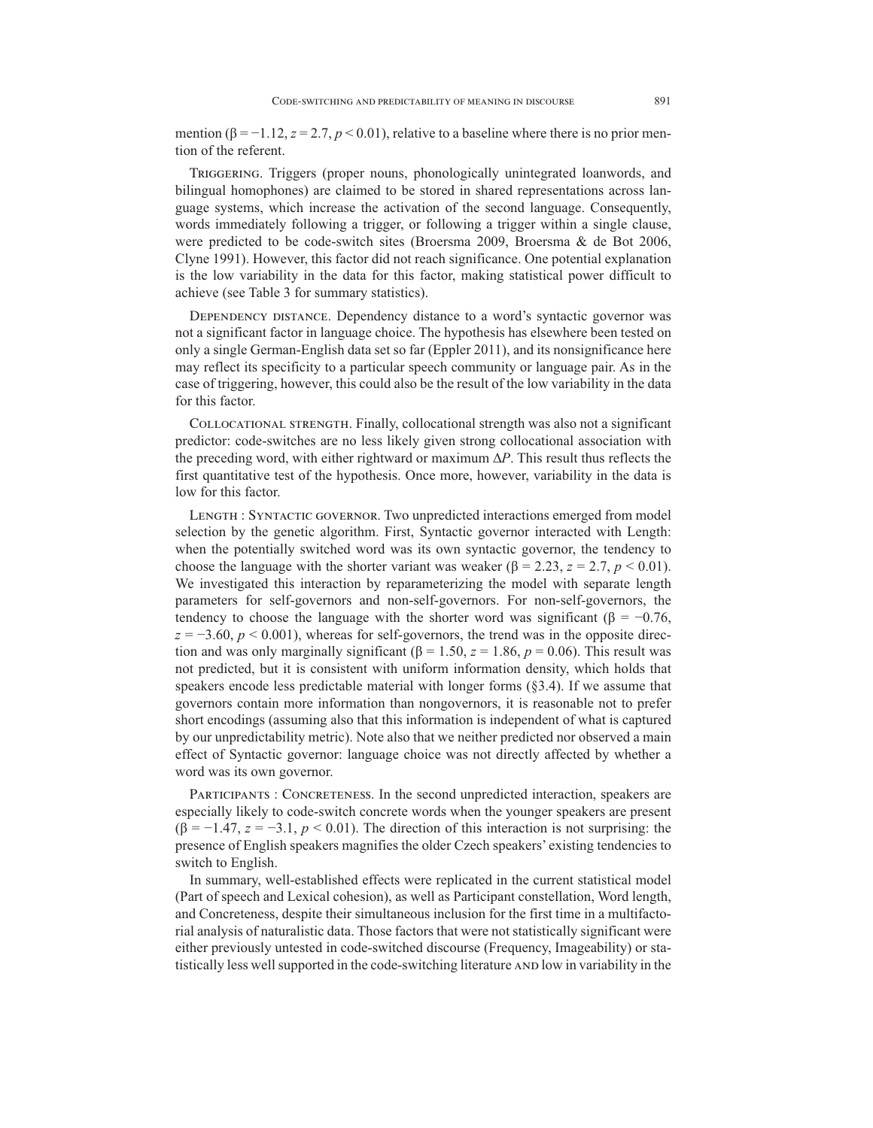mention ( $\beta = -1.12$ ,  $z = 2.7$ ,  $p < 0.01$ ), relative to a baseline where there is no prior mention of the referent.

TRIGGERING. Triggers (proper nouns, phonologically unintegrated loanwords, and bilingual homophones) are claimed to be stored in shared representations across language systems, which increase the activation of the second language. Consequently, words immediately following a trigger, or following a trigger within a single clause, were predicted to be code-switch sites (Broersma 2009, Broersma & de Bot 2006, Clyne 1991). However, this factor did not reach significance. One potential explanation is the low variability in the data for this factor, making statistical power difficult to achieve (see Table 3 for summary statistics).

Dependency distance. Dependency distance to a word's syntactic governor was not a significant factor in language choice. The hypothesis has elsewhere been tested on only a single German-English data set so far (Eppler 2011), and its nonsignificance here may reflect its specificity to a particular speech community or language pair. As in the case of triggering, however, this could also be the result of the low variability in the data for this factor.

Collocational strength. Finally, collocational strength was also not a significant predictor: code-switches are no less likely given strong collocational association with the preceding word, with either rightward or maximum ∆*P*. This result thus reflects the first quantitative test of the hypothesis. Once more, however, variability in the data is low for this factor.

LENGTH : SYNTACTIC GOVERNOR. Two unpredicted interactions emerged from model selection by the genetic algorithm. First, Syntactic governor interacted with Length: when the potentially switched word was its own syntactic governor, the tendency to choose the language with the shorter variant was weaker ( $\beta = 2.23$ ,  $z = 2.7$ ,  $p < 0.01$ ). We investigated this interaction by reparameterizing the model with separate length parameters for self-governors and non-self-governors. For non-self-governors, the tendency to choose the language with the shorter word was significant ( $\beta = -0.76$ ,  $z = -3.60, p \le 0.001$ , whereas for self-governors, the trend was in the opposite direction and was only marginally significant ( $\beta$  = 1.50, *z* = 1.86, *p* = 0.06). This result was not predicted, but it is consistent with uniform information density, which holds that speakers encode less predictable material with longer forms (§3.4). If we assume that governors contain more information than nongovernors, it is reasonable not to prefer short encodings (assuming also that this information is independent of what is captured by our unpredictability metric). Note also that we neither predicted nor observed a main effect of Syntactic governor: language choice was not directly affected by whether a word was its own governor.

PARTICIPANTS : CONCRETENESS. In the second unpredicted interaction, speakers are especially likely to code-switch concrete words when the younger speakers are present  $(\beta = -1.47, z = -3.1, p < 0.01)$ . The direction of this interaction is not surprising: the presence of English speakers magnifies the older Czech speakers' existing tendencies to switch to English.

In summary, well-established effects were replicated in the current statistical model (Part of speech and Lexical cohesion), as well as Participant constellation, Word length, and Concreteness, despite their simultaneous inclusion for the first time in a multifactorial analysis of naturalistic data. Those factors that were not statistically significant were either previously untested in code-switched discourse (Frequency, Imageability) or statistically less well supported in the code-switching literature and low in variability in the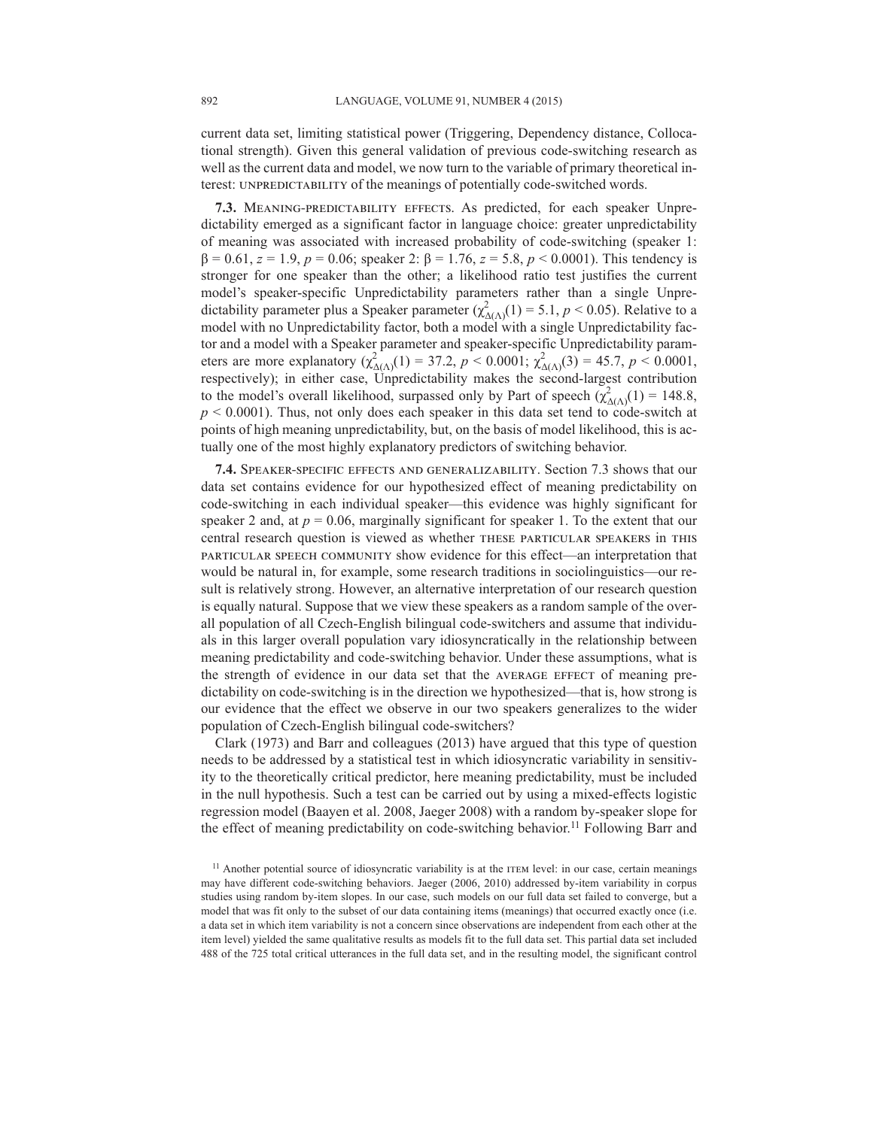current data set, limiting statistical power (Triggering, Dependency distance, Collocational strength). Given this general validation of previous code-switching research as well as the current data and model, we now turn to the variable of primary theoretical interest: UNPREDICTABILITY of the meanings of potentially code-switched words.

7.3. MEANING-PREDICTABILITY EFFECTS. As predicted, for each speaker Unpredictability emerged as a significant factor in language choice: greater unpredictability of meaning was associated with increased probability of code-switching (speaker 1: β = 0.61, *z* = 1.9, *p* = 0.06; speaker 2: β = 1.76, *z* = 5.8, *p* < 0.0001). This tendency is stronger for one speaker than the other; a likelihood ratio test justifies the current model's speaker-specific Unpredictability parameters rather than a single Unpredictability parameter plus a Speaker parameter  $(\chi^2_{\Delta(\Lambda)}(1) = 5.1, p < 0.05)$ . Relative to a model with no Unpredictability factor, both a model with a single Unpredictability factor and a model with a Speaker parameter and speaker-specific Unpredictability parameters are more explanatory  $(\chi^2_{\Delta(\Lambda)}(1) = 37.2, p < 0.0001; \chi^2_{\Delta(\Lambda)}(3) = 45.7, p < 0.0001,$ respectively); in either case, Unpredictability makes the second-largest contribution to the model's overall likelihood, surpassed only by Part of speech  $(\chi^2_{\Delta(\Lambda)}(1) = 148.8,$  $p \leq 0.0001$ ). Thus, not only does each speaker in this data set tend to code-switch at points of high meaning unpredictability, but, on the basis of model likelihood, this is actually one of the most highly explanatory predictors of switching behavior.

**7.4.** Speaker-specific effects and generalizability. Section 7.3 shows that our data set contains evidence for our hypothesized effect of meaning predictability on code-switching in each individual speaker—this evidence was highly significant for speaker 2 and, at  $p = 0.06$ , marginally significant for speaker 1. To the extent that our central research question is viewed as whether these particular speakers in this particular speech community show evidence for this effect—an interpretation that would be natural in, for example, some research traditions in sociolinguistics—our result is relatively strong. However, an alternative interpretation of our research question is equally natural. Suppose that we view these speakers as a random sample of the overall population of all Czech-English bilingual code-switchers and assume that individuals in this larger overall population vary idiosyncratically in the relationship between meaning predictability and code-switching behavior. Under these assumptions, what is the strength of evidence in our data set that the average effect of meaning predictability on code-switching is in the direction we hypothesized—that is, how strong is our evidence that the effect we observe in our two speakers generalizes to the wider population of Czech-English bilingual code-switchers?

Clark (1973) and Barr and colleagues (2013) have argued that this type of question needs to be addressed by a statistical test in which idiosyncratic variability in sensitivity to the theoretically critical predictor, here meaning predictability, must be included in the null hypothesis. Such a test can be carried out by using a mixed-effects logistic regression model (Baayen et al. 2008, Jaeger 2008) with a random by-speaker slope for the effect of meaning predictability on code-switching behavior.<sup>11</sup> Following Barr and

<sup>&</sup>lt;sup>11</sup> Another potential source of idiosyncratic variability is at the ITEM level: in our case, certain meanings may have different code-switching behaviors. Jaeger (2006, 2010) addressed by-item variability in corpus studies using random by-item slopes. In our case, such models on our full data set failed to converge, but a model that was fit only to the subset of our data containing items (meanings) that occurred exactly once (i.e. a data set in which item variability is not a concern since observations are independent from each other at the item level) yielded the same qualitative results as models fit to the full data set. This partial data set included 488 of the 725 total critical utterances in the full data set, and in the resulting model, the significant control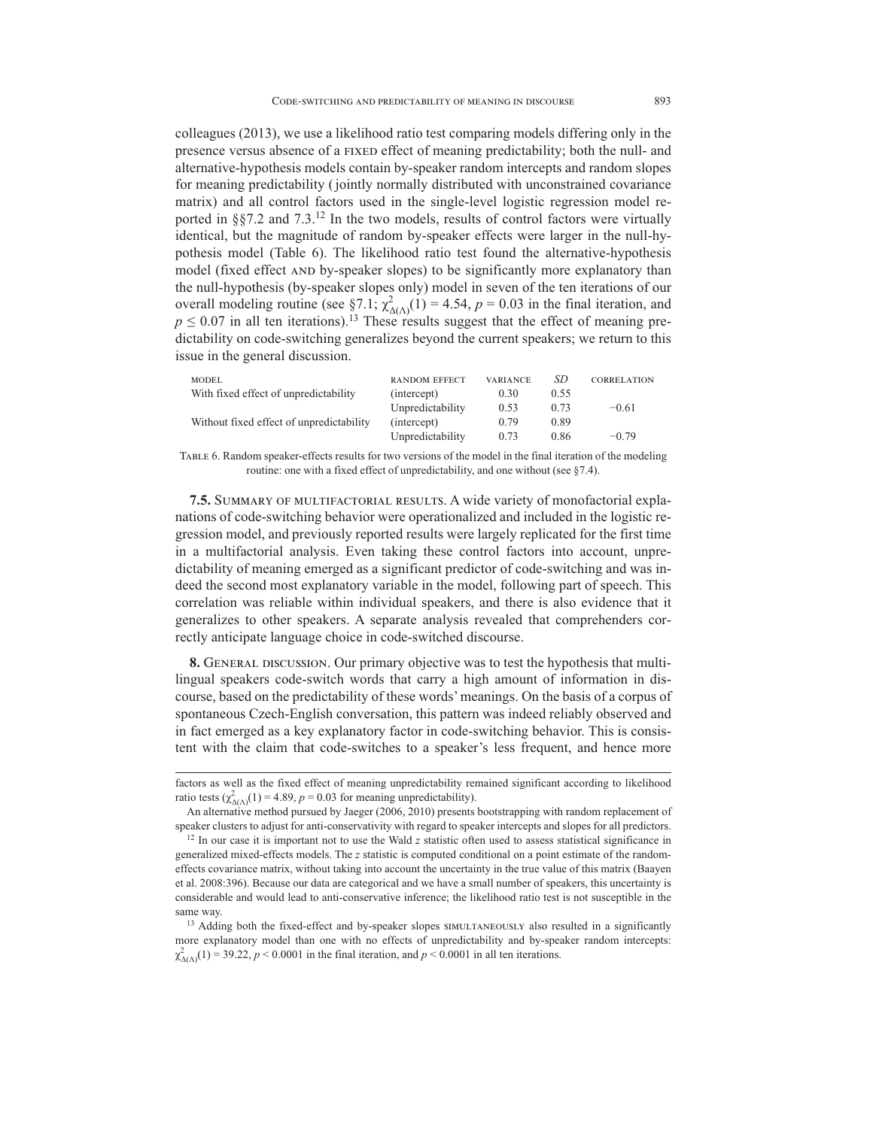colleagues (2013), we use a likelihood ratio test comparing models differing only in the presence versus absence of a FIXED effect of meaning predictability; both the null- and alternative-hypothesis models contain by-speaker random intercepts and random slopes for meaning predictability ( jointly normally distributed with unconstrained covariance matrix) and all control factors used in the single-level logistic regression model reported in §§7.2 and 7.3.<sup>12</sup> In the two models, results of control factors were virtually identical, but the magnitude of random by-speaker effects were larger in the null-hypothesis model (Table 6). The likelihood ratio test found the alternative-hypothesis model (fixed effect AND by-speaker slopes) to be significantly more explanatory than the null-hypothesis (by-speaker slopes only) model in seven of the ten iterations of our overall modeling routine (see §7.1;  $\chi^2_{\Delta(\Lambda)}(1) = 4.54$ ,  $p = 0.03$  in the final iteration, and  $p \le 0.07$  in all ten iterations).<sup>13</sup> These results suggest that the effect of meaning predictability on code-switching generalizes beyond the current speakers; we return to this issue in the general discussion.

| <b>MODEL</b>                             | <b>RANDOM EFFECT</b> | <b>VARIANCE</b> | SD   | <b>CORRELATION</b> |
|------------------------------------------|----------------------|-----------------|------|--------------------|
| With fixed effect of unpredictability    | (intercept)          | 0.30            | 0.55 |                    |
|                                          | Unpredictability     | 0.53            | 0.73 | $-0.61$            |
| Without fixed effect of unpredictability | (intercept)          | 0.79            | 0.89 |                    |
|                                          | Unpredictability     | 0.73            | 0.86 | $-0.79$            |

Table 6. Random speaker-effects results for two versions of the model in the final iteration of the modeling routine: one with a fixed effect of unpredictability, and one without (see §7.4).

7.5. SUMMARY OF MULTIFACTORIAL RESULTS. A wide variety of monofactorial explanations of code-switching behavior were operationalized and included in the logistic regression model, and previously reported results were largely replicated for the first time in a multifactorial analysis. Even taking these control factors into account, unpredictability of meaning emerged as a significant predictor of code-switching and was indeed the second most explanatory variable in the model, following part of speech. This correlation was reliable within individual speakers, and there is also evidence that it generalizes to other speakers. A separate analysis revealed that comprehenders correctly anticipate language choice in code-switched discourse.

**8.** GENERAL DISCUSSION. Our primary objective was to test the hypothesis that multilingual speakers code-switch words that carry a high amount of information in discourse, based on the predictability of these words' meanings. On the basis of a corpus of spontaneous Czech-English conversation, this pattern was indeed reliably observed and in fact emerged as a key explanatory factor in code-switching behavior. This is consistent with the claim that code-switches to a speaker's less frequent, and hence more

factors as well as the fixed effect of meaning unpredictability remained significant according to likelihood ratio tests  $(\chi^2_{\Delta(\Lambda)}(1) = 4.89, p = 0.03$  for meaning unpredictability).

An alternative method pursued by Jaeger (2006, 2010) presents bootstrapping with random replacement of speaker clusters to adjust for anti-conservativity with regard to speaker intercepts and slopes for all predictors.

<sup>&</sup>lt;sup>12</sup> In our case it is important not to use the Wald *z* statistic often used to assess statistical significance in generalized mixed-effects models. The *z* statistic is computed conditional on a point estimate of the randomeffects covariance matrix, without taking into account the uncertainty in the true value of this matrix (Baayen et al. 2008:396). Because our data are categorical and we have a small number of speakers, this uncertainty is considerable and would lead to anti-conservative inference; the likelihood ratio test is not susceptible in the same way.

<sup>&</sup>lt;sup>13</sup> Adding both the fixed-effect and by-speaker slopes SIMULTANEOUSLY also resulted in a significantly more explanatory model than one with no effects of unpredictability and by-speaker random intercepts:  $\chi^2_{\Delta(\Lambda)}(1) = 39.22, p \le 0.0001$  in the final iteration, and  $p \le 0.0001$  in all ten iterations.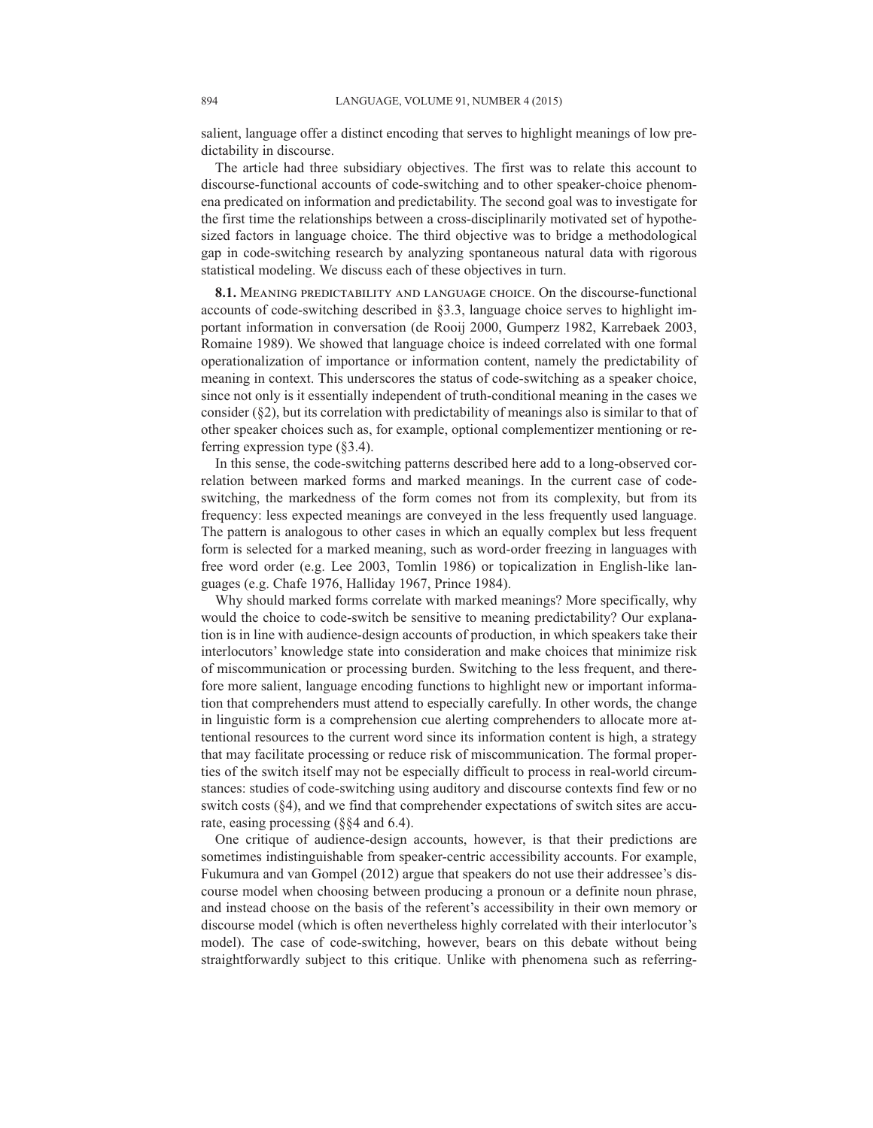salient, language offer a distinct encoding that serves to highlight meanings of low predictability in discourse.

The article had three subsidiary objectives. The first was to relate this account to discourse-functional accounts of code-switching and to other speaker-choice phenomena predicated on information and predictability. The second goal was to investigate for the first time the relationships between a cross-disciplinarily motivated set of hypothesized factors in language choice. The third objective was to bridge a methodological gap in code-switching research by analyzing spontaneous natural data with rigorous statistical modeling. We discuss each of these objectives in turn.

**8.1.** Meaning predictability and language choice. On the discourse-functional accounts of code-switching described in §3.3, language choice serves to highlight important information in conversation (de Rooij 2000, Gumperz 1982, Karrebaek 2003, Romaine 1989). We showed that language choice is indeed correlated with one formal operationalization of importance or information content, namely the predictability of meaning in context. This underscores the status of code-switching as a speaker choice, since not only is it essentially independent of truth-conditional meaning in the cases we consider  $(\S 2)$ , but its correlation with predictability of meanings also is similar to that of other speaker choices such as, for example, optional complementizer mentioning or referring expression type (§3.4).

In this sense, the code-switching patterns described here add to a long-observed correlation between marked forms and marked meanings. In the current case of codeswitching, the markedness of the form comes not from its complexity, but from its frequency: less expected meanings are conveyed in the less frequently used language. The pattern is analogous to other cases in which an equally complex but less frequent form is selected for a marked meaning, such as word-order freezing in languages with free word order (e.g. Lee 2003, Tomlin 1986) or topicalization in English-like languages (e.g. Chafe 1976, Halliday 1967, Prince 1984).

Why should marked forms correlate with marked meanings? More specifically, why would the choice to code-switch be sensitive to meaning predictability? Our explanation is in line with audience-design accounts of production, in which speakers take their interlocutors' knowledge state into consideration and make choices that minimize risk of miscommunication or processing burden. Switching to the less frequent, and therefore more salient, language encoding functions to highlight new or important information that comprehenders must attend to especially carefully. In other words, the change in linguistic form is a comprehension cue alerting comprehenders to allocate more attentional resources to the current word since its information content is high, a strategy that may facilitate processing or reduce risk of miscommunication. The formal properties of the switch itself may not be especially difficult to process in real-world circumstances: studies of code-switching using auditory and discourse contexts find few or no switch costs (§4), and we find that comprehender expectations of switch sites are accurate, easing processing (§§4 and 6.4).

One critique of audience-design accounts, however, is that their predictions are sometimes indistinguishable from speaker-centric accessibility accounts. For example, Fukumura and van Gompel (2012) argue that speakers do not use their addressee's discourse model when choosing between producing a pronoun or a definite noun phrase, and instead choose on the basis of the referent's accessibility in their own memory or discourse model (which is often nevertheless highly correlated with their interlocutor's model). The case of code-switching, however, bears on this debate without being straightforwardly subject to this critique. Unlike with phenomena such as referring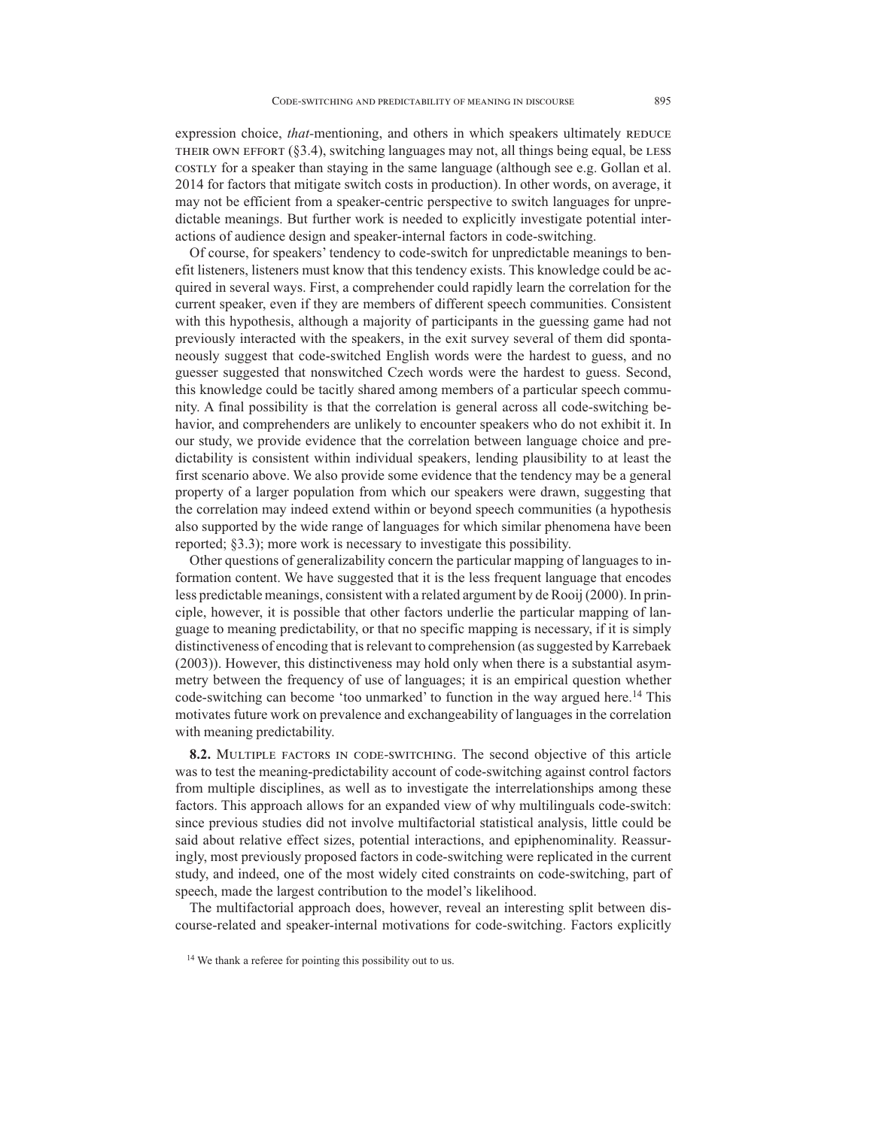expression choice, *that*-mentioning, and others in which speakers ultimately REDUCE THEIR OWN EFFORT  $(83.4)$ , switching languages may not, all things being equal, be LESS costly for a speaker than staying in the same language (although see e.g. Gollan et al. 2014 for factors that mitigate switch costs in production). In other words, on average, it may not be efficient from a speaker-centric perspective to switch languages for unpredictable meanings. But further work is needed to explicitly investigate potential interactions of audience design and speaker-internal factors in code-switching.

Of course, for speakers' tendency to code-switch for unpredictable meanings to benefit listeners, listeners must know that this tendency exists. This knowledge could be acquired in several ways. First, a comprehender could rapidly learn the correlation for the current speaker, even if they are members of different speech communities. Consistent with this hypothesis, although a majority of participants in the guessing game had not previously interacted with the speakers, in the exit survey several of them did spontaneously suggest that code-switched English words were the hardest to guess, and no guesser suggested that nonswitched Czech words were the hardest to guess. Second, this knowledge could be tacitly shared among members of a particular speech community. A final possibility is that the correlation is general across all code-switching behavior, and comprehenders are unlikely to encounter speakers who do not exhibit it. In our study, we provide evidence that the correlation between language choice and predictability is consistent within individual speakers, lending plausibility to at least the first scenario above. We also provide some evidence that the tendency may be a general property of a larger population from which our speakers were drawn, suggesting that the correlation may indeed extend within or beyond speech communities (a hypothesis also supported by the wide range of languages for which similar phenomena have been reported; §3.3); more work is necessary to investigate this possibility.

Other questions of generalizability concern the particular mapping of languages to information content. We have suggested that it is the less frequent language that encodes less predictable meanings, consistent with a related argument by de Rooij (2000). In principle, however, it is possible that other factors underlie the particular mapping of language to meaning predictability, or that no specific mapping is necessary, if it is simply distinctiveness of encoding that is relevant to comprehension (as suggested by Karrebaek (2003)). However, this distinctiveness may hold only when there is a substantial asymmetry between the frequency of use of languages; it is an empirical question whether code-switching can become 'too unmarked' to function in the way argued here.<sup>14</sup> This motivates future work on prevalence and exchangeability of languages in the correlation with meaning predictability.

**8.2.** MULTIPLE FACTORS IN CODE-SWITCHING. The second objective of this article was to test the meaning-predictability account of code-switching against control factors from multiple disciplines, as well as to investigate the interrelationships among these factors. This approach allows for an expanded view of why multilinguals code-switch: since previous studies did not involve multifactorial statistical analysis, little could be said about relative effect sizes, potential interactions, and epiphenominality. Reassuringly, most previously proposed factors in code-switching were replicated in the current study, and indeed, one of the most widely cited constraints on code-switching, part of speech, made the largest contribution to the model's likelihood.

The multifactorial approach does, however, reveal an interesting split between discourse-related and speaker-internal motivations for code-switching. Factors explicitly

<sup>&</sup>lt;sup>14</sup> We thank a referee for pointing this possibility out to us.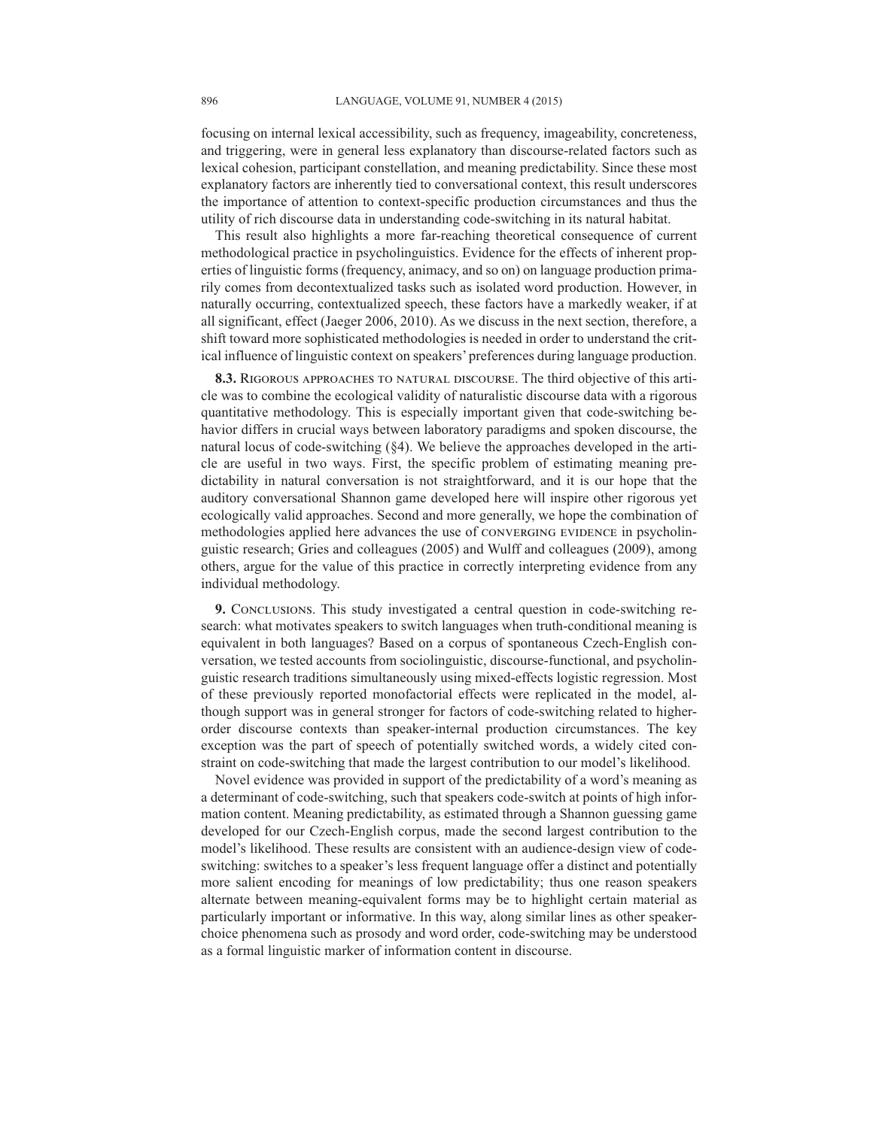focusing on internal lexical accessibility, such as frequency, imageability, concreteness, and triggering, were in general less explanatory than discourse-related factors such as lexical cohesion, participant constellation, and meaning predictability. Since these most explanatory factors are inherently tied to conversational context, this result underscores the importance of attention to context-specific production circumstances and thus the utility of rich discourse data in understanding code-switching in its natural habitat.

This result also highlights a more far-reaching theoretical consequence of current methodological practice in psycholinguistics. Evidence for the effects of inherent properties of linguistic forms (frequency, animacy, and so on) on language production primarily comes from decontextualized tasks such as isolated word production. However, in naturally occurring, contextualized speech, these factors have a markedly weaker, if at all significant, effect (Jaeger 2006, 2010). As we discuss in the next section, therefore, a shift toward more sophisticated methodologies is needed in order to understand the critical influence of linguistic context on speakers' preferences during language production.

**8.3.** RIGOROUS APPROACHES TO NATURAL DISCOURSE. The third objective of this article was to combine the ecological validity of naturalistic discourse data with a rigorous quantitative methodology. This is especially important given that code-switching behavior differs in crucial ways between laboratory paradigms and spoken discourse, the natural locus of code-switching (§4). We believe the approaches developed in the article are useful in two ways. First, the specific problem of estimating meaning predictability in natural conversation is not straightforward, and it is our hope that the auditory conversational Shannon game developed here will inspire other rigorous yet ecologically valid approaches. Second and more generally, we hope the combination of methodologies applied here advances the use of CONVERGING EVIDENCE in psycholinguistic research; Gries and colleagues (2005) and Wulff and colleagues (2009), among others, argue for the value of this practice in correctly interpreting evidence from any individual methodology.

**9.** Conclusions. This study investigated a central question in code-switching research: what motivates speakers to switch languages when truth-conditional meaning is equivalent in both languages? Based on a corpus of spontaneous Czech-English conversation, we tested accounts from sociolinguistic, discourse-functional, and psycholinguistic research traditions simultaneously using mixed-effects logistic regression. Most of these previously reported monofactorial effects were replicated in the model, although support was in general stronger for factors of code-switching related to higherorder discourse contexts than speaker-internal production circumstances. The key exception was the part of speech of potentially switched words, a widely cited constraint on code-switching that made the largest contribution to our model's likelihood.

Novel evidence was provided in support of the predictability of a word's meaning as a determinant of code-switching, such that speakers code-switch at points of high information content. Meaning predictability, as estimated through a Shannon guessing game developed for our Czech-English corpus, made the second largest contribution to the model's likelihood. These results are consistent with an audience-design view of codeswitching: switches to a speaker's less frequent language offer a distinct and potentially more salient encoding for meanings of low predictability; thus one reason speakers alternate between meaning-equivalent forms may be to highlight certain material as particularly important or informative. In this way, along similar lines as other speakerchoice phenomena such as prosody and word order, code-switching may be understood as a formal linguistic marker of information content in discourse.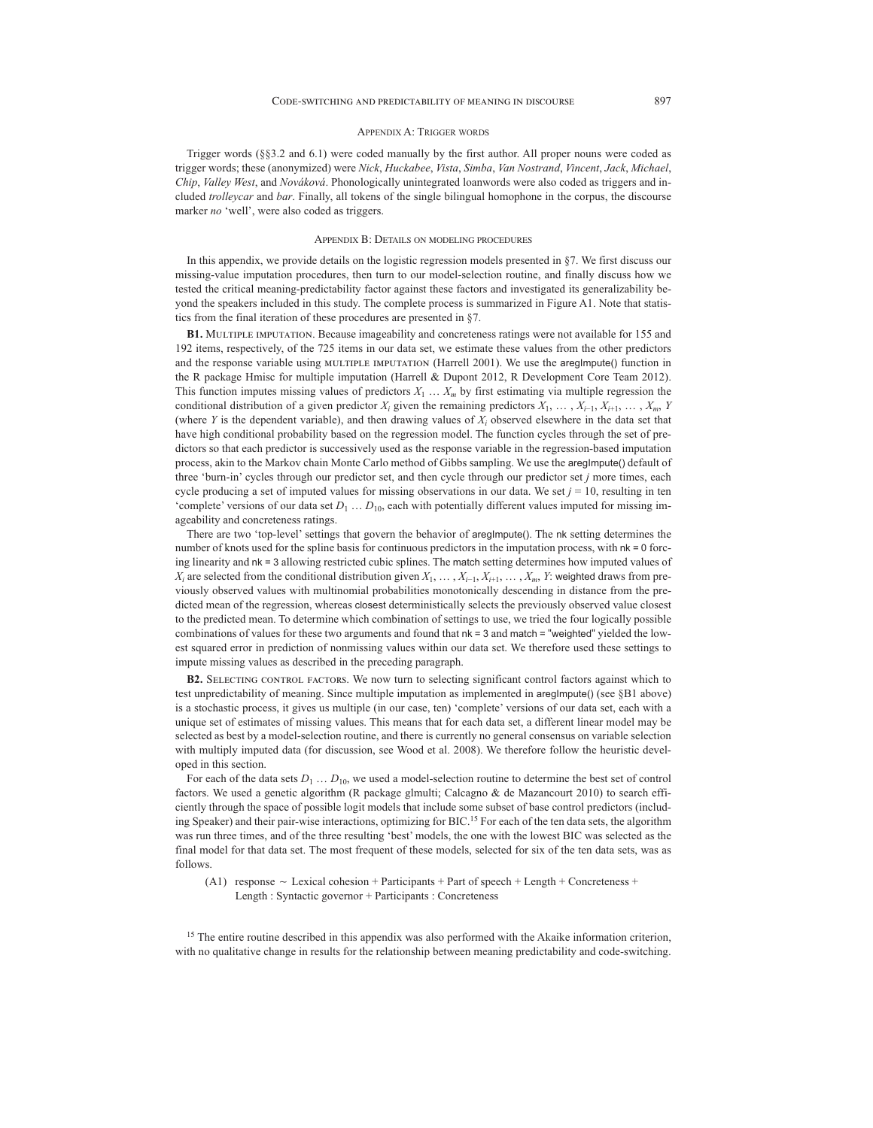#### APPENDIX A: TRIGGER WORDS

Trigger words (§§3.2 and 6.1) were coded manually by the first author. All proper nouns were coded as trigger words; these (anonymized) were *Nick*, *Huckabee*, *Vista*, *Simba*, *Van Nostrand*, *Vincent*, *Jack*, *Michael*, *Chip*, *Valley West*, and *Nováková*. Phonologically unintegrated loanwords were also coded as triggers and included *trolleycar* and *bar*. Finally, all tokens of the single bilingual homophone in the corpus, the discourse marker *no* 'well', were also coded as triggers.

#### APPENDIX B: DETAILS ON MODELING PROCEDURES

In this appendix, we provide details on the logistic regression models presented in §7. We first discuss our missing-value imputation procedures, then turn to our model-selection routine, and finally discuss how we tested the critical meaning-predictability factor against these factors and investigated its generalizability beyond the speakers included in this study. The complete process is summarized in Figure A1. Note that statistics from the final iteration of these procedures are presented in §7.

**B1.** Multiple imputation. Because imageability and concreteness ratings were not available for 155 and 192 items, respectively, of the 725 items in our data set, we estimate these values from the other predictors and the response variable using MULTIPLE IMPUTATION (Harrell 2001). We use the aregImpute() function in the R package Hmisc for multiple imputation (Harrell & Dupont 2012, R Development Core Team 2012). This function imputes missing values of predictors  $X_1 \ldots X_m$  by first estimating via multiple regression the conditional distribution of a given predictor  $X_i$  given the remaining predictors  $X_1, \ldots, X_{i-1}, X_{i+1}, \ldots, X_m, Y$ (where *Y* is the dependent variable), and then drawing values of  $X_i$  observed elsewhere in the data set that have high conditional probability based on the regression model. The function cycles through the set of predictors so that each predictor is successively used as the response variable in the regression-based imputation process, akin to the Markov chain Monte Carlo method of Gibbs sampling. We use the aregImpute() default of three 'burn-in' cycles through our predictor set, and then cycle through our predictor set *j* more times, each cycle producing a set of imputed values for missing observations in our data. We set  $j = 10$ , resulting in ten 'complete' versions of our data set  $D_1 \dots D_{10}$ , each with potentially different values imputed for missing imageability and concreteness ratings.

There are two 'top-level' settings that govern the behavior of aregImpute(). The nk setting determines the number of knots used for the spline basis for continuous predictors in the imputation process, with  $nk = 0$  forcing linearity and nk = 3 allowing restricted cubic splines. The match setting determines how imputed values of *X<sub>i</sub>* are selected from the conditional distribution given  $X_1, \ldots, X_{i-1}, X_{i+1}, \ldots, X_m$ , *Y*: weighted draws from previously observed values with multinomial probabilities monotonically descending in distance from the predicted mean of the regression, whereas closest deterministically selects the previously observed value closest to the predicted mean. To determine which combination of settings to use, we tried the four logically possible combinations of values for these two arguments and found that nk = 3 and match = "weighted" yielded the lowest squared error in prediction of nonmissing values within our data set. We therefore used these settings to impute missing values as described in the preceding paragraph.

**B2.** Selecting control factors. We now turn to selecting significant control factors against which to test unpredictability of meaning. Since multiple imputation as implemented in aregImpute() (see §B1 above) is a stochastic process, it gives us multiple (in our case, ten) 'complete' versions of our data set, each with a unique set of estimates of missing values. This means that for each data set, a different linear model may be selected as best by a model-selection routine, and there is currently no general consensus on variable selection with multiply imputed data (for discussion, see Wood et al. 2008). We therefore follow the heuristic developed in this section.

For each of the data sets  $D_1 \ldots D_{10}$ , we used a model-selection routine to determine the best set of control factors. We used a genetic algorithm (R package glmulti; Calcagno & de Mazancourt 2010) to search efficiently through the space of possible logit models that include some subset of base control predictors (including Speaker) and their pair-wise interactions, optimizing for BIC.<sup>15</sup> For each of the ten data sets, the algorithm was run three times, and of the three resulting 'best' models, the one with the lowest BIC was selected as the final model for that data set. The most frequent of these models, selected for six of the ten data sets, was as follows.

(A1) response ∼ Lexical cohesion + Participants + Part of speech + Length + Concreteness + Length : Syntactic governor + Participants : Concreteness

<sup>15</sup> The entire routine described in this appendix was also performed with the Akaike information criterion, with no qualitative change in results for the relationship between meaning predictability and code-switching.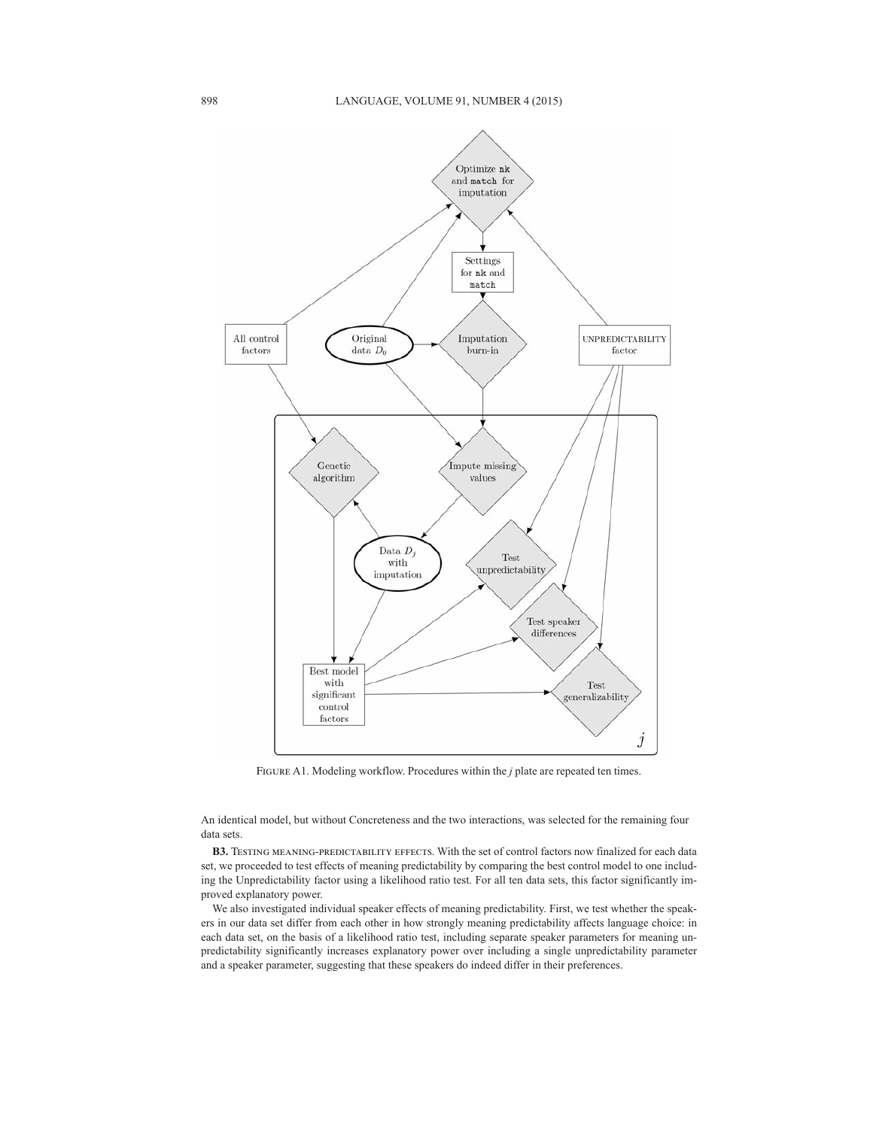

Figure A1. Modeling workflow. Procedures within the *j* plate are repeated ten times.

An identical model, but without Concreteness and the two interactions, was selected for the remaining four data sets.

B3. TESTING MEANING-PREDICTABILITY EFFECTS. With the set of control factors now finalized for each data set, we proceeded to test effects of meaning predictability by comparing the best control model to one including the Unpredictability factor using a likelihood ratio test. For all ten data sets, this factor significantly improved explanatory power.

We also investigated individual speaker effects of meaning predictability. First, we test whether the speakers in our data set differ from each other in how strongly meaning predictability affects language choice: in each data set, on the basis of a likelihood ratio test, including separate speaker parameters for meaning unpredictability significantly increases explanatory power over including a single unpredictability parameter and a speaker parameter, suggesting that these speakers do indeed differ in their preferences.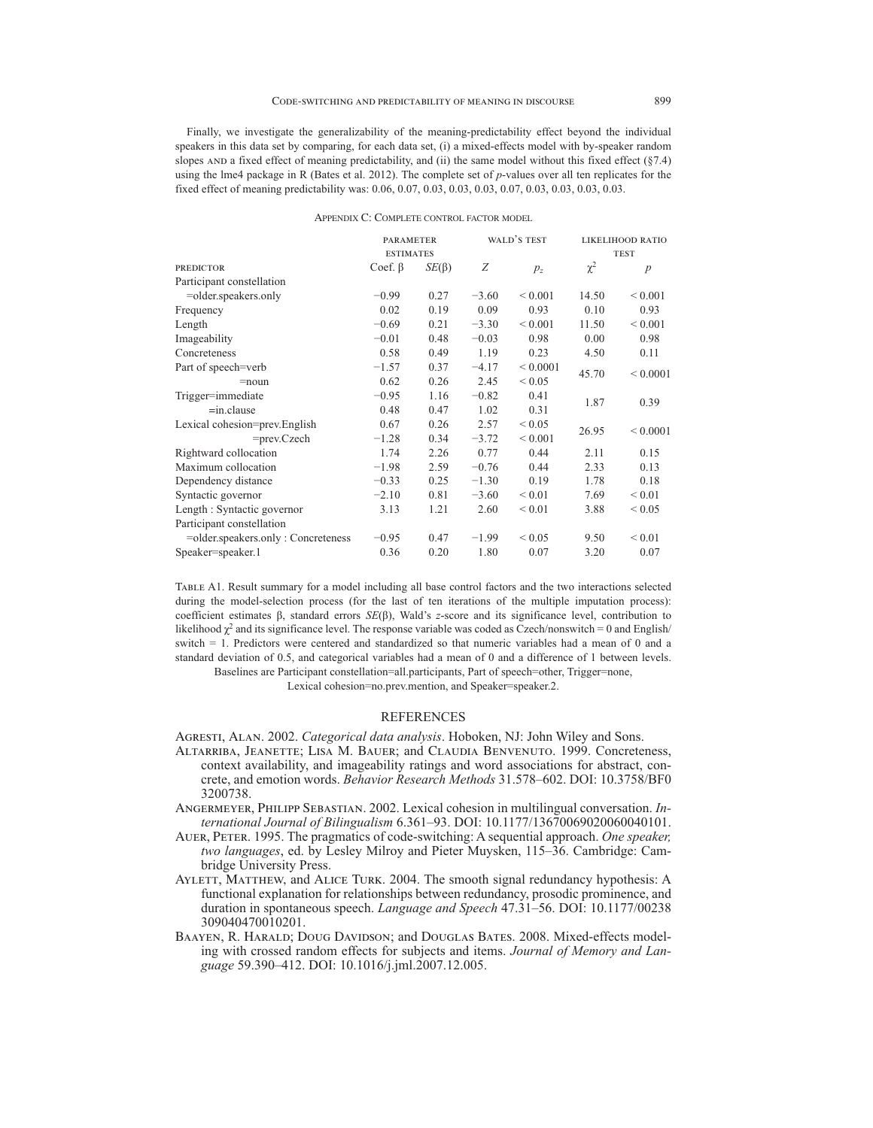Finally, we investigate the generalizability of the meaning-predictability effect beyond the individual speakers in this data set by comparing, for each data set, (i) a mixed-effects model with by-speaker random slopes AND a fixed effect of meaning predictability, and (ii) the same model without this fixed effect (§7.4) using the lme4 package in R (Bates et al. 2012). The complete set of *p*-values over all ten replicates for the fixed effect of meaning predictability was: 0.06, 0.07, 0.03, 0.03, 0.03, 0.07, 0.03, 0.03, 0.03, 0.03.

|                                    | <b>PARAMETER</b><br><b>ESTIMATES</b> |             | WALD'S TEST |              | LIKELIHOOD RATIO<br><b>TEST</b> |                  |
|------------------------------------|--------------------------------------|-------------|-------------|--------------|---------------------------------|------------------|
| <b>PREDICTOR</b>                   | Coef. $\beta$                        | $SE(\beta)$ | Ζ           | $p_z$        | $\chi^2$                        | $\boldsymbol{p}$ |
| Participant constellation          |                                      |             |             |              |                                 |                  |
| =older.speakers.only               | $-0.99$                              | 0.27        | $-3.60$     | ${}_{0.001}$ | 14.50                           | ${}< 0.001$      |
| Frequency                          | 0.02                                 | 0.19        | 0.09        | 0.93         | 0.10                            | 0.93             |
| Length                             | $-0.69$                              | 0.21        | $-3.30$     | ${}_{0.001}$ | 11.50                           | ${}_{0.001}$     |
| Imageability                       | $-0.01$                              | 0.48        | $-0.03$     | 0.98         | 0.00                            | 0.98             |
| Concreteness                       | 0.58                                 | 0.49        | 1.19        | 0.23         | 4.50                            | 0.11             |
| Part of speech=verb                | $-1.57$                              | 0.37        | $-4.17$     | ${}< 0.0001$ | 45.70                           | ${}< 0.0001$     |
| $=$ noun                           | 0.62                                 | 0.26        | 2.45        | ${}_{0.05}$  |                                 |                  |
| Trigger=immediate                  | $-0.95$                              | 1.16        | $-0.82$     | 0.41         | 1.87                            | 0.39             |
| $=$ in.clause                      | 0.48                                 | 0.47        | 1.02        | 0.31         |                                 |                  |
| Lexical cohesion=prev. English     | 0.67                                 | 0.26        | 2.57        | ${}_{0.05}$  |                                 |                  |
| $=$ prev.Czech                     | $-1.28$                              | 0.34        | $-3.72$     | ${}< 0.001$  | 26.95                           | ${}< 0.0001$     |
| Rightward collocation              | 1.74                                 | 2.26        | 0.77        | 0.44         | 2.11                            | 0.15             |
| Maximum collocation                | $-1.98$                              | 2.59        | $-0.76$     | 0.44         | 2.33                            | 0.13             |
| Dependency distance                | $-0.33$                              | 0.25        | $-1.30$     | 0.19         | 1.78                            | 0.18             |
| Syntactic governor                 | $-2.10$                              | 0.81        | $-3.60$     | ${}_{0.01}$  | 7.69                            | ${}_{0.01}$      |
| Length: Syntactic governor         | 3.13                                 | 1.21        | 2.60        | ${}_{0.01}$  | 3.88                            | ${}_{0.05}$      |
| Participant constellation          |                                      |             |             |              |                                 |                  |
| =older.speakers.only: Concreteness | $-0.95$                              | 0.47        | $-1.99$     | ${}_{0.05}$  | 9.50                            | ${}_{0.01}$      |
| Speaker=speaker.1                  | 0.36                                 | 0.20        | 1.80        | 0.07         | 3.20                            | 0.07             |

Table A1. Result summary for a model including all base control factors and the two interactions selected during the model-selection process (for the last of ten iterations of the multiple imputation process): coefficient estimates β, standard errors *SE*(β), Wald's *z*-score and its significance level, contribution to likelihood  $\chi^2$  and its significance level. The response variable was coded as Czech/nonswitch = 0 and English/ switch = 1. Predictors were centered and standardized so that numeric variables had a mean of 0 and a standard deviation of 0.5, and categorical variables had a mean of 0 and a difference of 1 between levels. Baselines are Participant constellation=all.participants, Part of speech=other, Trigger=none,

Lexical cohesion=no.prev.mention, and Speaker=speaker.2.

## **REFERENCES**

- Agresti, Alan. 2002. *Categorical data analysis*. Hoboken, NJ: John Wiley and Sons.
- Altarriba, Jeanette; Lisa M. Bauer; and Claudia Benvenuto. 1999. Concreteness, context availability, and imageability ratings and word associations for abstract, concrete, and emotion words. *Behavior Research Methods* 31.578–602. DOI: 10.3758/BF0 3200738.
- Angermeyer, Philipp Sebastian. 2002. Lexical cohesion in multilingual conversation. *International Journal of Bilingualism* 6.361–93. DOI: 10.1177/13670069020060040101.
- Auer, Peter. 1995. The pragmatics of code-switching: A sequential approach. *One speaker, two languages*, ed. by Lesley Milroy and Pieter Muysken, 115–36. Cambridge: Cambridge University Press.
- AYLETT, MATTHEW, and ALICE TURK. 2004. The smooth signal redundancy hypothesis: A functional explanation for relationships between redundancy, prosodic prominence, and duration in spontaneous speech. *Language and Speech* 47.31–56. DOI: 10.1177/00238 309040470010201.
- BAAYEN, R. HARALD; DOUG DAVIDSON; and DOUGLAS BATES, 2008. Mixed-effects modeling with crossed random effects for subjects and items. *Journal of Memory and Language* 59.390–412. DOI: 10.1016/j.jml.2007.12.005.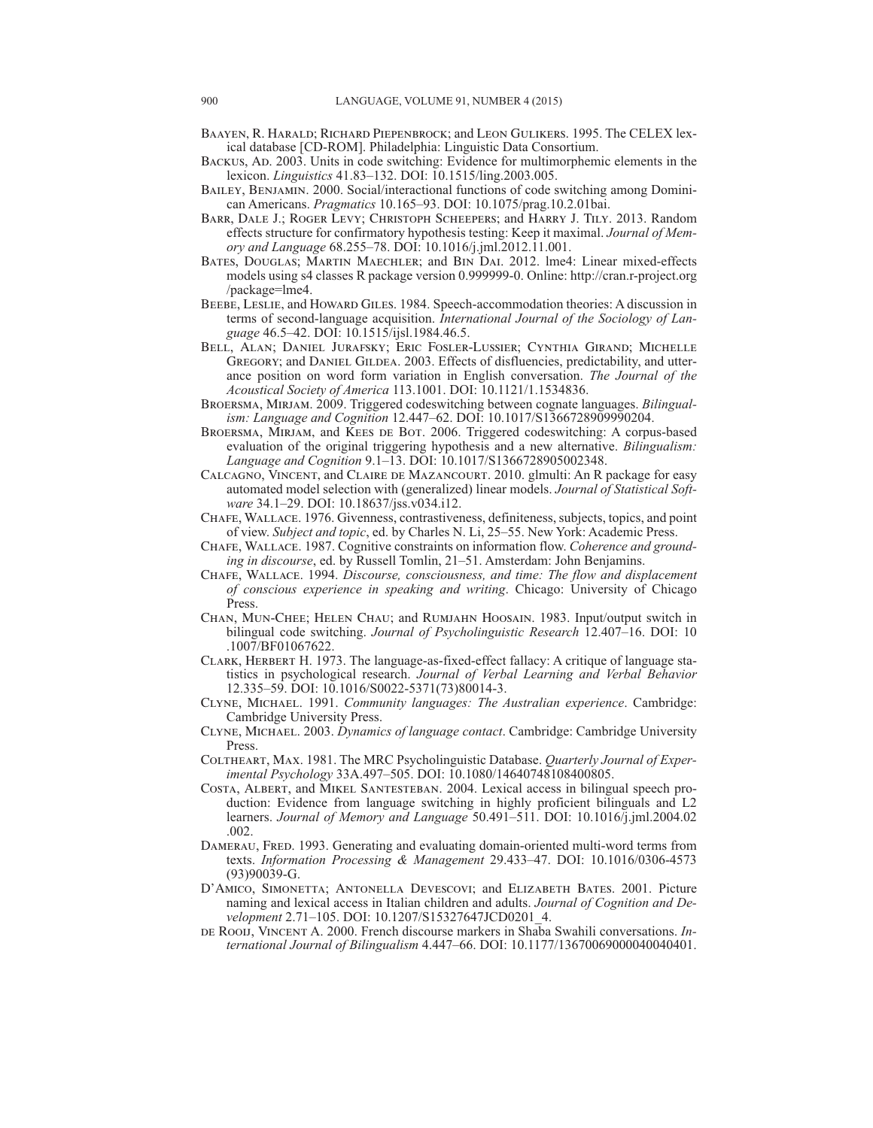- Baayen, R. Harald; Richard Piepenbrock; and Leon Gulikers. 1995. The CELEX lexical database [CD-ROM]. Philadelphia: Linguistic Data Consortium.
- BACKUS, AD. 2003. Units in code switching: Evidence for multimorphemic elements in the lexicon. *Linguistics* 41.83–132. DOI: 10.1515/ling.2003.005.
- BAILEY, BENJAMIN. 2000. Social/interactional functions of code switching among Dominican Americans. *Pragmatics* 10.165–93. DOI: 10.1075/prag.10.2.01bai.
- BARR, DALE J.; ROGER LEVY; CHRISTOPH SCHEEPERS; and HARRY J. TILY. 2013. Random effects structure for confirmatory hypothesis testing: Keep it maximal. *Journal of Memory and Language* 68.255–78. DOI: 10.1016/j.jml.2012.11.001.
- Bates, Douglas; Martin Maechler; and Bin Dai. 2012. lme4: Linear mixed-effects models using s4 classes R package version 0.999999-0. Online: http://cran.r-project.org /package=lme4.
- BEEBE, LESLIE, and HOWARD GILES. 1984. Speech-accommodation theories: A discussion in terms of second-language acquisition. *International Journal of the Sociology of Language* 46.5–42. DOI: 10.1515/ijsl.1984.46.5.
- Bell, Alan; Daniel Jurafsky; Eric Fosler-Lussier; Cynthia Girand; Michelle GREGORY; and DANIEL GILDEA. 2003. Effects of disfluencies, predictability, and utterance position on word form variation in English conversation. *The Journal of the Acoustical Society of America* 113.1001. DOI: 10.1121/1.1534836.
- BROERSMA, MIRJAM. 2009. Triggered codeswitching between cognate languages. *Bilingualism: Language and Cognition* 12.447–62. DOI: 10.1017/S1366728909990204.
- Broersma, Mirjam, and Kees de Bot. 2006. Triggered codeswitching: A corpus-based evaluation of the original triggering hypothesis and a new alternative. *Bilingualism: Language and Cognition* 9.1–13. DOI: 10.1017/S1366728905002348.
- Calcagno, Vincent, and Claire de Mazancourt. 2010. glmulti: An R package for easy automated model selection with (generalized) linear models. *Journal of Statistical Software* 34.1–29. DOI: 10.18637/jss.v034.i12.
- Chafe, Wallace. 1976. Givenness, contrastiveness, definiteness, subjects, topics, and point of view. *Subject and topic*, ed. by Charles N. Li, 25–55. New York: Academic Press.
- Chafe, Wallace. 1987. Cognitive constraints on information flow. *Coherence and grounding in discourse*, ed. by Russell Tomlin, 21–51. Amsterdam: John Benjamins.
- Chafe, Wallace. 1994. *Discourse, consciousness, and time: The flow and displacement of conscious experience in speaking and writing*. Chicago: University of Chicago Press.
- Chan, Mun-Chee; Helen Chau; and Rumjahn Hoosain. 1983. Input/output switch in bilingual code switching. *Journal of Psycholinguistic Research* 12.407–16. DOI: 10 .1007/BF01067622.
- Clark, Herbert H. 1973. The language-as-fixed-effect fallacy: A critique of language statistics in psychological research. *Journal of Verbal Learning and Verbal Behavior* 12.335–59. DOI: 10.1016/S0022-5371(73)80014-3.
- Clyne, Michael. 1991. *Community languages: The Australian experience*. Cambridge: Cambridge University Press.
- Clyne, Michael. 2003. *Dynamics of language contact*. Cambridge: Cambridge University Press.
- Coltheart, Max. 1981. The MRC Psycholinguistic Database. *Quarterly Journal of Experimental Psychology* 33A.497–505. DOI: 10.1080/14640748108400805.
- Costa, Albert, and Mikel Santesteban. 2004. Lexical access in bilingual speech production: Evidence from language switching in highly proficient bilinguals and L2 learners. *Journal of Memory and Language* 50.491–511. DOI: 10.1016/j.jml.2004.02 .002.
- DAMERAU, FRED. 1993. Generating and evaluating domain-oriented multi-word terms from texts. *Information Processing & Management* 29.433–47. DOI: 10.1016/0306-4573 (93)90039-G.
- D'Amico, Simonetta; Antonella Devescovi; and Elizabeth Bates. 2001. Picture naming and lexical access in Italian children and adults. *Journal of Cognition and Development* 2.71–105. DOI: 10.1207/S15327647JCD0201\_4.
- DE ROOIJ, VINCENT A. 2000. French discourse markers in Shaba Swahili conversations. *International Journal of Bilingualism* 4.447–66. DOI: 10.1177/13670069000040040401.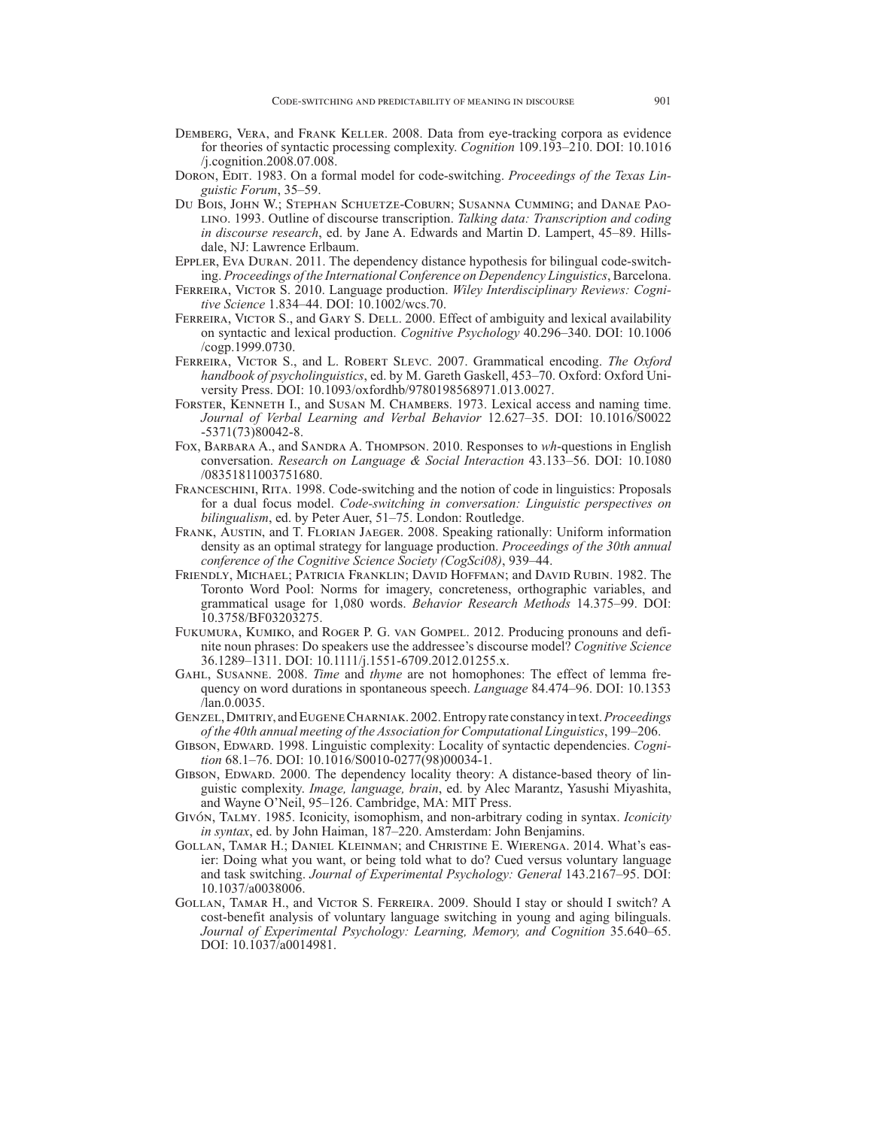- Demberg, Vera, and Frank Keller. 2008. Data from eye-tracking corpora as evidence for theories of syntactic processing complexity. *Cognition* 109.193–210. DOI: 10.1016 /j.cognition.2008.07.008.
- Doron, Epr. 1983. On a formal model for code-switching. *Proceedings of the Texas Linguistic Forum*, 35–59.
- Du Bois, John W.; Stephan Schuetze-Coburn; Susanna Cumming; and Danae Paolino. 1993. Outline of discourse transcription. *Talking data: Transcription and coding in discourse research*, ed. by Jane A. Edwards and Martin D. Lampert, 45–89. Hillsdale, NJ: Lawrence Erlbaum.
- Eppler, Eva Duran. 2011. The dependency distance hypothesis for bilingual code-switching. *Proceedings of the International Conference on Dependency Linguistics*, Barcelona.
- Ferreira, Victor S. 2010. Language production. *Wiley Interdisciplinary Reviews: Cognitive Science* 1.834–44. DOI: 10.1002/wcs.70.
- FERREIRA, VICTOR S., and GARY S. DELL. 2000. Effect of ambiguity and lexical availability on syntactic and lexical production. *Cognitive Psychology* 40.296–340. DOI: 10.1006 /cogp.1999.0730.
- Ferreira, Victor S., and L. Robert Slevc. 2007. Grammatical encoding. *The Oxford handbook of psycholinguistics*, ed. by M. Gareth Gaskell, 453–70. Oxford: Oxford University Press. DOI: 10.1093/oxfordhb/9780198568971.013.0027.
- FORSTER, KENNETH I., and SUSAN M. CHAMBERS. 1973. Lexical access and naming time. *Journal of Verbal Learning and Verbal Behavior* 12.627–35. DOI: 10.1016/S0022 -5371(73)80042-8.
- FOX, BARBARA A., and SANDRA A. THOMPSON. 2010. Responses to *wh*-questions in English conversation. *Research on Language & Social Interaction* 43.133–56. DOI: 10.1080 /08351811003751680.
- Franceschini, Rita. 1998. Code-switching and the notion of code in linguistics: Proposals for a dual focus model. *Code-switching in conversation: Linguistic perspectives on bilingualism*, ed. by Peter Auer, 51–75. London: Routledge.
- Frank, Austin, and T. Florian Jaeger. 2008. Speaking rationally: Uniform information density as an optimal strategy for language production. *Proceedings of the 30th annual conference of the Cognitive Science Society (CogSci08)*, 939–44.
- Friendly, Michael; Patricia Franklin; David Hoffman; and David Rubin. 1982. The Toronto Word Pool: Norms for imagery, concreteness, orthographic variables, and grammatical usage for 1,080 words. *Behavior Research Methods* 14.375–99. DOI: 10.3758/BF03203275.
- Fukumura, Kumiko, and Roger P. G. van Gompel. 2012. Producing pronouns and definite noun phrases: Do speakers use the addressee's discourse model? *Cognitive Science* 36.1289–1311. DOI: 10.1111/j.1551-6709.2012.01255.x.
- Gahl, Susanne. 2008. *Time* and *thyme* are not homophones: The effect of lemma frequency on word durations in spontaneous speech. *Language* 84.474–96. DOI: 10.1353 /lan.0.0035.
- Genzel,Dmitriy, andEugeneCharniak. 2002. Entropy rate constancyintext.*Proceedings of the 40th annual meeting of the Association for Computational Linguistics*, 199–206.
- GIBSON, EDWARD. 1998. Linguistic complexity: Locality of syntactic dependencies. *Cognition* 68.1–76. DOI: 10.1016/S0010-0277(98)00034-1.
- GIBSON, EDWARD. 2000. The dependency locality theory: A distance-based theory of linguistic complexity. *Image, language, brain*, ed. by Alec Marantz, Yasushi Miyashita, and Wayne O'Neil, 95–126. Cambridge, MA: MIT Press.
- Givón, Talmy. 1985. Iconicity, isomophism, and non-arbitrary coding in syntax. *Iconicity in syntax*, ed. by John Haiman, 187–220. Amsterdam: John Benjamins.
- Gollan, Tamar H.; Daniel Kleinman; and Christine E. Wierenga. 2014. What's easier: Doing what you want, or being told what to do? Cued versus voluntary language and task switching. *Journal of Experimental Psychology: General* 143.2167–95. DOI: 10.1037/a0038006.
- Gollan, Tamar H., and Victor S. Ferreira. 2009. Should I stay or should I switch? A cost-benefit analysis of voluntary language switching in young and aging bilinguals. *Journal of Experimental Psychology: Learning, Memory, and Cognition* 35.640–65. DOI: 10.1037/a0014981.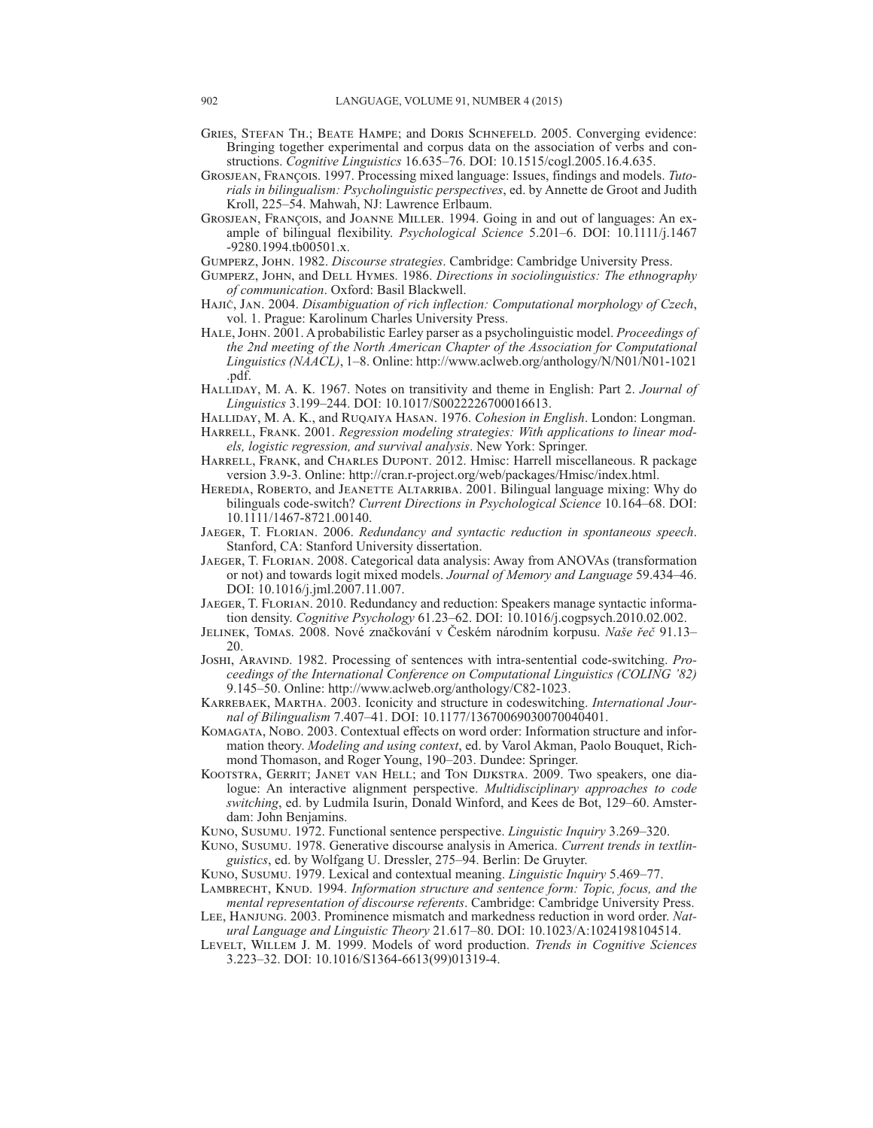- GRIES, STEFAN TH.; BEATE HAMPE; and DORIS SCHNEFELD. 2005. Converging evidence: Bringing together experimental and corpus data on the association of verbs and constructions. *Cognitive Linguistics* 16.635–76. DOI: 10.1515/cogl.2005.16.4.635.
- Grosjean, François. 1997. Processing mixed language: Issues, findings and models. *Tutorials in bilingualism: Psycholinguistic perspectives*, ed. by Annette de Groot and Judith Kroll, 225–54. Mahwah, NJ: Lawrence Erlbaum.
- Grosjean, François, and Joanne Miller. 1994. Going in and out of languages: An example of bilingual flexibility. *Psychological Science* 5.201–6. DOI: 10.1111/j.1467 -9280.1994.tb00501.x.
- Gumperz, John. 1982. *Discourse strategies*. Cambridge: Cambridge University Press.
- Gumperz, John, and Dell Hymes. 1986. *Directions in sociolinguistics: The ethnography of communication*. Oxford: Basil Blackwell.
- HajiČ, Jan. 2004. *Disambiguation of rich inflection: Computational morphology of Czech*, vol. 1. Prague: Karolinum Charles University Press.
- Hale, John. 2001. A probabilistic Earley parser as a psycholinguistic model. *Proceedings of the 2nd meeting of the North American Chapter of the Association for Computational Linguistics (NAACL)*, 1–8. Online: http://www.aclweb.org/anthology/N/N01/N01-1021 .pdf.
- Halliday, M. A. K. 1967. Notes on transitivity and theme in English: Part 2. *Journal of Linguistics* 3.199–244. DOI: 10.1017/S0022226700016613.
- Halliday, M. A. K., and Ruqaiya Hasan. 1976. *Cohesion in English*. London: Longman.
- Harrell, Frank. 2001. *Regression modeling strategies: With applications to linear models, logistic regression, and survival analysis*. New York: Springer.
- Harrell, Frank, and Charles Dupont. 2012. Hmisc: Harrell miscellaneous. R package version 3.9-3. Online: http://cran.r-project.org/web/packages/Hmisc/index.html.
- HEREDIA, ROBERTO, and JEANETTE ALTARRIBA. 2001. Bilingual language mixing: Why do bilinguals code-switch? *Current Directions in Psychological Science* 10.164–68. DOI: 10.1111/1467-8721.00140.
- Jaeger, T. Florian. 2006. *Redundancy and syntactic reduction in spontaneous speech*. Stanford, CA: Stanford University dissertation.
- Jaeger, T. Florian. 2008. Categorical data analysis: Away from ANOVAs (transformation or not) and towards logit mixed models. *Journal of Memory and Language* 59.434–46. DOI: 10.1016/j.jml.2007.11.007.
- Jaeger, T. Florian. 2010. Redundancy and reduction: Speakers manage syntactic information density. *Cognitive Psychology* 61.23–62. DOI: 10.1016/j.cogpsych.2010.02.002.
- Jelinek, Tomas. 2008. Nové značkování v Českém národním korpusu. *Naše řeč* 91.13– 20.
- Joshi, Aravind. 1982. Processing of sentences with intra-sentential code-switching. *Proceedings of the International Conference on Computational Linguistics (COLING '82)* 9.145–50. Online: http://www.aclweb.org/anthology/C82-1023.
- Karrebaek, Martha. 2003. Iconicity and structure in codeswitching. *International Journal of Bilingualism* 7.407–41. DOI: 10.1177/13670069030070040401.
- Komagata, Nobo. 2003. Contextual effects on word order: Information structure and information theory. *Modeling and using context*, ed. by Varol Akman, Paolo Bouquet, Richmond Thomason, and Roger Young, 190–203. Dundee: Springer.
- KOOTSTRA, GERRIT; JANET VAN HELL; and TON DIJKSTRA. 2009. Two speakers, one dialogue: An interactive alignment perspective. *Multidisciplinary approaches to code switching*, ed. by Ludmila Isurin, Donald Winford, and Kees de Bot, 129–60. Amsterdam: John Benjamins.
- Kuno, Susumu. 1972. Functional sentence perspective. *Linguistic Inquiry* 3.269–320.
- Kuno, Susumu. 1978. Generative discourse analysis in America. *Current trends in textlinguistics*, ed. by Wolfgang U. Dressler, 275–94. Berlin: De Gruyter.
- Kuno, Susumu. 1979. Lexical and contextual meaning. *Linguistic Inquiry* 5.469–77.
- LAMBRECHT, KNUD. 1994. *Information structure and sentence form: Topic, focus, and the mental representation of discourse referents*. Cambridge: Cambridge University Press.
- Lee, Hanjung. 2003. Prominence mismatch and markedness reduction in word order. *Natural Language and Linguistic Theory* 21.617–80. DOI: 10.1023/A:1024198104514.
- Levelt, Willem J. M. 1999. Models of word production. *Trends in Cognitive Sciences* 3.223–32. DOI: 10.1016/S1364-6613(99)01319-4.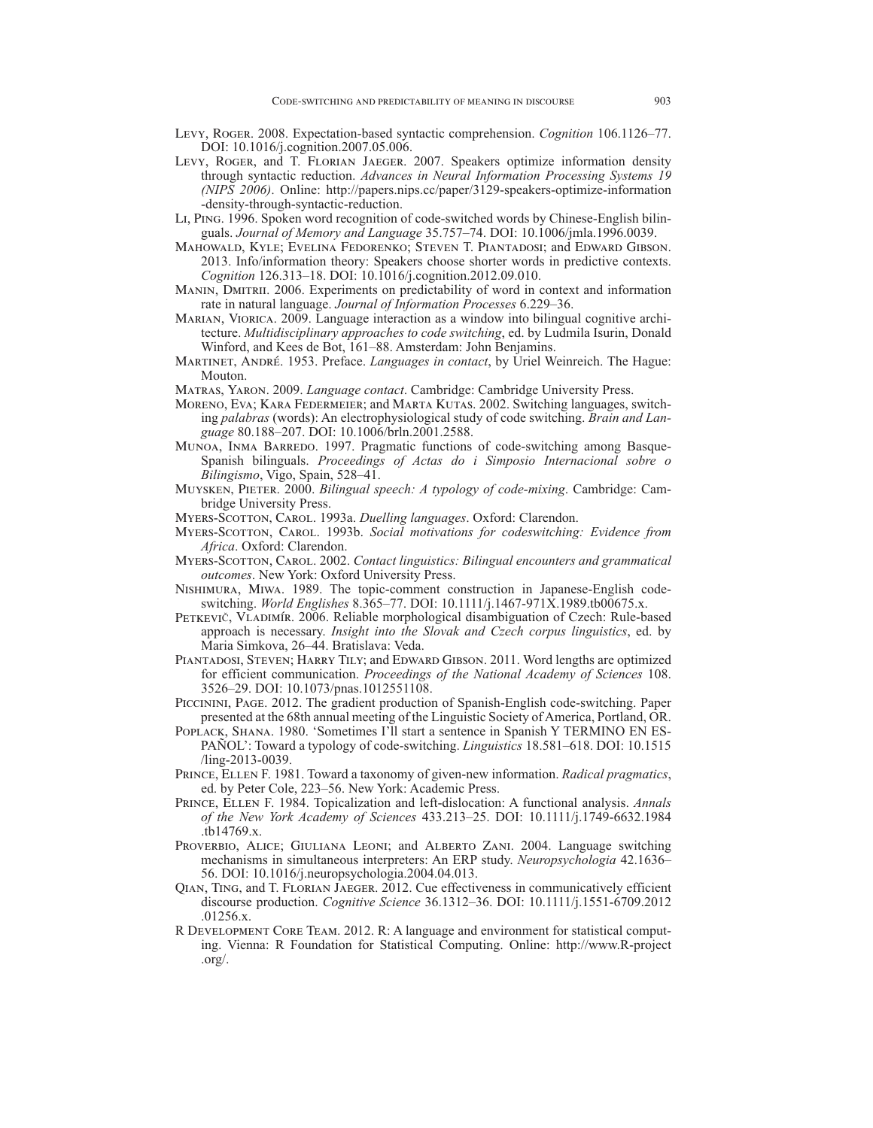- Levy, Roger. 2008. Expectation-based syntactic comprehension. *Cognition* 106.1126–77. DOI: 10.1016/j.cognition.2007.05.006.
- Levy, Roger, and T. Florian Jaeger. 2007. Speakers optimize information density through syntactic reduction. *Advances in Neural Information Processing Systems 19 (NIPS 2006)*. Online: http://papers.nips.cc/paper/3129-speakers-optimize-information -density-through-syntactic-reduction.
- Li, Ping. 1996. Spoken word recognition of code-switched words by Chinese-English bilinguals. *Journal of Memory and Language* 35.757–74. DOI: 10.1006/jmla.1996.0039.
- Mahowald, Kyle; Evelina Fedorenko; Steven T. Piantadosi; and Edward Gibson. 2013. Info/information theory: Speakers choose shorter words in predictive contexts. *Cognition* 126.313–18. DOI: 10.1016/j.cognition.2012.09.010.
- Manin, Dmitrii. 2006. Experiments on predictability of word in context and information rate in natural language. *Journal of Information Processes* 6.229–36.
- Marian, Viorica. 2009. Language interaction as a window into bilingual cognitive architecture. *Multidisciplinary approaches to code switching*, ed. by Ludmila Isurin, Donald Winford, and Kees de Bot, 161–88. Amsterdam: John Benjamins.
- Martinet, André. 1953. Preface. *Languages in contact*, by Uriel Weinreich. The Hague: Mouton.
- Matras, Yaron. 2009. *Language contact*. Cambridge: Cambridge University Press.
- Moreno, Eva; Kara Federmeier; and Marta Kutas. 2002. Switching languages, switching *palabras* (words): An electrophysiological study of code switching. *Brain and Language* 80.188–207. DOI: 10.1006/brln.2001.2588.
- MUNOA, INMA BARREDO. 1997. Pragmatic functions of code-switching among Basque-Spanish bilinguals. *Proceedings of Actas do i Simposio Internacional sobre o Bilingismo*, Vigo, Spain, 528–41.
- Muysken, Pieter. 2000. *Bilingual speech: A typology of code-mixing*. Cambridge: Cambridge University Press.
- Myers-Scotton, Carol. 1993a. *Duelling languages*. Oxford: Clarendon.
- Myers-Scotton, Carol. 1993b. *Social motivations for codeswitching: Evidence from Africa*. Oxford: Clarendon.
- Myers-Scotton, Carol. 2002. *Contact linguistics: Bilingual encounters and grammatical outcomes*. New York: Oxford University Press.
- Nishimura, Miwa. 1989. The topic-comment construction in Japanese-English codeswitching. *World Englishes* 8.365–77. DOI: 10.1111/j.1467-971X.1989.tb00675.x.
- PETKEVIČ, VLADIMÍR. 2006. Reliable morphological disambiguation of Czech: Rule-based approach is necessary. *Insight into the Slovak and Czech corpus linguistics*, ed. by Maria Simkova, 26–44. Bratislava: Veda.
- PIANTADOSI, STEVEN; HARRY TILY; and EDWARD GIBSON. 2011. Word lengths are optimized for efficient communication. *Proceedings of the National Academy of Sciences* 108. 3526–29. DOI: 10.1073/pnas.1012551108.
- Piccinini, Page. 2012. The gradient production of Spanish-English code-switching. Paper presented at the 68th annual meeting of the Linguistic Society of America, Portland, OR.
- Poplack, Shana. 1980. 'Sometimes I'll start a sentence in Spanish Y TERMINO EN ES-PAÑOL': Toward a typology of code-switching. *Linguistics* 18.581–618. DOI: 10.1515 /ling-2013-0039.
- Prince, Ellen F. 1981. Toward a taxonomy of given-new information. *Radical pragmatics*, ed. by Peter Cole, 223–56. New York: Academic Press.
- Prince, Ellen F. 1984. Topicalization and left-dislocation: A functional analysis. *Annals of the New York Academy of Sciences* 433.213–25. DOI: 10.1111/j.1749-6632.1984 .tb14769.x.
- PROVERBIO, ALICE; GIULIANA LEONI; and ALBERTO ZANI. 2004. Language switching mechanisms in simultaneous interpreters: An ERP study. *Neuropsychologia* 42.1636– 56. DOI: 10.1016/j.neuropsychologia.2004.04.013.
- Qian, Ting, and T. Florian Jaeger. 2012. Cue effectiveness in communicatively efficient discourse production. *Cognitive Science* 36.1312–36. DOI: 10.1111/j.1551-6709.2012 .01256.x.
- R Development Core Team. 2012. R: A language and environment for statistical computing. Vienna: R Foundation for Statistical Computing. Online: http://www.R-project .org/.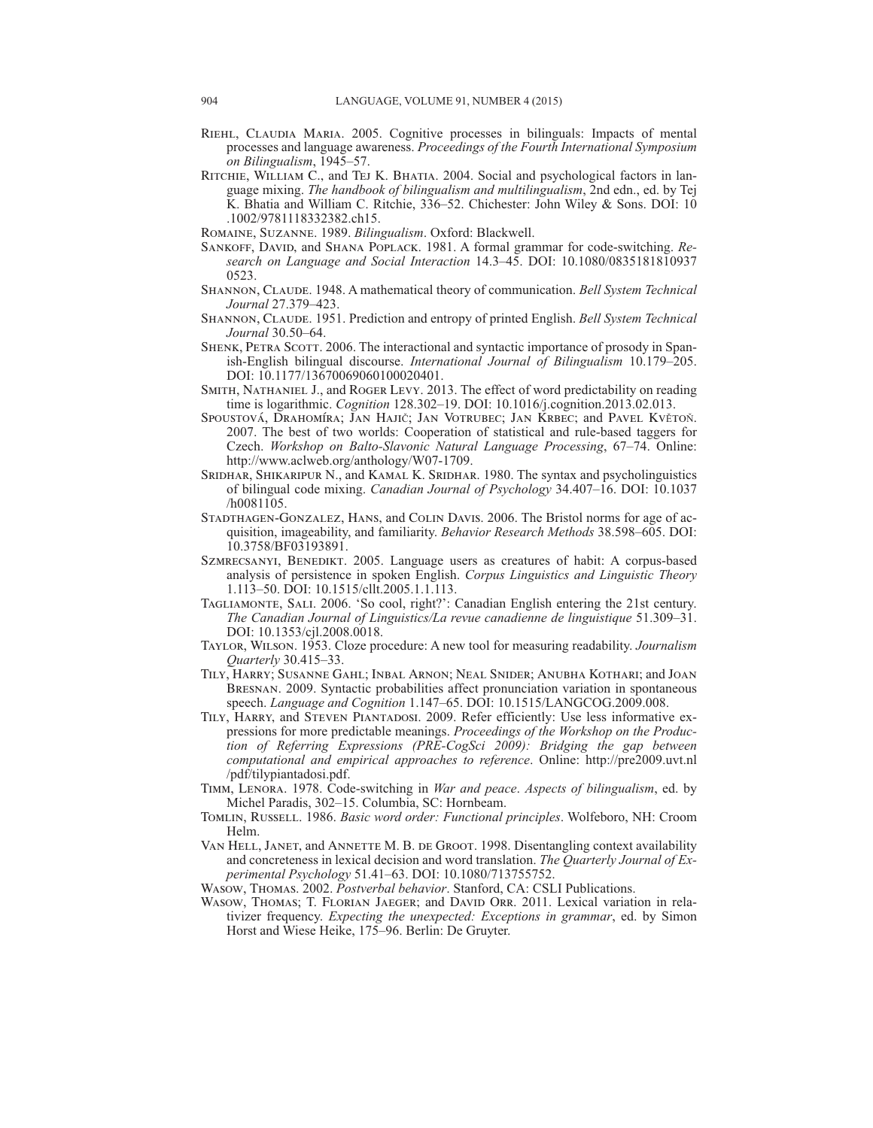- Riehl, Claudia Maria. 2005. Cognitive processes in bilinguals: Impacts of mental processes and language awareness. *Proceedings of the Fourth International Symposium on Bilingualism*, 1945–57.
- RITCHIE, WILLIAM C., and TEJ K. BHATIA. 2004. Social and psychological factors in language mixing. *The handbook of bilingualism and multilingualism*, 2nd edn., ed. by Tej K. Bhatia and William C. Ritchie, 336–52. Chichester: John Wiley & Sons. DOI: 10 .1002/9781118332382.ch15.
- Romaine, Suzanne. 1989. *Bilingualism*. Oxford: Blackwell.
- SANKOFF, DAVID, and SHANA POPLACK. 1981. A formal grammar for code-switching. *Research on Language and Social Interaction* 14.3–45. DOI: 10.1080/0835181810937 0523.
- Shannon, Claude. 1948. A mathematical theory of communication. *Bell System Technical Journal* 27.379–423.
- Shannon, Claude. 1951. Prediction and entropy of printed English. *Bell System Technical Journal* 30.50–64.
- SHENK, PETRA SCOTT. 2006. The interactional and syntactic importance of prosody in Spanish-English bilingual discourse. *International Journal of Bilingualism* 10.179–205. DOI: 10.1177/13670069060100020401.
- SMITH, NATHANIEL J., and ROGER LEVY. 2013. The effect of word predictability on reading time is logarithmic. *Cognition* 128.302–19. DOI: 10.1016/j.cognition.2013.02.013.
- Spoustová, Drahomíra; Jan Hajič; Jan Votrubec; Jan Krbec; and Pavel Květoň. 2007. The best of two worlds: Cooperation of statistical and rule-based taggers for Czech. *Workshop on Balto-Slavonic Natural Language Processing*, 67–74. Online: http://www.aclweb.org/anthology/W07-1709.
- Sridhar, Shikaripur N., and Kamal K. Sridhar. 1980. The syntax and psycholinguistics of bilingual code mixing. *Canadian Journal of Psychology* 34.407–16. DOI: 10.1037 /h0081105.
- Stadthagen-Gonzalez, Hans, and Colin Davis. 2006. The Bristol norms for age of acquisition, imageability, and familiarity. *Behavior Research Methods* 38.598–605. DOI: 10.3758/BF03193891.
- SZMRECSANYI, BENEDIKT. 2005. Language users as creatures of habit: A corpus-based analysis of persistence in spoken English. *Corpus Linguistics and Linguistic Theory* 1.113–50. DOI: 10.1515/cllt.2005.1.1.113.
- Tagliamonte, Sali. 2006. 'So cool, right?': Canadian English entering the 21st century. *The Canadian Journal of Linguistics/La revue canadienne de linguistique* 51.309–31. DOI: 10.1353/cjl.2008.0018.
- Taylor, Wilson. 1953. Cloze procedure: A new tool for measuring readability. *Journalism Quarterly* 30.415–33.
- Tily, Harry; Susanne Gahl; Inbal Arnon; Neal Snider; Anubha Kothari; and Joan Bresnan. 2009. Syntactic probabilities affect pronunciation variation in spontaneous speech. *Language and Cognition* 1.147–65. DOI: 10.1515/LANGCOG.2009.008.
- Tily, Harry, and Steven Piantadosi. 2009. Refer efficiently: Use less informative expressions for more predictable meanings. *Proceedings of the Workshop on the Production of Referring Expressions (PRE-CogSci 2009): Bridging the gap between computational and empirical approaches to reference*. Online: http://pre2009.uvt.nl /pdf/tilypiantadosi.pdf.
- Timm, Lenora. 1978. Code-switching in *War and peace*. *Aspects of bilingualism*, ed. by Michel Paradis, 302–15. Columbia, SC: Hornbeam.
- Tomlin, Russell. 1986. *Basic word order: Functional principles*. Wolfeboro, NH: Croom Helm.
- VAN HELL, JANET, and ANNETTE M. B. DE GROOT. 1998. Disentangling context availability and concreteness in lexical decision and word translation. *The Quarterly Journal of Experimental Psychology* 51.41–63. DOI: 10.1080/713755752.

Wasow, Thomas. 2002. *Postverbal behavior*. Stanford, CA: CSLI Publications.

Wasow, Thomas; T. Florian Jaeger; and David Orr. 2011. Lexical variation in relativizer frequency. *Expecting the unexpected: Exceptions in grammar*, ed. by Simon Horst and Wiese Heike, 175–96. Berlin: De Gruyter.